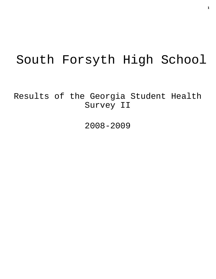# South Forsyth High School

Results of the Georgia Student Health Survey II

2008-2009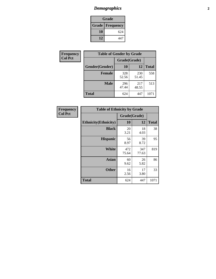# *Demographics* **2**

| Grade                    |     |  |  |  |
|--------------------------|-----|--|--|--|
| <b>Grade   Frequency</b> |     |  |  |  |
| 10                       | 624 |  |  |  |
| 12                       | 447 |  |  |  |

| <b>Frequency</b> | <b>Table of Gender by Grade</b> |              |              |              |  |
|------------------|---------------------------------|--------------|--------------|--------------|--|
| <b>Col Pct</b>   |                                 | Grade(Grade) |              |              |  |
|                  | Gender(Gender)                  | 10           | 12           | <b>Total</b> |  |
|                  | <b>Female</b>                   | 328<br>52.56 | 230<br>51.45 | 558          |  |
|                  | <b>Male</b>                     | 296<br>47.44 | 217<br>48.55 | 513          |  |
|                  | <b>Total</b>                    | 624          | 447          | 1071         |  |

| Frequency |
|-----------|
| Col Pct   |

| <b>Table of Ethnicity by Grade</b> |              |              |              |  |  |  |
|------------------------------------|--------------|--------------|--------------|--|--|--|
|                                    | Grade(Grade) |              |              |  |  |  |
| <b>Ethnicity</b> (Ethnicity)       | 10           | 12           | <b>Total</b> |  |  |  |
| <b>Black</b>                       | 20<br>3.21   | 18<br>4.03   | 38           |  |  |  |
| <b>Hispanic</b>                    | 56<br>8.97   | 39<br>8.72   | 95           |  |  |  |
| <b>White</b>                       | 472<br>75.64 | 347<br>77.63 | 819          |  |  |  |
| <b>Asian</b>                       | 60<br>9.62   | 26<br>5.82   | 86           |  |  |  |
| <b>Other</b>                       | 16<br>2.56   | 17<br>3.80   | 33           |  |  |  |
| <b>Total</b>                       | 624          | 447          | 1071         |  |  |  |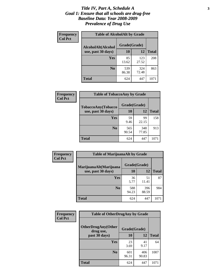#### *Title IV, Part A, Schedule A* **3** *Goal 1: Ensure that all schools are drug-free Baseline Data: Year 2008-2009 Prevalence of Drug Use*

| Frequency<br><b>Col Pct</b> | <b>Table of AlcoholAlt by Grade</b> |              |              |              |  |  |
|-----------------------------|-------------------------------------|--------------|--------------|--------------|--|--|
|                             | AlcoholAlt(Alcohol                  | Grade(Grade) |              |              |  |  |
|                             | use, past 30 days)                  | 10           | 12           | <b>Total</b> |  |  |
|                             | Yes                                 | 85<br>13.62  | 123<br>27.52 | 208          |  |  |
|                             | N <sub>0</sub>                      | 539<br>86.38 | 324<br>72.48 | 863          |  |  |
|                             | <b>Total</b>                        | 624          | 447          | 1071         |  |  |

| Frequency      | <b>Table of TobaccoAny by Grade</b> |              |              |              |  |
|----------------|-------------------------------------|--------------|--------------|--------------|--|
| <b>Col Pct</b> | <b>TobaccoAny(Tobacco</b>           | Grade(Grade) |              |              |  |
|                | use, past 30 days)                  | 10           | 12           | <b>Total</b> |  |
|                | Yes                                 | 59<br>9.46   | 99<br>22.15  | 158          |  |
|                | N <sub>0</sub>                      | 565<br>90.54 | 348<br>77.85 | 913          |  |
|                | <b>Total</b>                        | 624          | 447          | 1071         |  |

| Frequency<br><b>Col Pct</b> | <b>Table of MarijuanaAlt by Grade</b> |              |              |              |  |
|-----------------------------|---------------------------------------|--------------|--------------|--------------|--|
|                             | MarijuanaAlt(Marijuana                | Grade(Grade) |              |              |  |
|                             | use, past 30 days)                    | <b>10</b>    | 12           | <b>Total</b> |  |
|                             | <b>Yes</b>                            | 36<br>5.77   | 51<br>11.41  | 87           |  |
|                             | N <sub>0</sub>                        | 588<br>94.23 | 396<br>88.59 | 984          |  |
|                             | <b>Total</b>                          | 624          | 447          | 1071         |  |

| <b>Frequency</b> | <b>Table of OtherDrugAny by Grade</b>  |              |              |              |  |
|------------------|----------------------------------------|--------------|--------------|--------------|--|
| <b>Col Pct</b>   | <b>OtherDrugAny(Other</b><br>drug use, | Grade(Grade) |              |              |  |
|                  | past 30 days)                          | 10           | 12           | <b>Total</b> |  |
|                  | Yes                                    | 23<br>3.69   | 41<br>9.17   | 64           |  |
|                  | N <sub>0</sub>                         | 601<br>96.31 | 406<br>90.83 | 1007         |  |
|                  | <b>Total</b>                           | 624          | 447          | 1071         |  |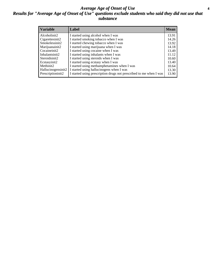#### *Average Age of Onset of Use* **4** *Results for "Average Age of Onset of Use" questions exclude students who said they did not use that substance*

| <b>Variable</b>    | Label                                                              | <b>Mean</b> |
|--------------------|--------------------------------------------------------------------|-------------|
| Alcoholinit2       | I started using alcohol when I was                                 | 13.91       |
| Cigarettesinit2    | I started smoking tobacco when I was                               | 14.26       |
| Smokelessinit2     | I started chewing tobacco when I was                               | 13.92       |
| Marijuanainit2     | I started using marijuana when I was                               | 14.18       |
| Cocaineinit2       | I started using cocaine when I was                                 | 13.49       |
| Inhalantsinit2     | I started using inhalants when I was                               | 11.12       |
| Steroidsinit2      | I started using steroids when I was                                | 10.60       |
| Ecstasyinit2       | I started using ecstasy when I was                                 | 13.40       |
| Methinit2          | I started using methamphetamines when I was                        | 10.64       |
| Hallucinogensinit2 | I started using hallucinogens when I was                           | 13.30       |
| Prescriptioninit2  | I started using prescription drugs not prescribed to me when I was | 13.90       |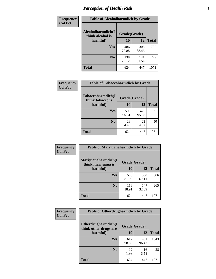# *Perception of Health Risk* **5**

| Frequency      | <b>Table of Alcoholharmdich by Grade</b> |              |              |              |  |
|----------------|------------------------------------------|--------------|--------------|--------------|--|
| <b>Col Pct</b> | Alcoholharmdich(I<br>think alcohol is    | Grade(Grade) |              |              |  |
|                | harmful)                                 | 10           | 12           | <b>Total</b> |  |
|                | Yes                                      | 486<br>77.88 | 306<br>68.46 | 792          |  |
|                | N <sub>0</sub>                           | 138<br>22.12 | 141<br>31.54 | 279          |  |
|                | <b>Total</b>                             | 624          | 447          | 1071         |  |

| <b>Frequency</b> | <b>Table of Tobaccoharmdich by Grade</b>     |              |              |              |
|------------------|----------------------------------------------|--------------|--------------|--------------|
| <b>Col Pct</b>   | <b>Tobaccoharmdich(I</b><br>think tobacco is | Grade(Grade) |              |              |
|                  | harmful)                                     | 10           | 12           | <b>Total</b> |
|                  | Yes                                          | 596<br>95.51 | 425<br>95.08 | 1021         |
|                  | N <sub>0</sub>                               | 28<br>4.49   | 22<br>4.92   | 50           |
|                  | <b>Total</b>                                 | 624          | 447          | 1071         |

| Frequency      | <b>Table of Marijuanaharmdich by Grade</b>                |              |              |              |  |  |
|----------------|-----------------------------------------------------------|--------------|--------------|--------------|--|--|
| <b>Col Pct</b> | Marijuanaharmdich(I<br>Grade(Grade)<br>think marijuana is |              |              |              |  |  |
|                | harmful)                                                  | 10           | 12           | <b>Total</b> |  |  |
|                | <b>Yes</b>                                                | 506<br>81.09 | 300<br>67.11 | 806          |  |  |
|                | N <sub>0</sub>                                            | 118<br>18.91 | 147<br>32.89 | 265          |  |  |
|                | <b>Total</b>                                              | 624          | 447          | 1071         |  |  |

| Frequency      | <b>Table of Otherdrugharmdich by Grade</b>   |              |              |              |  |  |  |  |
|----------------|----------------------------------------------|--------------|--------------|--------------|--|--|--|--|
| <b>Col Pct</b> | Otherdrugharmdich(I<br>think other drugs are | Grade(Grade) |              |              |  |  |  |  |
|                | harmful)                                     | 10           | 12           | <b>Total</b> |  |  |  |  |
|                | <b>Yes</b>                                   | 612<br>98.08 | 431<br>96.42 | 1043         |  |  |  |  |
|                | N <sub>0</sub>                               | 12<br>1.92   | 16<br>3.58   | 28           |  |  |  |  |
|                | <b>Total</b>                                 | 624          | 447          | 1071         |  |  |  |  |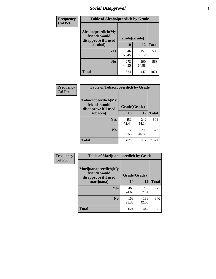# *Social Disapproval* **6**

| Frequency      | <b>Table of Alcoholpeerdich by Grade</b>                    |              |              |              |
|----------------|-------------------------------------------------------------|--------------|--------------|--------------|
| <b>Col Pct</b> | Alcoholpeerdich(My<br>friends would<br>disapprove if I used | Grade(Grade) |              |              |
|                | alcohol)                                                    | 10           | 12           | <b>Total</b> |
|                | <b>Yes</b>                                                  | 346<br>55.45 | 157<br>35.12 | 503          |
|                | N <sub>0</sub>                                              | 278<br>44.55 | 290<br>64.88 | 568          |
|                | <b>Total</b>                                                | 624          | 447          | 1071         |

| <b>Frequency</b> |
|------------------|
| <b>Col Pct</b>   |

| <b>Table of Tobaccopeerdich by Grade</b>                            |              |              |              |  |  |  |
|---------------------------------------------------------------------|--------------|--------------|--------------|--|--|--|
| <b>Tobaccopeerdich</b> (My<br>friends would<br>disapprove if I used | Grade(Grade) |              |              |  |  |  |
| tobacco)                                                            | 10           | 12           | <b>Total</b> |  |  |  |
| Yes                                                                 | 452<br>72.44 | 242<br>54.14 | 694          |  |  |  |
| N <sub>0</sub>                                                      | 172<br>27.56 | 205<br>45.86 | 377          |  |  |  |
| <b>Total</b>                                                        | 624          | 447          | 1071         |  |  |  |

| Frequency      | <b>Table of Marijuanapeerdich by Grade</b>                    |              |              |              |  |  |  |  |
|----------------|---------------------------------------------------------------|--------------|--------------|--------------|--|--|--|--|
| <b>Col Pct</b> | Marijuanapeerdich(My<br>friends would<br>disapprove if I used | Grade(Grade) |              |              |  |  |  |  |
|                | marijuana)                                                    | 10           | 12           | <b>Total</b> |  |  |  |  |
|                | <b>Yes</b>                                                    | 466<br>74.68 | 259<br>57.94 | 725          |  |  |  |  |
|                | N <sub>0</sub>                                                | 158<br>25.32 | 188<br>42.06 | 346          |  |  |  |  |
|                | <b>Total</b>                                                  | 624          | 447          | 1071         |  |  |  |  |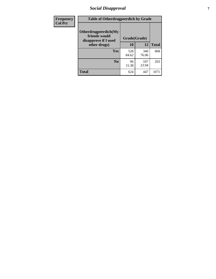# *Social Disapproval* **7**

| Frequency      | <b>Table of Otherdrugpeerdich by Grade</b>                    |              |              |              |  |  |  |  |
|----------------|---------------------------------------------------------------|--------------|--------------|--------------|--|--|--|--|
| <b>Col Pct</b> | Otherdrugpeerdich(My<br>friends would<br>disapprove if I used | Grade(Grade) |              |              |  |  |  |  |
|                | other drugs)                                                  | 10           | 12           | <b>Total</b> |  |  |  |  |
|                | Yes                                                           | 528<br>84.62 | 340<br>76.06 | 868          |  |  |  |  |
|                | N <sub>0</sub>                                                | 96<br>15.38  | 107<br>23.94 | 203          |  |  |  |  |
|                | <b>Total</b>                                                  | 624          | 447          | 107          |  |  |  |  |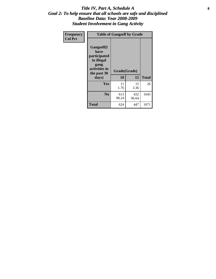### Title IV, Part A, Schedule A **8** *Goal 2: To help ensure that all schools are safe and disciplined Baseline Data: Year 2008-2009 Student Involvement in Gang Activity*

| Frequency      | <b>Table of Gangself by Grade</b>                                                                 |                    |              |              |
|----------------|---------------------------------------------------------------------------------------------------|--------------------|--------------|--------------|
| <b>Col Pct</b> | Gangself(I<br>have<br>participated<br>in illegal<br>gang<br>activities in<br>the past 30<br>days) | Grade(Grade)<br>10 | 12           | <b>Total</b> |
|                | Yes                                                                                               | 11<br>1.76         | 15<br>3.36   | 26           |
|                | N <sub>0</sub>                                                                                    | 613<br>98.24       | 432<br>96.64 | 1045         |
|                | <b>Total</b>                                                                                      | 624                | 447          | 1071         |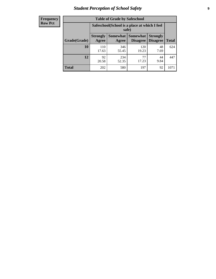# *Student Perception of School Safety* **9**

| <b>Frequency</b><br>Row Pct |
|-----------------------------|
|                             |

| <b>Table of Grade by Safeschool</b> |                                                        |                                                                                                                      |              |            |      |  |  |
|-------------------------------------|--------------------------------------------------------|----------------------------------------------------------------------------------------------------------------------|--------------|------------|------|--|--|
|                                     | Safeschool (School is a place at which I feel<br>safe) |                                                                                                                      |              |            |      |  |  |
| Grade(Grade)                        | <b>Strongly</b><br>Agree                               | <b>Somewhat</b><br><b>Somewhat</b><br><b>Strongly</b><br><b>Disagree</b><br><b>Disagree</b><br><b>Total</b><br>Agree |              |            |      |  |  |
| 10                                  | 110<br>17.63                                           | 346<br>55.45                                                                                                         | 120<br>19.23 | 48<br>7.69 | 624  |  |  |
| 12                                  | 92<br>20.58                                            | 234<br>52.35                                                                                                         | 77<br>17.23  | 44<br>9.84 | 447  |  |  |
| <b>Total</b>                        | 202                                                    | 580                                                                                                                  | 197          | 92         | 1071 |  |  |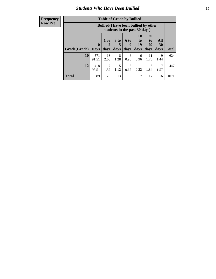### *Students Who Have Been Bullied* **10**

| <b>Frequency</b> |
|------------------|
| Row Pct          |

| <b>Table of Grade by Bullied</b> |                             |                                                                               |                              |                   |                        |                        |                   |              |
|----------------------------------|-----------------------------|-------------------------------------------------------------------------------|------------------------------|-------------------|------------------------|------------------------|-------------------|--------------|
|                                  |                             | <b>Bullied</b> (I have been bullied by other<br>students in the past 30 days) |                              |                   |                        |                        |                   |              |
| Grade(Grade)                     | $\mathbf{0}$<br><b>Days</b> | 1 or<br>2<br>days                                                             | 3 <sub>to</sub><br>5<br>days | 6 to<br>9<br>days | 10<br>to<br>19<br>days | 20<br>to<br>29<br>days | All<br>30<br>days | <b>Total</b> |
| 10                               | 571<br>91.51                | 13<br>2.08                                                                    | 8<br>1.28                    | 6<br>0.96         | 6<br>0.96              | 11<br>1.76             | 9<br>1.44         | 624          |
| 12                               | 418<br>93.51                | 7<br>1.57                                                                     | 5<br>1.12                    | 3<br>0.67         | 0.22                   | 6<br>1.34              | 1.57              | 447          |
| <b>Total</b>                     | 989                         | 20                                                                            | 13                           | 9                 | 7                      | 17                     | 16                | 1071         |

 $\blacksquare$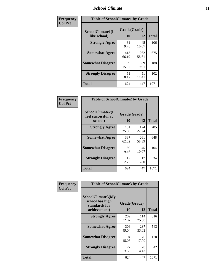### *School Climate* **11**

| <b>Frequency</b> | <b>Table of SchoolClimate1 by Grade</b> |                    |              |              |  |  |
|------------------|-----------------------------------------|--------------------|--------------|--------------|--|--|
| <b>Col Pct</b>   | SchoolClimate1(I<br>like school)        | Grade(Grade)<br>10 | 12           | <b>Total</b> |  |  |
|                  | <b>Strongly Agree</b>                   | 61<br>9.78         | 45<br>10.07  | 106          |  |  |
|                  | <b>Somewhat Agree</b>                   | 413<br>66.19       | 262<br>58.61 | 675          |  |  |
|                  | <b>Somewhat Disagree</b>                | 99<br>15.87        | 89<br>19.91  | 188          |  |  |
|                  | <b>Strongly Disagree</b>                | 51<br>8.17         | 51<br>11.41  | 102          |  |  |
|                  | <b>Total</b>                            | 624                | 447          | 1071         |  |  |

| <b>Table of SchoolClimate2 by Grade</b>                                       |              |              |      |  |  |
|-------------------------------------------------------------------------------|--------------|--------------|------|--|--|
| SchoolClimate2(I<br>Grade(Grade)<br>feel successful at<br>10<br>12<br>school) |              |              |      |  |  |
| <b>Strongly Agree</b>                                                         | 161<br>25.80 | 124<br>27.74 | 285  |  |  |
| <b>Somewhat Agree</b>                                                         | 387<br>62.02 | 261<br>58.39 | 648  |  |  |
| <b>Somewhat Disagree</b>                                                      | 59<br>9.46   | 45<br>10.07  | 104  |  |  |
| <b>Strongly Disagree</b>                                                      | 17<br>2.72   | 17<br>3.80   | 34   |  |  |
| Total                                                                         | 624          | 447          | 1071 |  |  |

| Frequency      | <b>Table of SchoolClimate3 by Grade</b>                                      |                           |              |              |  |
|----------------|------------------------------------------------------------------------------|---------------------------|--------------|--------------|--|
| <b>Col Pct</b> | <b>SchoolClimate3(My</b><br>school has high<br>standards for<br>achievement) | Grade(Grade)<br><b>10</b> | 12           | <b>Total</b> |  |
|                |                                                                              |                           |              |              |  |
|                | <b>Strongly Agree</b>                                                        | 202<br>32.37              | 114<br>25.50 | 316          |  |
|                | <b>Somewhat Agree</b>                                                        | 306<br>49.04              | 237<br>53.02 | 543          |  |
|                | <b>Somewhat Disagree</b>                                                     | 94<br>15.06               | 76<br>17.00  | 170          |  |
|                | <b>Strongly Disagree</b>                                                     | 22<br>3.53                | 20<br>4.47   | 42           |  |
|                | Total                                                                        | 624                       | 447          | 1071         |  |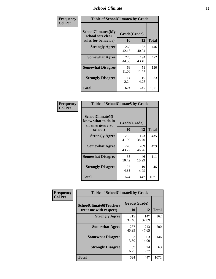### *School Climate* **12**

| Frequency      |                                                               | <b>Table of SchoolClimate4 by Grade</b> |              |              |  |
|----------------|---------------------------------------------------------------|-----------------------------------------|--------------|--------------|--|
| <b>Col Pct</b> | SchoolClimate4(My<br>school sets clear<br>rules for behavior) | Grade(Grade)<br>10                      | 12           | <b>Total</b> |  |
|                | <b>Strongly Agree</b>                                         | 263<br>42.15                            | 183<br>40.94 | 446          |  |
|                | <b>Somewhat Agree</b>                                         | 278<br>44.55                            | 194<br>43.40 | 472          |  |
|                | <b>Somewhat Disagree</b>                                      | 69<br>11.06                             | 51<br>11.41  | 120          |  |
|                | <b>Strongly Disagree</b>                                      | 14<br>2.24                              | 19<br>4.25   | 33           |  |
|                | <b>Total</b>                                                  | 624                                     | 447          | 1071         |  |

| <b>Table of SchoolClimate5 by Grade</b>                   |              |              |              |  |  |
|-----------------------------------------------------------|--------------|--------------|--------------|--|--|
| SchoolClimate5(I<br>know what to do in<br>an emergency at | Grade(Grade) |              |              |  |  |
| school)                                                   | 10           | 12           | <b>Total</b> |  |  |
| <b>Strongly Agree</b>                                     | 262<br>41.99 | 173<br>38.70 | 435          |  |  |
| <b>Somewhat Agree</b>                                     | 270<br>43.27 | 209<br>46.76 | 479          |  |  |
| <b>Somewhat Disagree</b>                                  | 65<br>10.42  | 46<br>10.29  | 111          |  |  |
| <b>Strongly Disagree</b>                                  | 27<br>4.33   | 19<br>4.25   | 46           |  |  |
| <b>Total</b>                                              | 624          | 447          | 1071         |  |  |

| Frequency      | <b>Table of SchoolClimate6 by Grade</b>                  |                    |              |              |
|----------------|----------------------------------------------------------|--------------------|--------------|--------------|
| <b>Col Pct</b> | <b>SchoolClimate6(Teachers</b><br>treat me with respect) | Grade(Grade)<br>10 | 12           | <b>Total</b> |
|                | <b>Strongly Agree</b>                                    | 215<br>34.46       | 147<br>32.89 | 362          |
|                | <b>Somewhat Agree</b>                                    | 287<br>45.99       | 213<br>47.65 | 500          |
|                | <b>Somewhat Disagree</b>                                 | 83<br>13.30        | 63<br>14.09  | 146          |
|                | <b>Strongly Disagree</b>                                 | 39<br>6.25         | 24<br>5.37   | 63           |
|                | <b>Total</b>                                             | 624                | 447          | 1071         |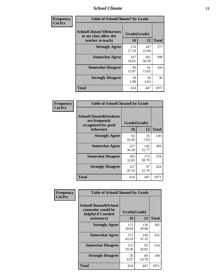### *School Climate* **13**

| Frequency      | <b>Table of SchoolClimate7 by Grade</b>                                       |                           |              |              |
|----------------|-------------------------------------------------------------------------------|---------------------------|--------------|--------------|
| <b>Col Pct</b> | <b>SchoolClimate7(Behaviors</b><br>in my class allow the<br>teacher to teach) | Grade(Grade)<br><b>10</b> | 12           | <b>Total</b> |
|                | <b>Strongly Agree</b>                                                         | 170<br>27.24              | 107<br>23.94 | 277          |
|                | <b>Somewhat Agree</b>                                                         | 337<br>54.01              | 261<br>58.39 | 598          |
|                | <b>Somewhat Disagree</b>                                                      | 99<br>15.87               | 61<br>13.65  | 160          |
|                | <b>Strongly Disagree</b>                                                      | 18<br>2.88                | 18<br>4.03   | 36           |
|                | <b>Total</b>                                                                  | 624                       | 447          | 1071         |

| Frequency      | <b>Table of SchoolClimate8 by Grade</b>                                 |              |              |              |
|----------------|-------------------------------------------------------------------------|--------------|--------------|--------------|
| <b>Col Pct</b> | <b>SchoolClimate8(Students</b><br>are frequently<br>recognized for good | Grade(Grade) |              |              |
|                | behavior)                                                               | 10           | 12           | <b>Total</b> |
|                | <b>Strongly Agree</b>                                                   | 65<br>10.42  | 35<br>7.83   | 100          |
|                | <b>Somewhat Agree</b>                                                   | 227<br>36.38 | 142<br>31.77 | 369          |
|                | <b>Somewhat Disagree</b>                                                | 205<br>32.85 | 173<br>38.70 | 378          |
|                | <b>Strongly Disagree</b>                                                | 127<br>20.35 | 97<br>21.70  | 224          |
|                | <b>Total</b>                                                            | 624          | 447          | 1071         |

| Frequency      | <b>Table of SchoolClimate9 by Grade</b>                                           |                    |              |              |
|----------------|-----------------------------------------------------------------------------------|--------------------|--------------|--------------|
| <b>Col Pct</b> | SchoolClimate9(School<br>counselor would be<br>helpful if I needed<br>assistance) | Grade(Grade)<br>10 | 12           | <b>Total</b> |
|                | <b>Strongly Agree</b>                                                             | 175<br>28.04       | 130<br>29.08 | 305          |
|                | <b>Somewhat Agree</b>                                                             | 272<br>43.59       | 140<br>31.32 | 412          |
|                | <b>Somewhat Disagree</b>                                                          | 121<br>19.39       | 93<br>20.81  | 214          |
|                | <b>Strongly Disagree</b>                                                          | 56<br>8.97         | 84<br>18.79  | 140          |
|                | <b>Total</b>                                                                      | 624                | 447          | 1071         |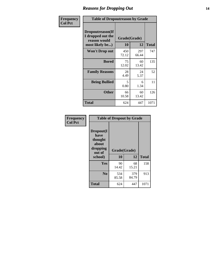### *Reasons for Dropping Out* **14**

| Frequency      | <b>Table of Dropoutreason by Grade</b>                                   |                    |              |              |
|----------------|--------------------------------------------------------------------------|--------------------|--------------|--------------|
| <b>Col Pct</b> | Dropoutreason(If<br>I dropped out the<br>reason would<br>most likely be) | Grade(Grade)<br>10 | 12           | <b>Total</b> |
|                | <b>Won't Drop out</b>                                                    | 450<br>72.12       | 297<br>66.44 | 747          |
|                | <b>Bored</b>                                                             | 75<br>12.02        | 60<br>13.42  | 135          |
|                | <b>Family Reasons</b>                                                    | 28<br>4.49         | 24<br>5.37   | 52           |
|                | <b>Being Bullied</b>                                                     | 5<br>0.80          | 6<br>1.34    | 11           |
|                | <b>Other</b>                                                             | 66<br>10.58        | 60<br>13.42  | 126          |
|                | <b>Total</b>                                                             | 624                | 447          | 1071         |

| Frequency<br><b>Col Pct</b> | <b>Table of Dropout by Grade</b>                                       |                    |              |              |  |
|-----------------------------|------------------------------------------------------------------------|--------------------|--------------|--------------|--|
|                             | Dropout(I<br>have<br>thought<br>about<br>dropping<br>out of<br>school) | Grade(Grade)<br>10 | 12           | <b>Total</b> |  |
|                             | Yes                                                                    | 90<br>14.42        | 68<br>15.21  | 158          |  |
|                             | N <sub>0</sub>                                                         | 534<br>85.58       | 379<br>84.79 | 913          |  |
|                             | <b>Total</b>                                                           | 624                | 447          | 1071         |  |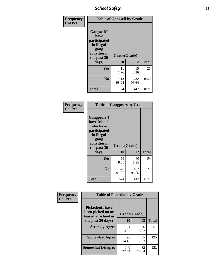*School Safety* **15**

| Frequency      |                                                                                                   | <b>Table of Gangself by Grade</b> |              |              |  |
|----------------|---------------------------------------------------------------------------------------------------|-----------------------------------|--------------|--------------|--|
| <b>Col Pct</b> | Gangself(I<br>have<br>participated<br>in illegal<br>gang<br>activities in<br>the past 30<br>days) | Grade(Grade)<br>10                | 12           | <b>Total</b> |  |
|                | Yes                                                                                               | 11<br>1.76                        | 15<br>3.36   | 26           |  |
|                | N <sub>o</sub>                                                                                    | 613<br>98.24                      | 432<br>96.64 | 1045         |  |
|                | Total                                                                                             | 624                               | 447          | 1071         |  |

| Frequency<br><b>Col Pct</b> | <b>Table of Gangpeers by Grade</b>                                                                                             |                    |              |              |
|-----------------------------|--------------------------------------------------------------------------------------------------------------------------------|--------------------|--------------|--------------|
|                             | <b>Gangpeers</b> (I<br>have friends<br>who have<br>participated<br>in illegal<br>gang<br>activities in<br>the past 30<br>days) | Grade(Grade)<br>10 | 12           | <b>Total</b> |
|                             | Yes                                                                                                                            | 54<br>8.65         | 40<br>8.95   | 94           |
|                             | N <sub>0</sub>                                                                                                                 | 570<br>91.35       | 407<br>91.05 | 977          |
|                             | <b>Total</b>                                                                                                                   | 624                | 447          | 1071         |

| Frequency      |                                                                    | <b>Table of Pickedon by Grade</b> |             |              |  |  |  |
|----------------|--------------------------------------------------------------------|-----------------------------------|-------------|--------------|--|--|--|
| <b>Col Pct</b> | <b>Pickedon(I have</b><br>been picked on or<br>teased at school in | Grade(Grade)                      |             |              |  |  |  |
|                | the past 30 days)                                                  | 10                                | 12          | <b>Total</b> |  |  |  |
|                | <b>Strongly Agree</b>                                              | 31<br>4.97                        | 26<br>5.82  | 57           |  |  |  |
|                | <b>Somewhat Agree</b>                                              | 90<br>14.42                       | 35<br>7.83  | 125          |  |  |  |
|                | <b>Somewhat Disagree</b>                                           | 140<br>22.44                      | 82<br>18.34 | 222          |  |  |  |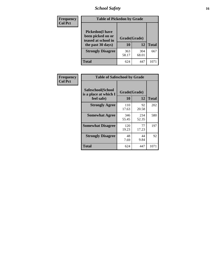# *School Safety* **16**

| <b>Frequency</b> | <b>Table of Pickedon by Grade</b>                                                        |                    |              |              |
|------------------|------------------------------------------------------------------------------------------|--------------------|--------------|--------------|
| <b>Col Pct</b>   | <b>Pickedon</b> (I have<br>been picked on or<br>teased at school in<br>the past 30 days) | Grade(Grade)<br>10 | 12           | <b>Total</b> |
|                  | <b>Strongly Disagree</b>                                                                 | 363<br>58.17       | 304<br>68.01 | 667          |
|                  | Total                                                                                    | 624                | 447          | 107          |

| Frequency      |                                                          |                           | <b>Table of Safeschool by Grade</b> |      |  |  |  |
|----------------|----------------------------------------------------------|---------------------------|-------------------------------------|------|--|--|--|
| <b>Col Pct</b> | Safeschool(School<br>is a place at which I<br>feel safe) | Grade(Grade)<br><b>10</b> | <b>Total</b>                        |      |  |  |  |
|                | <b>Strongly Agree</b>                                    | 110<br>17.63              | 92<br>20.58                         | 202  |  |  |  |
|                | <b>Somewhat Agree</b>                                    | 346<br>55.45              | 234<br>52.35                        | 580  |  |  |  |
|                | <b>Somewhat Disagree</b>                                 | 120<br>19.23              | 77<br>17.23                         | 197  |  |  |  |
|                | <b>Strongly Disagree</b>                                 | 48<br>7.69                | 44<br>9.84                          | 92   |  |  |  |
|                | <b>Total</b>                                             | 624                       | 447                                 | 1071 |  |  |  |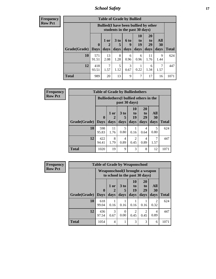*School Safety* **17**

| <b>Frequend</b><br>Row Pct |
|----------------------------|

| $\overline{\textbf{c}\textbf{y}}$ | <b>Table of Grade by Bullied</b> |                  |                                              |                         |                   |                               |                        |                   |              |
|-----------------------------------|----------------------------------|------------------|----------------------------------------------|-------------------------|-------------------|-------------------------------|------------------------|-------------------|--------------|
| þ,                                |                                  |                  | <b>Bullied</b> (I have been bullied by other |                         |                   | students in the past 30 days) |                        |                   |              |
|                                   | Grade(Grade)                     | 0<br><b>Days</b> | $1$ or<br>2<br>days                          | 3 <sub>to</sub><br>days | 6 to<br>9<br>days | 10<br>to<br>19<br>days        | 20<br>to<br>29<br>days | All<br>30<br>days | <b>Total</b> |
|                                   | 10                               | 571<br>91.51     | 13<br>2.08                                   | 8<br>1.28               | 6<br>0.96         | 6<br>0.96                     | 11<br>1.76             | 9<br>1.44         | 624          |
|                                   | 12                               | 418<br>93.51     | 7<br>1.57                                    | 5<br>1.12               | 3<br>0.67         | 0.22                          | 6<br>1.34              | 7<br>1.57         | 447          |
|                                   | <b>Total</b>                     | 989              | 20                                           | 13                      | 9                 | 7                             | 17                     | 16                | 1071         |

| <b>Frequency</b> |                     | <b>Table of Grade by Bulliedothers</b> |                                                                |                         |                        |                               |                   |              |  |  |  |  |  |
|------------------|---------------------|----------------------------------------|----------------------------------------------------------------|-------------------------|------------------------|-------------------------------|-------------------|--------------|--|--|--|--|--|
| <b>Row Pct</b>   |                     |                                        | <b>Bulliedothers</b> (I bullied others in the<br>past 30 days) |                         |                        |                               |                   |              |  |  |  |  |  |
|                  | Grade(Grade)   Days | $\bf{0}$                               | 1 or<br>days                                                   | 3 <sub>to</sub><br>days | 10<br>to<br>19<br>days | <b>20</b><br>to<br>29<br>days | All<br>30<br>days | <b>Total</b> |  |  |  |  |  |
|                  | 10                  | 598<br>95.83                           | 11<br>1.76                                                     | 5<br>0.80               | 0.16                   | 4<br>0.64                     | 5<br>0.80         | 624          |  |  |  |  |  |
|                  | 12                  | 422<br>94.41                           | 8<br>1.79                                                      | 4<br>0.89               | $\mathfrak{D}$<br>0.45 | 4<br>0.89                     | 7<br>1.57         | 447          |  |  |  |  |  |
|                  | <b>Total</b>        | 1020                                   | 19                                                             | $\mathbf Q$             | 3                      | 8                             | 12                | 1071         |  |  |  |  |  |

| <b>Frequency</b> |                      | <b>Table of Grade by Weaponschool</b> |                       |                         |                        |                                                                   |                        |              |
|------------------|----------------------|---------------------------------------|-----------------------|-------------------------|------------------------|-------------------------------------------------------------------|------------------------|--------------|
| <b>Row Pct</b>   |                      |                                       |                       |                         |                        | Weaponschool(I brought a weapon<br>to school in the past 30 days) |                        |              |
|                  | <b>Grade</b> (Grade) | $\mathbf{0}$<br><b>Days</b>           | 1 or<br>days          | 3 <sub>to</sub><br>days | 10<br>to<br>19<br>days | 20<br>t <sub>0</sub><br>29<br>days                                | All<br>30<br>days      | <b>Total</b> |
|                  | 10                   | 618<br>99.04                          | 0.16                  | 0.16                    | 0.16                   | 0.16                                                              | $\overline{2}$<br>0.32 | 624          |
|                  | 12                   | 436<br>97.54                          | $\mathcal{F}$<br>0.67 | $\Omega$<br>0.00        | $\overline{2}$<br>0.45 | $\overline{2}$<br>0.45                                            | 4<br>0.89              | 447          |
|                  | <b>Total</b>         | 1054                                  | 4                     |                         | 3                      | 3                                                                 | 6                      | 1071         |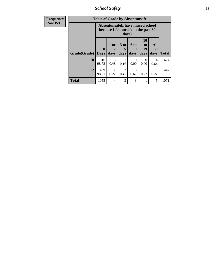*School Safety* **18**

| <b>Frequency</b> |              | <b>Table of Grade by Absentunsafe</b> |                                                                           |                              |                   |                        |                   |              |
|------------------|--------------|---------------------------------------|---------------------------------------------------------------------------|------------------------------|-------------------|------------------------|-------------------|--------------|
| <b>Row Pct</b>   |              |                                       | Absentunsafe(I have missed school<br>because I felt unsafe in the past 30 | days)                        |                   |                        |                   |              |
|                  | Grade(Grade) | $\mathbf 0$<br><b>Days</b>            | 1 or<br>2<br>days                                                         | 3 <sub>to</sub><br>5<br>days | 6 to<br>9<br>days | 10<br>to<br>19<br>days | All<br>30<br>days | <b>Total</b> |
|                  | 10           | 616<br>98.72                          | 3<br>0.48                                                                 | 0.16                         | 0<br>0.00         | $\Omega$<br>0.00       | 4<br>0.64         | 624          |
|                  | 12           | 439<br>98.21                          | 0.22                                                                      | $\mathcal{D}$<br>0.45        | 3<br>0.67         | 0.22                   | 0.22              | 447          |
|                  | <b>Total</b> | 1055                                  | $\overline{4}$                                                            | 3                            | 3                 |                        | 5                 | 1071         |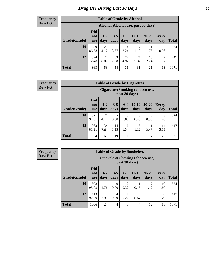# *Drug Use During Last 30 Days* **19**

#### **Frequency Row Pct**

| <b>Table of Grade by Alcohol</b> |                                 |                                     |                 |                 |                 |                   |              |              |  |  |  |  |
|----------------------------------|---------------------------------|-------------------------------------|-----------------|-----------------|-----------------|-------------------|--------------|--------------|--|--|--|--|
|                                  |                                 | Alcohol (Alcohol use, past 30 days) |                 |                 |                 |                   |              |              |  |  |  |  |
| Grade(Grade)                     | <b>Did</b><br>not<br><b>use</b> | $1 - 2$<br>days                     | $3 - 5$<br>days | $6 - 9$<br>days | $10-19$<br>days | $20 - 29$<br>days | Every<br>day | <b>Total</b> |  |  |  |  |
| 10                               | 539<br>86.38                    | 26<br>4.17                          | 21<br>3.37      | 14<br>2.24      | 7<br>1.12       | 11<br>1.76        | 6<br>0.96    | 624          |  |  |  |  |
| 12                               | 324<br>72.48                    | 27<br>6.04                          | 33<br>7.38      | 22<br>4.92      | 24<br>5.37      | 10<br>2.24        | 7<br>1.57    | 447          |  |  |  |  |
| <b>Total</b>                     | 863                             | 53                                  | 54              | 36              | 31              | 21                | 13           | 1071         |  |  |  |  |

#### **Frequency Row Pct**

| <b>Table of Grade by Cigarettes</b> |                          |                                                          |                 |               |                 |                   |                     |       |  |  |  |
|-------------------------------------|--------------------------|----------------------------------------------------------|-----------------|---------------|-----------------|-------------------|---------------------|-------|--|--|--|
|                                     |                          | <b>Cigarettes</b> (Smoking tobacco use,<br>past 30 days) |                 |               |                 |                   |                     |       |  |  |  |
| Grade(Grade)                        | Did<br>not<br><b>use</b> | $1 - 2$<br>days                                          | $3 - 5$<br>days | $6-9$<br>days | $10-19$<br>days | $20 - 29$<br>days | <b>Every</b><br>day | Total |  |  |  |
| 10                                  | 571<br>91.51             | 26<br>4.17                                               | 5<br>0.80       | 5<br>0.80     | 3<br>0.48       | 6<br>0.96         | 8<br>1.28           | 624   |  |  |  |
| 12                                  | 363<br>81.21             | 34<br>7.61                                               | 14<br>3.13      | 6<br>1.34     | 5<br>1.12       | 11<br>2.46        | 14<br>3.13          | 447   |  |  |  |
| <b>Total</b>                        | 934                      | 60                                                       | 19              | 11            | 8               | 17                | 22                  | 1071  |  |  |  |

| <b>Table of Grade by Smokeless</b> |                                 |                                                        |                 |               |                 |                   |                     |              |  |  |  |
|------------------------------------|---------------------------------|--------------------------------------------------------|-----------------|---------------|-----------------|-------------------|---------------------|--------------|--|--|--|
|                                    |                                 | <b>Smokeless</b> (Chewing tobaccouse,<br>past 30 days) |                 |               |                 |                   |                     |              |  |  |  |
| Grade(Grade)                       | <b>Did</b><br>not<br><b>use</b> | $1 - 2$<br>days                                        | $3 - 5$<br>days | $6-9$<br>days | $10-19$<br>days | $20 - 29$<br>days | <b>Every</b><br>day | <b>Total</b> |  |  |  |
| 10                                 | 593<br>95.03                    | 11<br>1.76                                             | 0<br>0.00       | 2<br>0.32     | 0.16            | 1.12              | 10<br>1.60          | 624          |  |  |  |
| 12                                 | 413<br>92.39                    | 13<br>2.91                                             | 4<br>0.89       | 0.22          | 3<br>0.67       | 1.12              | 8<br>1.79           | 447          |  |  |  |
| <b>Total</b>                       | 1006                            | 24                                                     | $\overline{4}$  | 3             | 4               | 12                | 18                  | 1071         |  |  |  |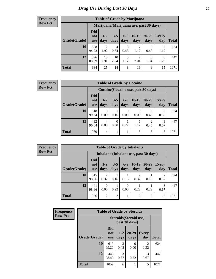#### **Frequency Row Pct**

| <b>Table of Grade by Marijuana</b> |                                 |                                         |                 |               |                 |                   |              |              |  |  |  |  |
|------------------------------------|---------------------------------|-----------------------------------------|-----------------|---------------|-----------------|-------------------|--------------|--------------|--|--|--|--|
|                                    |                                 | Marijuana (Marijuana use, past 30 days) |                 |               |                 |                   |              |              |  |  |  |  |
| Grade(Grade)                       | <b>Did</b><br>not<br><b>use</b> | $1 - 2$<br>days                         | $3 - 5$<br>days | $6-9$<br>days | $10-19$<br>days | $20 - 29$<br>days | Every<br>day | <b>Total</b> |  |  |  |  |
| 10                                 | 588<br>94.23                    | 12<br>1.92                              | 4<br>0.64       | 3<br>0.48     | 7<br>1.12       | 3<br>0.48         | 7<br>1.12    | 624          |  |  |  |  |
| 12                                 | 396<br>88.59                    | 13<br>2.91                              | 10<br>2.24      | 5<br>1.12     | 9<br>2.01       | 6<br>1.34         | 8<br>1.79    | 447          |  |  |  |  |
| <b>Total</b>                       | 984                             | 25                                      | 14              | 8             | 16              | 9                 | 15           | 1071         |  |  |  |  |

#### **Frequency Row Pct**

| <b>Table of Grade by Cocaine</b> |                                 |                                     |                 |                 |                 |               |                     |       |  |  |
|----------------------------------|---------------------------------|-------------------------------------|-----------------|-----------------|-----------------|---------------|---------------------|-------|--|--|
|                                  |                                 | Cocaine (Cocaine use, past 30 days) |                 |                 |                 |               |                     |       |  |  |
| Grade(Grade)                     | <b>Did</b><br>not<br><b>use</b> | $1 - 2$<br>days                     | $3 - 5$<br>days | $6 - 9$<br>days | $10-19$<br>days | 20-29<br>days | <b>Every</b><br>day | Total |  |  |
| 10                               | 618<br>99.04                    | 0<br>0.00                           | 0.16            | 0<br>0.00       | 0<br>0.00       | 3<br>0.48     | 2<br>0.32           | 624   |  |  |
| 12                               | 432<br>96.64                    | 4<br>0.89                           | 0<br>0.00       | 0.22            | 5<br>1.12       | ↑<br>0.45     | 3<br>0.67           | 447   |  |  |
| <b>Total</b>                     | 1050                            | 4                                   |                 |                 | 5               | 5             | 5                   | 1071  |  |  |

| <b>Table of Grade by Inhalants</b>     |                                 |                        |                 |               |                        |                   |              |              |  |
|----------------------------------------|---------------------------------|------------------------|-----------------|---------------|------------------------|-------------------|--------------|--------------|--|
| Inhalants (Inhalant use, past 30 days) |                                 |                        |                 |               |                        |                   |              |              |  |
| Grade(Grade)                           | <b>Did</b><br>not<br><b>use</b> | $1 - 2$<br>days        | $3 - 5$<br>days | $6-9$<br>days | $10-19$<br>days        | $20 - 29$<br>days | Every<br>day | <b>Total</b> |  |
| <b>10</b>                              | 615<br>98.56                    | $\overline{2}$<br>0.32 | 0.16            | 0.16          | $\overline{2}$<br>0.32 | 0.16              | 2<br>0.32    | 624          |  |
| 12                                     | 441<br>98.66                    | 0<br>0.00              | 0.22            | 0.00          | 0.22                   | 0.22              | 3<br>0.67    | 447          |  |
| <b>Total</b>                           | 1056                            | $\overline{2}$         | $\overline{2}$  |               | 3                      | 2                 | 5            | 1071         |  |

| Frequency      |              | <b>Table of Grade by Steroids</b> |                                         |                   |                     |              |  |  |
|----------------|--------------|-----------------------------------|-----------------------------------------|-------------------|---------------------|--------------|--|--|
| <b>Row Pct</b> |              |                                   | Steroids (Steroid use,<br>past 30 days) |                   |                     |              |  |  |
|                | Grade(Grade) | <b>Did</b><br>not<br><b>use</b>   | $1 - 2$<br>days                         | $20 - 29$<br>days | <b>Every</b><br>day | <b>Total</b> |  |  |
|                | 10           | 619<br>99.20                      | 3<br>0.48                               | 0.00              | 2<br>0.32           | 624          |  |  |
|                | 12           | 440<br>98.43                      | 3<br>0.67                               | 0.22              | 3<br>0.67           | 447          |  |  |
|                | <b>Total</b> | 1059                              | 6                                       |                   | 5                   | 1071         |  |  |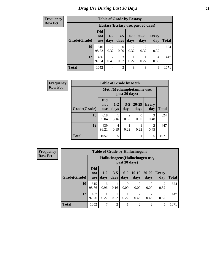**Frequency Row Pct**

| <b>Table of Grade by Ecstasy</b> |                                 |                                     |                 |                        |                   |                        |              |  |  |  |
|----------------------------------|---------------------------------|-------------------------------------|-----------------|------------------------|-------------------|------------------------|--------------|--|--|--|
|                                  |                                 | Ecstasy (Ecstasy use, past 30 days) |                 |                        |                   |                        |              |  |  |  |
| Grade(Grade)                     | <b>Did</b><br>not<br><b>use</b> | $1 - 2$<br>days                     | $3 - 5$<br>days | $6-9$<br>days          | $20 - 29$<br>days | <b>Every</b><br>day    | <b>Total</b> |  |  |  |
| 10                               | 616<br>98.72                    | 2<br>0.32                           | 0<br>0.00       | $\mathfrak{D}$<br>0.32 | 2<br>0.32         | $\overline{2}$<br>0.32 | 624          |  |  |  |
| 12                               | 436<br>97.54                    | $\overline{2}$<br>0.45              | 3<br>0.67       | 0.22                   | 0.22              | 4<br>0.89              | 447          |  |  |  |
| <b>Total</b>                     | 1052                            | 4                                   | 3               | 3                      | 3                 | 6                      | 1071         |  |  |  |

| <b>Frequency</b> | <b>Table of Grade by Meth</b> |                          |               |                 |                            |                        |              |  |
|------------------|-------------------------------|--------------------------|---------------|-----------------|----------------------------|------------------------|--------------|--|
| <b>Row Pct</b>   |                               |                          |               | past 30 days)   | Meth (Methamphetamine use, |                        |              |  |
|                  | Grade(Grade)                  | Did<br>not<br><b>use</b> | $1-2$<br>days | $3 - 5$<br>days | $20 - 29$<br>days          | <b>Every</b><br>day    | <b>Total</b> |  |
|                  | 10                            | 618<br>99.04             | 0.16          | 2<br>0.32       | 0<br>0.00                  | 3<br>0.48              | 624          |  |
|                  | 12                            | 439<br>98.21             | 4<br>0.89     | 0.22            | 0.22                       | $\mathfrak{D}$<br>0.45 | 447          |  |
|                  | <b>Total</b>                  | 1057                     | 5             | 3               | 1                          | 5                      | 1071         |  |

| <b>Frequency</b> |
|------------------|
| <b>Row Pct</b>   |

| <b>Table of Grade by Hallucinogens</b> |                                 |                                                   |                 |                  |                        |                   |                        |              |  |  |  |
|----------------------------------------|---------------------------------|---------------------------------------------------|-----------------|------------------|------------------------|-------------------|------------------------|--------------|--|--|--|
|                                        |                                 | Hallucinogens (Hallucinogen use,<br>past 30 days) |                 |                  |                        |                   |                        |              |  |  |  |
| Grade(Grade)                           | <b>Did</b><br>not<br><b>use</b> | $1-2$<br>days                                     | $3 - 5$<br>days | $6 - 9$<br>days  | $10-19$<br>days        | $20 - 29$<br>days | <b>Every</b><br>day    | <b>Total</b> |  |  |  |
| 10                                     | 615<br>98.56                    | 6<br>0.96                                         | 0.16            | $\Omega$<br>0.00 | 0<br>0.00              | 0<br>0.00         | $\mathfrak{D}$<br>0.32 | 624          |  |  |  |
| 12                                     | 437<br>97.76                    | 0.22                                              | 0.22            | 0.22             | $\overline{2}$<br>0.45 | 0.45              | 3<br>0.67              | 447          |  |  |  |
| <b>Total</b>                           | 1052                            | $\mathcal{I}$                                     | 2               | 1                | $\overline{2}$         | $\overline{c}$    | 5                      | 1071         |  |  |  |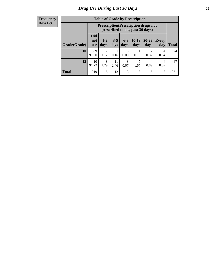| <b>Table of Grade by Prescription</b> |                                 |                                                                                |                 |                 |                 |                       |              |              |  |  |
|---------------------------------------|---------------------------------|--------------------------------------------------------------------------------|-----------------|-----------------|-----------------|-----------------------|--------------|--------------|--|--|
|                                       |                                 | <b>Prescription</b> (Prescription drugs not<br>prescribed to me, past 30 days) |                 |                 |                 |                       |              |              |  |  |
| Grade(Grade)                          | <b>Did</b><br>not<br><b>use</b> | $1 - 2$<br>days                                                                | $3 - 5$<br>days | $6 - 9$<br>days | $10-19$<br>days | 20-29<br>days         | Every<br>day | <b>Total</b> |  |  |
| 10                                    | 609<br>97.60                    | 7<br>1.12                                                                      | 0.16            | 0<br>0.00       | 0.16            | $\mathcal{D}$<br>0.32 | 4<br>0.64    | 624          |  |  |
| 12                                    | 410<br>91.72                    | 8<br>1.79                                                                      | 11<br>2.46      | 3<br>0.67       | 1.57            | 4<br>0.89             | 4<br>0.89    | 447          |  |  |
| <b>Total</b>                          | 1019                            | 15                                                                             | 12              | 3               | 8               | 6                     | 8            | 1071         |  |  |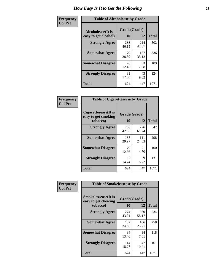| Frequency      | <b>Table of Alcoholease by Grade</b>              |                    |              |              |  |  |  |
|----------------|---------------------------------------------------|--------------------|--------------|--------------|--|--|--|
| <b>Col Pct</b> | <b>Alcoholease</b> (It is<br>easy to get alcohol) | Grade(Grade)<br>10 | 12           | <b>Total</b> |  |  |  |
|                | <b>Strongly Agree</b>                             | 288<br>46.15       | 214<br>47.87 | 502          |  |  |  |
|                | <b>Somewhat Agree</b>                             | 179<br>28.69       | 157<br>35.12 | 336          |  |  |  |
|                | <b>Somewhat Disagree</b>                          | 76<br>12.18        | 33<br>7.38   | 109          |  |  |  |
|                | <b>Strongly Disagree</b>                          | 81<br>12.98        | 43<br>9.62   | 124          |  |  |  |
|                | <b>Total</b>                                      | 624                | 447          | 1071         |  |  |  |

| Frequency      | <b>Table of Cigarettesease by Grade</b>                 |                    |              |              |
|----------------|---------------------------------------------------------|--------------------|--------------|--------------|
| <b>Col Pct</b> | Cigarettesease(It is<br>easy to get smoking<br>tobacco) | Grade(Grade)<br>10 | 12           | <b>Total</b> |
|                | <b>Strongly Agree</b>                                   | 266<br>42.63       | 276<br>61.74 | 542          |
|                | <b>Somewhat Agree</b>                                   | 187<br>29.97       | 111<br>24.83 | 298          |
|                | <b>Somewhat Disagree</b>                                | 79<br>12.66        | 21<br>4.70   | 100          |
|                | <b>Strongly Disagree</b>                                | 92<br>14.74        | 39<br>8.72   | 131          |
|                | <b>Total</b>                                            | 624                | 447          | 1071         |

| Frequency      |                                                                | <b>Table of Smokelessease by Grade</b> |              |              |  |  |  |  |
|----------------|----------------------------------------------------------------|----------------------------------------|--------------|--------------|--|--|--|--|
| <b>Col Pct</b> | <b>Smokelessease</b> (It is<br>easy to get chewing<br>tobacco) | Grade(Grade)<br>10                     | 12           | <b>Total</b> |  |  |  |  |
|                |                                                                |                                        |              |              |  |  |  |  |
|                | <b>Strongly Agree</b>                                          | 274<br>43.91                           | 260<br>58.17 | 534          |  |  |  |  |
|                | <b>Somewhat Agree</b>                                          | 152<br>24.36                           | 106<br>23.71 | 258          |  |  |  |  |
|                | <b>Somewhat Disagree</b>                                       | 84<br>13.46                            | 34<br>7.61   | 118          |  |  |  |  |
|                | <b>Strongly Disagree</b>                                       | 114<br>18.27                           | 47<br>10.51  | 161          |  |  |  |  |
|                | <b>Total</b>                                                   | 624                                    | 447          | 1071         |  |  |  |  |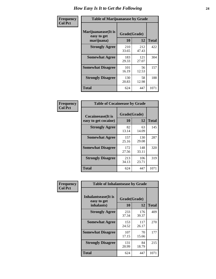| Frequency      | <b>Table of Marijuanaease by Grade</b>           |                    |              |              |
|----------------|--------------------------------------------------|--------------------|--------------|--------------|
| <b>Col Pct</b> | Marijuanaease(It is<br>easy to get<br>marijuana) | Grade(Grade)<br>10 | 12           | <b>Total</b> |
|                | <b>Strongly Agree</b>                            | 210<br>33.65       | 212<br>47.43 | 422          |
|                | <b>Somewhat Agree</b>                            | 183<br>29.33       | 121<br>27.07 | 304          |
|                | <b>Somewhat Disagree</b>                         | 101<br>16.19       | 56<br>12.53  | 157          |
|                | <b>Strongly Disagree</b>                         | 130<br>20.83       | 58<br>12.98  | 188          |
|                | <b>Total</b>                                     | 624                | 447          | 1071         |

| <b>Table of Cocaineease by Grade</b> |              |              |              |  |  |  |  |  |  |  |  |
|--------------------------------------|--------------|--------------|--------------|--|--|--|--|--|--|--|--|
| <b>Cocaineease</b> (It is            |              | Grade(Grade) |              |  |  |  |  |  |  |  |  |
| easy to get cocaine)                 | 10           | 12           | <b>Total</b> |  |  |  |  |  |  |  |  |
| <b>Strongly Agree</b>                | 82<br>13.14  | 63<br>14.09  | 145          |  |  |  |  |  |  |  |  |
| <b>Somewhat Agree</b>                | 157<br>25.16 | 130<br>29.08 | 287          |  |  |  |  |  |  |  |  |
| <b>Somewhat Disagree</b>             | 172<br>27.56 | 148<br>33.11 | 320          |  |  |  |  |  |  |  |  |
| <b>Strongly Disagree</b>             | 213<br>34.13 | 106<br>23.71 | 319          |  |  |  |  |  |  |  |  |
| <b>Total</b>                         | 624          | 447          | 1071         |  |  |  |  |  |  |  |  |

| Frequency      | <b>Table of Inhalantsease by Grade</b>     |              |              |              |
|----------------|--------------------------------------------|--------------|--------------|--------------|
| <b>Col Pct</b> | <b>Inhalantsease</b> (It is<br>easy to get | Grade(Grade) |              |              |
|                | inhalants)                                 | 10           | 12           | <b>Total</b> |
|                | <b>Strongly Agree</b>                      | 233<br>37.34 | 176<br>39.37 | 409          |
|                | <b>Somewhat Agree</b>                      | 153<br>24.52 | 117<br>26.17 | 270          |
|                | <b>Somewhat Disagree</b>                   | 107<br>17.15 | 70<br>15.66  | 177          |
|                | <b>Strongly Disagree</b>                   | 131<br>20.99 | 84<br>18.79  | 215          |
|                | <b>Total</b>                               | 624          | 447          | 1071         |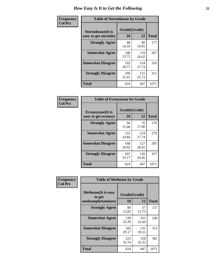| Frequency      | <b>Table of Steroidsease by Grade</b>               |                    |              |              |
|----------------|-----------------------------------------------------|--------------------|--------------|--------------|
| <b>Col Pct</b> | <b>Steroidsease</b> (It is<br>easy to get steroids) | Grade(Grade)<br>10 | 12           | <b>Total</b> |
|                | <b>Strongly Agree</b>                               | 88<br>14.10        | 89<br>19.91  | 177          |
|                | <b>Somewhat Agree</b>                               | 148<br>23.72       | 119<br>26.62 | 267          |
|                | <b>Somewhat Disagree</b>                            | 192<br>30.77       | 124<br>27.74 | 316          |
|                | <b>Strongly Disagree</b>                            | 196<br>31.41       | 115<br>25.73 | 311          |
|                | <b>Total</b>                                        | 624                | 447          | 1071         |

| Frequency      | <b>Table of Ecstasyease by Grade</b>              |                    |              |              |
|----------------|---------------------------------------------------|--------------------|--------------|--------------|
| <b>Col Pct</b> | <b>Ecstasyease</b> (It is<br>easy to get ecstasy) | Grade(Grade)<br>10 | 12           | <b>Total</b> |
|                | <b>Strongly Agree</b>                             | 94<br>15.06        | 76<br>17.00  | 170          |
|                | <b>Somewhat Agree</b>                             | 155<br>24.84       | 124<br>27.74 | 279          |
|                | <b>Somewhat Disagree</b>                          | 168<br>26.92       | 127<br>28.41 | 295          |
|                | <b>Strongly Disagree</b>                          | 207<br>33.17       | 120<br>26.85 | 327          |
|                | <b>Total</b>                                      | 624                | 447          | 1071         |

| Frequency      | <b>Table of Methease by Grade</b>                          |                    |                   |      |
|----------------|------------------------------------------------------------|--------------------|-------------------|------|
| <b>Col Pct</b> | <b>Methease</b> (It is easy<br>to get<br>methamphetamines) | Grade(Grade)<br>10 | <b>Total</b>      |      |
|                | <b>Strongly Agree</b>                                      | 80<br>12.82        | 12<br>57<br>12.75 | 137  |
|                | <b>Somewhat Agree</b>                                      | 139<br>22.28       | 101<br>22.60      | 240  |
|                | <b>Somewhat Disagree</b>                                   | 182<br>29.17       | 131<br>29.31      | 313  |
|                | <b>Strongly Disagree</b>                                   | 223<br>35.74       | 158<br>35.35      | 381  |
|                | Total                                                      | 624                | 447               | 1071 |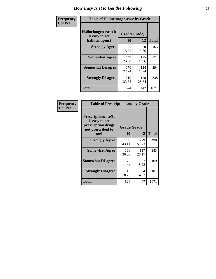| <b>Frequency</b> | <b>Table of Hallucinogensease by Grade</b>                |                    |              |              |
|------------------|-----------------------------------------------------------|--------------------|--------------|--------------|
| <b>Col Pct</b>   | Hallucinogensease(It)<br>is easy to get<br>hallucinogens) | Grade(Grade)<br>10 | 12           | <b>Total</b> |
|                  | <b>Strongly Agree</b>                                     | 95<br>15.22        | 70<br>15.66  | 165          |
|                  | <b>Somewhat Agree</b>                                     | 149<br>23.88       | 125<br>27.96 | 274          |
|                  | <b>Somewhat Disagree</b>                                  | 170<br>27.24       | 124<br>27.74 | 294          |
|                  | <b>Strongly Disagree</b>                                  | 210<br>33.65       | 128<br>28.64 | 338          |
|                  | <b>Total</b>                                              | 624                | 447          | 1071         |

| <b>Table of Prescriptionease by Grade</b>                                                |              |              |              |
|------------------------------------------------------------------------------------------|--------------|--------------|--------------|
| <b>Prescriptionease</b> (It<br>is easy to get<br>prescription drugs<br>not prescribed to | Grade(Grade) |              |              |
| me)                                                                                      | 10           | 12           | <b>Total</b> |
| <b>Strongly Agree</b>                                                                    | 269<br>43.11 | 229<br>51.23 | 498          |
| <b>Somewhat Agree</b>                                                                    | 166<br>26.60 | 117<br>26.17 | 283          |
| <b>Somewhat Disagree</b>                                                                 | 72<br>11.54  | 37<br>8.28   | 109          |
| <b>Strongly Disagree</b>                                                                 | 117<br>18.75 | 64<br>14.32  | 181          |
| <b>Total</b>                                                                             | 624          | 447          | 1071         |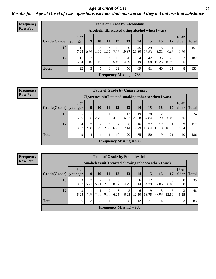*Age at Onset of Use* **27** *Results for "Age at Onset of Use" questions exclude students who said they did not use that substance*

| <b>Frequency</b> | <b>Table of Grade by Alcoholinit</b> |                        |           |           |           |            |                                                  |             |             |             |             |                       |              |
|------------------|--------------------------------------|------------------------|-----------|-----------|-----------|------------|--------------------------------------------------|-------------|-------------|-------------|-------------|-----------------------|--------------|
| <b>Row Pct</b>   |                                      |                        |           |           |           |            | Alcoholinit (I started using alcohol when I was) |             |             |             |             |                       |              |
|                  | Grade(Grade)                         | <b>8</b> or<br>younger | 9         | 10        | 11        | 12         | 13                                               | 14          | 15          | 16          | 17          | <b>18 or</b><br>older | <b>Total</b> |
|                  | 10                                   | 11<br>7.28             | 0.66      | 3<br>1.99 | 3<br>1.99 | 12<br>7.95 | 30<br>19.87                                      | 45<br>29.80 | 39<br>25.83 | 3.31        | 0.66        | 0.66                  | 151          |
|                  | 12                                   | 11<br>6.04             | 2<br>1.10 | 2<br>1.10 | 3<br>1.65 | 10<br>5.49 | 26<br>14.29                                      | 24<br>13.19 | 42<br>23.08 | 35<br>19.23 | 20<br>10.99 | 3.85                  | 182          |
|                  | <b>Total</b>                         | 22                     | 3         | 5         | 6         | 22         | 56                                               | 69          | 81          | 40          | 21          | 8                     | 333          |
|                  |                                      |                        |           |           |           |            | Frequency Missing $= 738$                        |             |             |             |             |                       |              |

| <b>Frequency</b> |  |
|------------------|--|
| <b>Row Pct</b>   |  |

| <b>Table of Grade by Cigarettesinit</b> |                        |           |                        |           |           |                           |                                                      |             |             |                  |                                |              |  |
|-----------------------------------------|------------------------|-----------|------------------------|-----------|-----------|---------------------------|------------------------------------------------------|-------------|-------------|------------------|--------------------------------|--------------|--|
|                                         |                        |           |                        |           |           |                           | Cigarettesinit(I started smoking tobacco when I was) |             |             |                  |                                |              |  |
| Grade(Grade)                            | 8 or<br>younger        | 9         | 10                     | 11        | 12        | 13                        | 14                                                   | 15          | 16          | 17               | <b>18 or</b><br>$\Omega$ older | <b>Total</b> |  |
| 10                                      | 6.76                   | 1.35      | 2.70                   | 1<br>1.35 | 3<br>4.05 | 12<br>16.22               | 19<br>25.68                                          | 28<br>37.84 | 2<br>2.70   | $\Omega$<br>0.00 | 1.35                           | 74           |  |
| 12                                      | $\overline{4}$<br>3.57 | 3<br>2.68 | $\overline{2}$<br>1.79 | 3<br>2.68 | 7<br>6.25 | 8<br>7.14                 | 16<br>14.29                                          | 22<br>19.64 | 17<br>15.18 | 21<br>18.75      | 9<br>8.04                      | 112          |  |
| <b>Total</b>                            | 9                      | 4         | $\overline{4}$         | 4         | 10        | 20                        | 35                                                   | 50          | 19          | 21               | 10                             | 186          |  |
|                                         |                        |           |                        |           |           | Frequency Missing $= 885$ |                                                      |             |             |                  |                                |              |  |

|              | <b>Table of Grade by Smokelessinit</b> |      |                        |                  |           |                                |            |             |                                                     |                  |                       |              |  |  |
|--------------|----------------------------------------|------|------------------------|------------------|-----------|--------------------------------|------------|-------------|-----------------------------------------------------|------------------|-----------------------|--------------|--|--|
|              |                                        |      |                        |                  |           |                                |            |             | Smokelessinit(I started chewing tobacco when I was) |                  |                       |              |  |  |
| Grade(Grade) | <b>8 or</b><br>vounger                 | 9    | 10                     | 11               | 12        | <b>13</b>                      | 14         | <b>15</b>   | 16                                                  | 17               | <b>18 or</b><br>older | <b>Total</b> |  |  |
| 10           | 3<br>8.57                              | 5.71 | $\mathfrak{D}$<br>5.71 | 2.86             | 3<br>8.57 | 5<br>14.29                     | 6<br>17.14 | 12<br>34.29 | 2.86                                                | $\Omega$<br>0.00 | $\left($<br>0.00      | 35           |  |  |
| 12           | 3<br>6.25                              | 2.08 | 2.08                   | $\Omega$<br>0.00 | 3<br>6.25 | 3<br>6.25                      | 6<br>12.50 | 9<br>18.75  | 13<br>27.08                                         | 6<br>12.50       | 3<br>6.25             | 48           |  |  |
| <b>Total</b> | 6                                      | 3    | 3                      |                  | 6         | 8                              | 12         | 21          | 14                                                  | 6                | 3                     | 83           |  |  |
|              |                                        |      |                        |                  |           | <b>Frequency Missing = 988</b> |            |             |                                                     |                  |                       |              |  |  |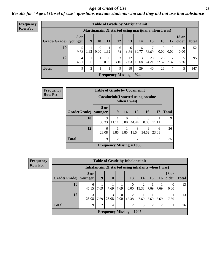#### *Age at Onset of Use* **28**

*Results for "Age at Onset of Use" questions exclude students who said they did not use that substance*

| <b>Frequency</b> | <b>Table of Grade by Marijuanainit</b> |                        |                |                      |                  |                                                      |             |             |             |                  |                  |                       |              |
|------------------|----------------------------------------|------------------------|----------------|----------------------|------------------|------------------------------------------------------|-------------|-------------|-------------|------------------|------------------|-----------------------|--------------|
| <b>Row Pct</b>   |                                        |                        |                |                      |                  | Marijuanainit (I started using marijuana when I was) |             |             |             |                  |                  |                       |              |
|                  | Grade(Grade)                           | <b>8</b> or<br>younger | 9              | 10                   | 11               | 12                                                   | 13          | 14          | 15          | 16               | 17               | <b>18 or</b><br>older | <b>Total</b> |
|                  | 10                                     | 9.62                   | .92            | $\theta$<br>$0.00\,$ | 1.92             | 6<br>11.54                                           | 6<br>11.54  | 16<br>30.77 | 17<br>32.69 | $\Omega$<br>0.00 | $\left($<br>0.00 | $\Omega$<br>0.00      | 52           |
|                  | 12                                     | $\overline{4}$<br>4.21 | 1.05           | 1.05                 | $\theta$<br>0.00 | 3<br>3.16                                            | 12<br>12.63 | 13<br>13.68 | 23<br>24.21 | 26<br>27.37      | 7<br>7.37        | 5.26                  | 95           |
|                  | <b>Total</b>                           | 9                      | $\overline{2}$ |                      |                  | 9                                                    | 18          | 29          | 40          | 26               | 7                | 5                     | 147          |
|                  |                                        |                        |                |                      |                  | Frequency Missing $= 924$                            |             |             |             |                  |                  |                       |              |

| Frequency      |              | <b>Table of Grade by Cocaineinit</b>  |                |                  |            |            |            |              |
|----------------|--------------|---------------------------------------|----------------|------------------|------------|------------|------------|--------------|
| <b>Row Pct</b> |              | Cocaine init (I started using cocaine |                | when I was)      |            |            |            |              |
|                | Grade(Grade) | 8 or<br>younger                       | 9              | 14               | 15         | <b>16</b>  | 17         | <b>Total</b> |
|                | 10           | 3<br>33.33                            | 11.11          | $\Omega$<br>0.00 | 4<br>44.44 | 0.00       | 11.11      | 9            |
|                | 12           | 6<br>23.08                            | 3.85           | 3.85             | 3<br>11.54 | 9<br>34.62 | 6<br>23.08 | 26           |
|                | <b>Total</b> | 9                                     | $\overline{c}$ |                  | 7          | 9          | 7          | 35           |
|                |              | Frequency Missing $= 1036$            |                |                  |            |            |            |              |

| <b>Frequency</b> |                        |            |                |            |                  |                            |                                                     |                | <b>Table of Grade by Inhalantsinit</b> |                       |              |  |  |  |  |  |  |  |  |
|------------------|------------------------|------------|----------------|------------|------------------|----------------------------|-----------------------------------------------------|----------------|----------------------------------------|-----------------------|--------------|--|--|--|--|--|--|--|--|
| <b>Row Pct</b>   |                        |            |                |            |                  |                            | Inhalantsinit(I started using inhalants when I was) |                |                                        |                       |              |  |  |  |  |  |  |  |  |
|                  | Grade(Grade)   younger | 8 or       | 9              | 10         | <b>11</b>        | 13                         | 14                                                  | 15             | <b>16</b>                              | <b>18 or</b><br>older | <b>Total</b> |  |  |  |  |  |  |  |  |
|                  | 10                     | 6<br>46.15 | 7.69           | 7.69       | 7.69             | $\left($<br>$0.00\,$       | 15.38                                               | 7.69           | 7.69                                   | 0<br>0.00             | 13           |  |  |  |  |  |  |  |  |
|                  | 12                     | 3<br>23.08 | 7.69           | 3<br>23.08 | $\Omega$<br>0.00 | 15.38                      | 7.69                                                | 7.69           | 7.69                                   | 7.69                  | 13           |  |  |  |  |  |  |  |  |
|                  | <b>Total</b>           | 9          | $\overline{2}$ | 4          |                  | $\overline{2}$             | 3                                                   | $\overline{2}$ | $\overline{2}$                         |                       | 26           |  |  |  |  |  |  |  |  |
|                  |                        |            |                |            |                  | Frequency Missing $= 1045$ |                                                     |                |                                        |                       |              |  |  |  |  |  |  |  |  |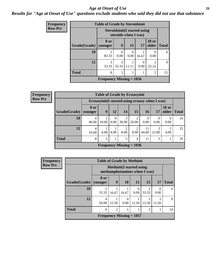#### *Age at Onset of Use* **29**

### *Results for "Age at Onset of Use" questions exclude students who said they did not use that substance*

| Frequency      |              | <b>Table of Grade by Steroidsinit</b> |                                                             |           |                  |                        |              |
|----------------|--------------|---------------------------------------|-------------------------------------------------------------|-----------|------------------|------------------------|--------------|
| <b>Row Pct</b> |              |                                       | <b>Steroidsinit(I started using</b><br>steroids when I was) |           |                  |                        |              |
|                | Grade(Grade) | 8 or<br>younger                       | 9                                                           | 15        | 17               | <b>18 or</b><br>older  | <b>Total</b> |
|                | 10           | 5<br>83.33                            | 0<br>0.00                                                   | 0<br>0.00 | 16.67            | $\theta$<br>0.00       | 6            |
|                | 12           | 3<br>33.33                            | 3<br>33.33                                                  | 11.11     | $\Omega$<br>0.00 | $\mathcal{D}$<br>22.22 | 9            |
|                | <b>Total</b> | 8                                     | 3                                                           | 1         |                  | $\overline{2}$         | 15           |
|                |              | Frequency Missing $= 1056$            |                                                             |           |                  |                        |              |

| <b>Frequency</b> |              |                 |       |                  |                        | <b>Table of Grade by Ecstasyinit</b> |                  |                                                  |                                |              |
|------------------|--------------|-----------------|-------|------------------|------------------------|--------------------------------------|------------------|--------------------------------------------------|--------------------------------|--------------|
| <b>Row Pct</b>   |              |                 |       |                  |                        |                                      |                  | Ecstasyinit (I started using ecstasy when I was) |                                |              |
|                  | Grade(Grade) | 8 or<br>younger | 9     | 12               | 14                     | <b>15</b>                            | 16               | 17                                               | <b>18 or</b><br>$\Omega$ older | <b>Total</b> |
|                  | 10           | 4<br>40.00      | 10.00 | $\Omega$<br>0.00 | 3<br>30.00             | ◠<br>20.00                           | $\theta$<br>0.00 | 0<br>0.00                                        | $\theta$<br>0.00               | 10           |
|                  | 12           | 4<br>16.00      | 4.00  | 4.00             | $\overline{2}$<br>8.00 | 2<br>8.00                            | 11<br>44.00      | 3<br>12.00                                       | 4.00                           | 25           |
|                  | <b>Total</b> | 8               | 2     |                  | 5                      | 4                                    | 11               | 3                                                |                                | 35           |
|                  |              |                 |       |                  |                        | Frequency Missing $= 1036$           |                  |                                                  |                                |              |

| Frequency      |              | <b>Table of Grade by Methinit</b> |                |                                                                  |                  |                 |           |              |  |  |  |
|----------------|--------------|-----------------------------------|----------------|------------------------------------------------------------------|------------------|-----------------|-----------|--------------|--|--|--|
| <b>Row Pct</b> |              |                                   |                | <b>Methinit</b> (I started using<br>methamphetamines when I was) |                  |                 |           |              |  |  |  |
|                | Grade(Grade) | 8 or<br>vounger                   | 9              | <b>10</b>                                                        | <b>11</b>        | 15 <sup>1</sup> | 17        | <b>Total</b> |  |  |  |
|                | 10           | ി<br>33.33                        | 16.67          | 16.67                                                            | $\Omega$<br>0.00 | 2<br>33.33      | 0<br>0.00 | 6            |  |  |  |
|                | 12           | 4<br>50.00                        | 12.50          | 0.00                                                             | 12.50            | 12.50           | 12.50     | 8            |  |  |  |
|                | <b>Total</b> | 6                                 | $\mathfrak{D}$ |                                                                  |                  | 3               |           | 14           |  |  |  |
|                |              | Frequency Missing $= 1057$        |                |                                                                  |                  |                 |           |              |  |  |  |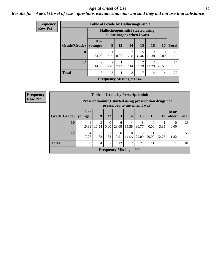#### Age at Onset of Use **30**

*Results for "Age at Onset of Use" questions exclude students who said they did not use that substance*

| Frequency      | <b>Table of Grade by Hallucinogensinit</b> |                         |                        |                  |                            |                                                                 |                         |                  |              |  |
|----------------|--------------------------------------------|-------------------------|------------------------|------------------|----------------------------|-----------------------------------------------------------------|-------------------------|------------------|--------------|--|
| <b>Row Pct</b> |                                            |                         |                        |                  |                            | Hallucinogensinit (I started using<br>hallucinogens when I was) |                         |                  |              |  |
|                | Grade(Grade)   younger                     | 8 or                    | 9                      | 13               | 14                         | 15                                                              | <b>16</b>               | 17               | <b>Total</b> |  |
|                | 10                                         | 3<br>23.08              | 7.69                   | $\Omega$<br>0.00 | 2<br>15.38                 | 5<br>38.46                                                      | $\mathfrak{D}$<br>15.38 | $\Omega$<br>0.00 | 13           |  |
|                | 12                                         | $\mathfrak{D}$<br>14.29 | $\mathcal{D}$<br>14.29 | 7.14             | 7.14                       | $\mathfrak{D}$<br>14.29                                         | っ<br>14.29              | 4<br>28.57       | 14           |  |
|                | <b>Total</b>                               | 5                       | 3                      | 1                | 3                          | 7                                                               | 4                       | 4                | 27           |  |
|                |                                            |                         |                        |                  | Frequency Missing $= 1044$ |                                                                 |                         |                  |              |  |

| <b>Frequency</b> |
|------------------|
| <b>Row Pct</b>   |

| <b>Table of Grade by Prescriptioninit</b> |                                                                                            |            |                  |            |            |             |                  |       |                       |              |  |
|-------------------------------------------|--------------------------------------------------------------------------------------------|------------|------------------|------------|------------|-------------|------------------|-------|-----------------------|--------------|--|
|                                           | Prescription in it (I started using prescription drugs not<br>prescribed to me when I was) |            |                  |            |            |             |                  |       |                       |              |  |
| $ $ Grade(Grade) $ $                      | 8 or<br>younger                                                                            | <b>Q</b>   | 12               | 13         | 14         | 15          | 16               | 17    | <b>18 or</b><br>older | <b>Total</b> |  |
| 10                                        | 4<br>15.38                                                                                 | 3<br>11.54 | $\Omega$<br>0.00 | 6<br>23.08 | 4<br>15.38 | 8<br>30.77  | $\Omega$<br>0.00 | 3.85  | 0.00                  | 26           |  |
| 12                                        | 4<br>7.27                                                                                  | 1.82       | 1.82             | 6<br>10.91 | 8<br>14.55 | 16<br>29.09 | 11<br>20.00      | 12.73 | 1.82                  | 55           |  |
| <b>Total</b>                              | 8                                                                                          | 4          | 1                | 12         | 12         | 24          | 11               | 8     |                       | 81           |  |
|                                           | <b>Frequency Missing = 990</b>                                                             |            |                  |            |            |             |                  |       |                       |              |  |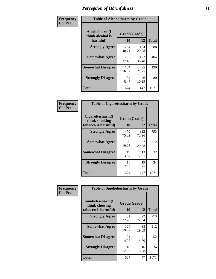| Frequency      |                                               | <b>Table of Alcoholharm by Grade</b> |              |              |  |  |  |  |  |
|----------------|-----------------------------------------------|--------------------------------------|--------------|--------------|--|--|--|--|--|
| <b>Col Pct</b> | Alcoholharm(I<br>think alcohol is<br>harmful) | Grade(Grade)<br>10                   | 12           | <b>Total</b> |  |  |  |  |  |
|                | <b>Strongly Agree</b>                         | 254<br>40.71                         | 134<br>29.98 | 388          |  |  |  |  |  |
|                | <b>Somewhat Agree</b>                         | 232<br>37.18                         | 172<br>38.48 | 404          |  |  |  |  |  |
|                | <b>Somewhat Disagree</b>                      | 104<br>16.67                         | 95<br>21.25  | 199          |  |  |  |  |  |
|                | <b>Strongly Disagree</b>                      | 34<br>5.45                           | 46<br>10.29  | 80           |  |  |  |  |  |
|                | <b>Total</b>                                  | 624                                  | 447          | 1071         |  |  |  |  |  |

| <b>Table of Cigarettesharm by Grade</b>                  |                    |              |              |  |  |  |  |  |
|----------------------------------------------------------|--------------------|--------------|--------------|--|--|--|--|--|
| Cigarettesharm(I<br>think smoking<br>tobacco is harmful) | Grade(Grade)<br>10 | 12           | <b>Total</b> |  |  |  |  |  |
| <b>Strongly Agree</b>                                    | 470<br>75.32       | 323<br>72.26 | 793          |  |  |  |  |  |
| <b>Somewhat Agree</b>                                    | 120<br>19.23       | 92<br>20.58  | 212          |  |  |  |  |  |
| <b>Somewhat Disagree</b>                                 | 19<br>3.04         | 13<br>2.91   | 32           |  |  |  |  |  |
| <b>Strongly Disagree</b>                                 | 15<br>2.40         | 19<br>4.25   | 34           |  |  |  |  |  |
| <b>Total</b>                                             | 624                | 447          | 1071         |  |  |  |  |  |

| Frequency      | <b>Table of Smokelessharm by Grade</b>                  |                    |              |              |
|----------------|---------------------------------------------------------|--------------------|--------------|--------------|
| <b>Col Pct</b> | Smokelessharm(I<br>think chewing<br>tobacco is harmful) | Grade(Grade)<br>10 | 12           | <b>Total</b> |
|                | <b>Strongly Agree</b>                                   | 451<br>72.28       | 322<br>72.04 | 773          |
|                | <b>Somewhat Agree</b>                                   | 124<br>19.87       | 88<br>19.69  | 212          |
|                | <b>Somewhat Disagree</b>                                | 31<br>4.97         | 21<br>4.70   | 52           |
|                | <b>Strongly Disagree</b>                                | 18<br>2.88         | 16<br>3.58   | 34           |
|                | <b>Total</b>                                            | 624                | 447          | 1071         |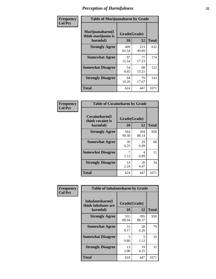| Frequency      | <b>Table of Marijuanaharm by Grade</b>            |                    |              |              |
|----------------|---------------------------------------------------|--------------------|--------------|--------------|
| <b>Col Pct</b> | Marijuanaharm(I<br>think marijuana is<br>harmful) | Grade(Grade)<br>10 | 12           | <b>Total</b> |
|                | <b>Strongly Agree</b>                             | 409<br>65.54       | 223<br>49.89 | 632          |
|                | <b>Somewhat Agree</b>                             | 97<br>15.54        | 77<br>17.23  | 174          |
|                | <b>Somewhat Disagree</b>                          | 54<br>8.65         | 68<br>15.21  | 122          |
|                | <b>Strongly Disagree</b>                          | 64<br>10.26        | 79<br>17.67  | 143          |
|                | <b>Total</b>                                      | 624                | 447          | 1071         |

| <b>Table of Cocaineharm by Grade</b>          |                    |              |              |  |  |
|-----------------------------------------------|--------------------|--------------|--------------|--|--|
| Cocaineharm(I<br>think cocaine is<br>harmful) | Grade(Grade)<br>10 | 12           | <b>Total</b> |  |  |
| <b>Strongly Agree</b>                         | 564<br>90.38       | 394<br>88.14 | 958          |  |  |
| <b>Somewhat Agree</b>                         | 39<br>6.25         | 29<br>6.49   | 68           |  |  |
| <b>Somewhat Disagree</b>                      | 7<br>1.12          | 4<br>0.89    | 11           |  |  |
| <b>Strongly Disagree</b>                      | 14<br>2.24         | 20<br>4.47   | 34           |  |  |
| <b>Total</b>                                  | 624                | 447          | 1071         |  |  |

| Frequency      | <b>Table of Inhalantsharm by Grade</b> |              |              |              |  |
|----------------|----------------------------------------|--------------|--------------|--------------|--|
| <b>Col Pct</b> | Inhalantsharm(I<br>think inhalants are | Grade(Grade) |              |              |  |
|                | harmful)                               | 10           | 12           | <b>Total</b> |  |
|                | <b>Strongly Agree</b>                  | 555<br>88.94 | 395<br>88.37 | 950          |  |
|                | <b>Somewhat Agree</b>                  | 51<br>8.17   | 28<br>6.26   | 79           |  |
|                | <b>Somewhat Disagree</b>               | 5<br>0.80    | 5<br>1.12    | 10           |  |
|                | <b>Strongly Disagree</b>               | 13<br>2.08   | 19<br>4.25   | 32           |  |
|                | <b>Total</b>                           | 624          | 447          | 1071         |  |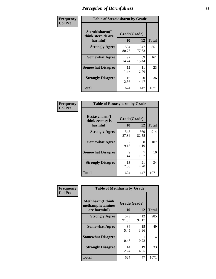| Frequency      | <b>Table of Steroidsharm by Grade</b>            |                    |              |              |
|----------------|--------------------------------------------------|--------------------|--------------|--------------|
| <b>Col Pct</b> | Steroidsharm(I<br>think steroids are<br>harmful) | Grade(Grade)<br>10 | 12           | <b>Total</b> |
|                | <b>Strongly Agree</b>                            | 504<br>80.77       | 347<br>77.63 | 851          |
|                | <b>Somewhat Agree</b>                            | 92<br>14.74        | 69<br>15.44  | 161          |
|                | <b>Somewhat Disagree</b>                         | 12<br>1.92         | 11<br>2.46   | 23           |
|                | <b>Strongly Disagree</b>                         | 16<br>2.56         | 20<br>4.47   | 36           |
|                | <b>Total</b>                                     | 624                | 447          | 1071         |

| <b>Table of Ecstasyharm by Grade</b>          |                    |              |              |  |  |  |
|-----------------------------------------------|--------------------|--------------|--------------|--|--|--|
| Ecstasyharm(I<br>think ecstasy is<br>harmful) | Grade(Grade)<br>10 | 12           | <b>Total</b> |  |  |  |
| <b>Strongly Agree</b>                         | 545<br>87.34       | 369<br>82.55 | 914          |  |  |  |
| <b>Somewhat Agree</b>                         | 57<br>9.13         | 50<br>11.19  | 107          |  |  |  |
| <b>Somewhat Disagree</b>                      | 9<br>1.44          | 7<br>1.57    | 16           |  |  |  |
| <b>Strongly Disagree</b>                      | 13<br>2.08         | 21<br>4.70   | 34           |  |  |  |
| <b>Total</b>                                  | 624                | 447          | 1071         |  |  |  |

| Frequency      | <b>Table of Methharm by Grade</b>                            |              |                    |              |  |
|----------------|--------------------------------------------------------------|--------------|--------------------|--------------|--|
| <b>Col Pct</b> | <b>Methharm</b> (I think<br>methamphetamines<br>are harmful) | <b>10</b>    | Grade(Grade)<br>12 | <b>Total</b> |  |
|                | <b>Strongly Agree</b>                                        | 573<br>91.83 | 412<br>92.17       | 985          |  |
|                | <b>Somewhat Agree</b>                                        | 34<br>5.45   | 15<br>3.36         | 49           |  |
|                | <b>Somewhat Disagree</b>                                     | 3<br>0.48    | 0.22               | 4            |  |
|                | <b>Strongly Disagree</b>                                     | 14<br>2.24   | 19<br>4.25         | 33           |  |
|                | <b>Total</b>                                                 | 624          | 447                | 1071         |  |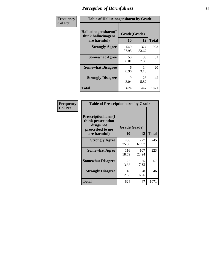| Frequency      | <b>Table of Hallucinogensharm by Grade</b>                 |                    |              |              |
|----------------|------------------------------------------------------------|--------------------|--------------|--------------|
| <b>Col Pct</b> | Hallucinogensharm(I<br>think hallucinogens<br>are harmful) | Grade(Grade)<br>10 | 12           | <b>Total</b> |
|                | <b>Strongly Agree</b>                                      | 549<br>87.98       | 374<br>83.67 | 923          |
|                | <b>Somewhat Agree</b>                                      | 50<br>8.01         | 33<br>7.38   | 83           |
|                | <b>Somewhat Disagree</b>                                   | 6<br>0.96          | 14<br>3.13   | 20           |
|                | <b>Strongly Disagree</b>                                   | 19<br>3.04         | 26<br>5.82   | 45           |
|                | <b>Total</b>                                               | 624                | 447          | 1071         |

| <b>Table of Prescriptionharm by Grade</b>                                 |              |              |              |  |
|---------------------------------------------------------------------------|--------------|--------------|--------------|--|
| Prescriptionharm(I<br>think prescription<br>drugs not<br>prescribed to me | Grade(Grade) |              |              |  |
| are harmful)                                                              | 10           | 12           | <b>Total</b> |  |
| <b>Strongly Agree</b>                                                     | 468<br>75.00 | 277<br>61.97 | 745          |  |
| <b>Somewhat Agree</b>                                                     | 116<br>18.59 | 107<br>23.94 | 223          |  |
| <b>Somewhat Disagree</b>                                                  | 22<br>3.53   | 35<br>7.83   | 57           |  |
| <b>Strongly Disagree</b>                                                  | 18<br>2.88   | 28<br>6.26   | 46           |  |
| <b>Total</b>                                                              | 624          | 447          | 1071         |  |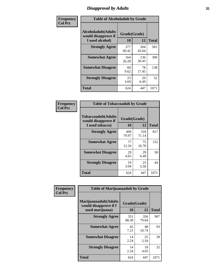# *Disapproval by Adults* **35**

| Frequency      | <b>Table of Alcoholadult by Grade</b>                                 |                    |              |              |  |
|----------------|-----------------------------------------------------------------------|--------------------|--------------|--------------|--|
| <b>Col Pct</b> | <b>Alcoholadult</b> (Adults<br>would disapprove if<br>I used alcohol) | Grade(Grade)<br>10 | 12           | <b>Total</b> |  |
|                | <b>Strongly Agree</b>                                                 | 377<br>60.42       | 204<br>45.64 | 581          |  |
|                | <b>Somewhat Agree</b>                                                 | 164<br>26.28       | 136<br>30.43 | 300          |  |
|                | <b>Somewhat Disagree</b>                                              | 60<br>9.62         | 78<br>17.45  | 138          |  |
|                | <b>Strongly Disagree</b>                                              | 23<br>3.69         | 29<br>6.49   | 52           |  |
|                | <b>Total</b>                                                          | 624                | 447          | 1071         |  |

| <b>Table of Tobaccoadult by Grade</b>                                 |                    |              |              |  |  |
|-----------------------------------------------------------------------|--------------------|--------------|--------------|--|--|
| <b>Tobaccoadult</b> (Adults<br>would disapprove if<br>I used tobacco) | Grade(Grade)<br>10 | 12           | <b>Total</b> |  |  |
| <b>Strongly Agree</b>                                                 | 499<br>79.97       | 318<br>71.14 | 817          |  |  |
| <b>Somewhat Agree</b>                                                 | 77<br>12.34        | 75<br>16.78  | 152          |  |  |
| <b>Somewhat Disagree</b>                                              | 29<br>4.65         | 29<br>6.49   | 58           |  |  |
| <b>Strongly Disagree</b>                                              | 19<br>3.04         | 25<br>5.59   | 44           |  |  |
| Total                                                                 | 624                | 447          | 1071         |  |  |

| Frequency      | <b>Table of Marijuanaadult by Grade</b>                           |                    |              |              |  |
|----------------|-------------------------------------------------------------------|--------------------|--------------|--------------|--|
| <b>Col Pct</b> | Marijuanaadult(Adults<br>would disapprove if I<br>used marijuana) | Grade(Grade)<br>10 | 12           | <b>Total</b> |  |
|                | <b>Strongly Agree</b>                                             | 551<br>88.30       | 356<br>79.64 | 907          |  |
|                | <b>Somewhat Agree</b>                                             | 45<br>7.21         | 48<br>10.74  | 93           |  |
|                | <b>Somewhat Disagree</b>                                          | 14<br>2.24         | 25<br>5.59   | 39           |  |
|                | <b>Strongly Disagree</b>                                          | 14<br>2.24         | 18<br>4.03   | 32           |  |
|                | <b>Total</b>                                                      | 624                | 447          | 1071         |  |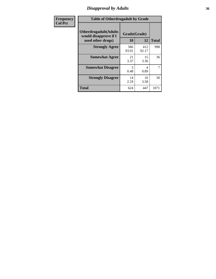# *Disapproval by Adults* **36**

| Frequency      | <b>Table of Otherdrugadult by Grade</b>                                     |                    |              |              |
|----------------|-----------------------------------------------------------------------------|--------------------|--------------|--------------|
| <b>Col Pct</b> | <b>Otherdrugadult</b> (Adults<br>would disapprove if I<br>used other drugs) | Grade(Grade)<br>10 | 12           | <b>Total</b> |
|                | <b>Strongly Agree</b>                                                       | 586<br>93.91       | 412<br>92.17 | 998          |
|                | <b>Somewhat Agree</b>                                                       | 21<br>3.37         | 15<br>3.36   | 36           |
|                | <b>Somewhat Disagree</b>                                                    | 3<br>0.48          | 4<br>0.89    | 7            |
|                | <b>Strongly Disagree</b>                                                    | 14<br>2.24         | 16<br>3.58   | 30           |
|                | <b>Total</b>                                                                | 624                | 447          | 1071         |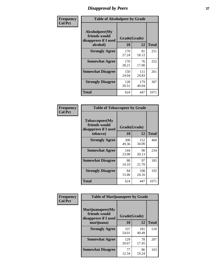# *Disapproval by Peers* **37**

| Frequency      | <b>Table of Alcoholpeer by Grade</b>                    |              |              |              |
|----------------|---------------------------------------------------------|--------------|--------------|--------------|
| <b>Col Pct</b> | Alcoholpeer(My<br>friends would<br>disapprove if I used | Grade(Grade) |              |              |
|                | alcohol)                                                | 10           | 12           | <b>Total</b> |
|                | <b>Strongly Agree</b>                                   | 170<br>27.24 | 81<br>18.12  | 251          |
|                | <b>Somewhat Agree</b>                                   | 176<br>28.21 | 76<br>17.00  | 252          |
|                | <b>Somewhat Disagree</b>                                | 150<br>24.04 | 111<br>24.83 | 261          |
|                | <b>Strongly Disagree</b>                                | 128<br>20.51 | 179<br>40.04 | 307          |
|                | Total                                                   | 624          | 447          | 1071         |

| Frequency      | <b>Table of Tobaccopeer by Grade</b>                                |                    |              |              |  |
|----------------|---------------------------------------------------------------------|--------------------|--------------|--------------|--|
| <b>Col Pct</b> | Tobaccopeer(My<br>friends would<br>disapprove if I used<br>tobacco) | Grade(Grade)<br>10 | 12           | <b>Total</b> |  |
|                | <b>Strongly Agree</b>                                               | 308<br>49.36       | 152<br>34.00 | 460          |  |
|                | <b>Somewhat Agree</b>                                               | 144<br>23.08       | 90<br>20.13  | 234          |  |
|                | <b>Somewhat Disagree</b>                                            | 88<br>14.10        | 97<br>21.70  | 185          |  |
|                | <b>Strongly Disagree</b>                                            | 84<br>13.46        | 108<br>24.16 | 192          |  |
|                | Total                                                               | 624                | 447          | 1071         |  |

| Frequency<br><b>Col Pct</b> | <b>Table of Marijuanapeer by Grade</b>                    |              |              |              |
|-----------------------------|-----------------------------------------------------------|--------------|--------------|--------------|
|                             | Marijuanapeer(My<br>friends would<br>disapprove if I used | Grade(Grade) |              |              |
|                             | marijuana)                                                | <b>10</b>    | 12           | <b>Total</b> |
|                             | <b>Strongly Agree</b>                                     | 337<br>54.01 | 181<br>40.49 | 518          |
|                             | <b>Somewhat Agree</b>                                     | 129<br>20.67 | 78<br>17.45  | 207          |
|                             | <b>Somewhat Disagree</b>                                  | 77<br>12.34  | 86<br>19.24  | 163          |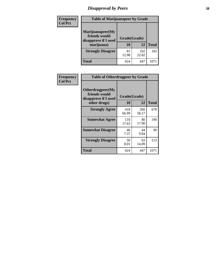# *Disapproval by Peers* **38**

| Frequency<br><b>Col Pct</b> | <b>Table of Marijuanapeer by Grade</b>                                  |                    |              |              |
|-----------------------------|-------------------------------------------------------------------------|--------------------|--------------|--------------|
|                             | Marijuanapeer(My<br>friends would<br>disapprove if I used<br>marijuana) | Grade(Grade)<br>10 | 12           | <b>Total</b> |
|                             | <b>Strongly Disagree</b>                                                | 81<br>12.98        | 102<br>22.82 | 183          |
|                             | Total                                                                   | 624                | 447          | 107          |

| Frequency      | <b>Table of Otherdrugpeer by Grade</b>                                    |                    |              |              |
|----------------|---------------------------------------------------------------------------|--------------------|--------------|--------------|
| <b>Col Pct</b> | Otherdrugpeer(My<br>friends would<br>disapprove if I used<br>other drugs) | Grade(Grade)<br>10 | 12           | <b>Total</b> |
|                | <b>Strongly Agree</b>                                                     | 418<br>66.99       | 260<br>58.17 | 678          |
|                | <b>Somewhat Agree</b>                                                     | 110<br>17.63       | 80<br>17.90  | 190          |
|                | <b>Somewhat Disagree</b>                                                  | 46<br>7.37         | 44<br>9.84   | 90           |
|                | <b>Strongly Disagree</b>                                                  | 50<br>8.01         | 63<br>14.09  | 113          |
|                | <b>Total</b>                                                              | 624                | 447          | 1071         |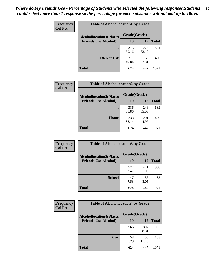| Frequency      | <b>Table of Alcohollocation1 by Grade</b> |              |              |              |
|----------------|-------------------------------------------|--------------|--------------|--------------|
| <b>Col Pct</b> | <b>Alcohollocation1(Places</b>            | Grade(Grade) |              |              |
|                | <b>Friends Use Alcohol)</b>               | 10           | 12           | <b>Total</b> |
|                |                                           | 313<br>50.16 | 278<br>62.19 | 591          |
|                | Do Not Use                                | 311<br>49.84 | 169<br>37.81 | 480          |
|                | <b>Total</b>                              | 624          | 447          | 1071         |

| <b>Frequency</b> | <b>Table of Alcohollocation2 by Grade</b> |              |              |              |
|------------------|-------------------------------------------|--------------|--------------|--------------|
| <b>Col Pct</b>   | <b>Alcohollocation2(Places</b>            | Grade(Grade) |              |              |
|                  | <b>Friends Use Alcohol)</b>               | 10           | 12           | <b>Total</b> |
|                  |                                           | 386<br>61.86 | 246<br>55.03 | 632          |
|                  | Home                                      | 238<br>38.14 | 201<br>44.97 | 439          |
|                  | <b>Total</b>                              | 624          | 447          | 1071         |

| Frequency<br><b>Col Pct</b> | <b>Table of Alcohollocation 3 by Grade</b> |              |              |              |
|-----------------------------|--------------------------------------------|--------------|--------------|--------------|
|                             | <b>Alcohollocation3(Places</b>             | Grade(Grade) |              |              |
|                             | <b>Friends Use Alcohol)</b>                | 10           | 12           | <b>Total</b> |
|                             |                                            | 577<br>92.47 | 411<br>91.95 | 988          |
|                             | <b>School</b>                              | 47<br>7.53   | 36<br>8.05   | 83           |
|                             | <b>Total</b>                               | 624          | 447          | 1071         |

| <b>Frequency</b> | <b>Table of Alcohollocation4 by Grade</b> |              |              |              |  |
|------------------|-------------------------------------------|--------------|--------------|--------------|--|
| <b>Col Pct</b>   | <b>Alcohollocation4(Places</b>            | Grade(Grade) |              |              |  |
|                  | <b>Friends Use Alcohol)</b>               | 10           | 12           | <b>Total</b> |  |
|                  |                                           | 566<br>90.71 | 397<br>88.81 | 963          |  |
|                  | Car                                       | 58<br>9.29   | 50<br>11.19  | 108          |  |
|                  | <b>Total</b>                              | 624          | 447          | 1071         |  |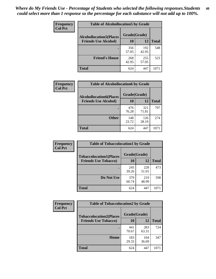| <b>Frequency</b><br><b>Col Pct</b> | <b>Table of Alcohollocation5 by Grade</b> |              |              |              |  |
|------------------------------------|-------------------------------------------|--------------|--------------|--------------|--|
|                                    | <b>Alcohollocation5</b> (Places           | Grade(Grade) |              |              |  |
|                                    | <b>Friends Use Alcohol)</b>               | 10           | 12           | <b>Total</b> |  |
|                                    |                                           | 356<br>57.05 | 192<br>42.95 | 548          |  |
|                                    | <b>Friend's House</b>                     | 268<br>42.95 | 255<br>57.05 | 523          |  |
|                                    | Total                                     | 624          | 447          | 1071         |  |

| Frequency      | <b>Table of Alcohollocation6 by Grade</b>                     |                    |              |              |
|----------------|---------------------------------------------------------------|--------------------|--------------|--------------|
| <b>Col Pct</b> | <b>Alcohollocation6(Places</b><br><b>Friends Use Alcohol)</b> | Grade(Grade)<br>10 | 12           | <b>Total</b> |
|                |                                                               | 476<br>76.28       | 321<br>71.81 | 797          |
|                | <b>Other</b>                                                  | 148<br>23.72       | 126<br>28.19 | 274          |
|                | <b>Total</b>                                                  | 624                | 447          | 1071         |

| Frequency<br><b>Col Pct</b> | <b>Table of Tobaccolocation1 by Grade</b> |              |              |              |
|-----------------------------|-------------------------------------------|--------------|--------------|--------------|
|                             | <b>Tobaccolocation1(Places</b>            | Grade(Grade) |              |              |
|                             | <b>Friends Use Tobacco)</b>               | 10           | 12           | <b>Total</b> |
|                             |                                           | 245<br>39.26 | 228<br>51.01 | 473          |
|                             | Do Not Use                                | 379<br>60.74 | 219<br>48.99 | 598          |
|                             | <b>Total</b>                              | 624          | 447          | 1071         |

| Frequency      | <b>Table of Tobaccolocation2 by Grade</b> |              |              |              |  |
|----------------|-------------------------------------------|--------------|--------------|--------------|--|
| <b>Col Pct</b> | <b>Tobaccolocation2(Places</b>            | Grade(Grade) |              |              |  |
|                | <b>Friends Use Tobacco)</b>               | 10           | 12           | <b>Total</b> |  |
|                |                                           | 441<br>70.67 | 283<br>63.31 | 724          |  |
|                | Home                                      | 183<br>29.33 | 164<br>36.69 | 347          |  |
|                | <b>Total</b>                              | 624          | 447          | 1071         |  |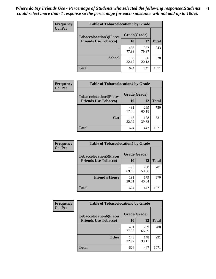| Frequency      | <b>Table of Tobaccolocation 3 by Grade</b> |              |              |              |  |
|----------------|--------------------------------------------|--------------|--------------|--------------|--|
| <b>Col Pct</b> | <b>Tobaccolocation3(Places</b>             | Grade(Grade) |              |              |  |
|                | <b>Friends Use Tobacco)</b>                | 10           | 12           | <b>Total</b> |  |
|                | ٠                                          | 486<br>77.88 | 357<br>79.87 | 843          |  |
|                | <b>School</b>                              | 138<br>22.12 | 90<br>20.13  | 228          |  |
|                | <b>Total</b>                               | 624          | 447          | 1071         |  |

| Frequency      | <b>Table of Tobaccolocation4 by Grade</b> |              |              |              |
|----------------|-------------------------------------------|--------------|--------------|--------------|
| <b>Col Pct</b> | <b>Tobaccolocation4(Places</b>            | Grade(Grade) |              |              |
|                | <b>Friends Use Tobacco)</b>               | 10           | 12           | <b>Total</b> |
|                |                                           | 481<br>77.08 | 269<br>60.18 | 750          |
|                | Car                                       | 143<br>22.92 | 178<br>39.82 | 321          |
|                | <b>Total</b>                              | 624          | 447          | 1071         |

| <b>Frequency</b> | <b>Table of Tobaccolocation5 by Grade</b> |              |              |              |
|------------------|-------------------------------------------|--------------|--------------|--------------|
| <b>Col Pct</b>   | <b>Tobaccolocation5(Places</b>            | Grade(Grade) |              |              |
|                  | <b>Friends Use Tobacco)</b>               | 10           | 12           | <b>Total</b> |
|                  |                                           | 433<br>69.39 | 268<br>59.96 | 701          |
|                  | <b>Friend's House</b>                     | 191<br>30.61 | 179<br>40.04 | 370          |
|                  | <b>Total</b>                              | 624          | 447          | 1071         |

| Frequency      | <b>Table of Tobaccolocation6 by Grade</b> |              |              |              |  |
|----------------|-------------------------------------------|--------------|--------------|--------------|--|
| <b>Col Pct</b> | <b>Tobaccolocation6(Places</b>            | Grade(Grade) |              |              |  |
|                | <b>Friends Use Tobacco)</b>               | 10           | 12           | <b>Total</b> |  |
|                |                                           | 481<br>77.08 | 299<br>66.89 | 780          |  |
|                | <b>Other</b>                              | 143<br>22.92 | 148<br>33.11 | 291          |  |
|                | <b>Total</b>                              | 624          | 447          | 1071         |  |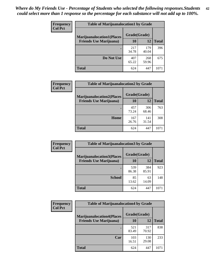| <b>Frequency</b> | <b>Table of Marijuanalocation1 by Grade</b> |              |              |              |
|------------------|---------------------------------------------|--------------|--------------|--------------|
| <b>Col Pct</b>   | <b>Marijuanalocation1(Places</b>            | Grade(Grade) |              |              |
|                  | <b>Friends Use Marijuana</b> )              | 10           | 12           | <b>Total</b> |
|                  |                                             | 217<br>34.78 | 179<br>40.04 | 396          |
|                  | Do Not Use                                  | 407<br>65.22 | 268<br>59.96 | 675          |
|                  | <b>Total</b>                                | 624          | 447          | 1071         |

| <b>Frequency</b> | <b>Table of Marijuanalocation2 by Grade</b> |              |              |              |
|------------------|---------------------------------------------|--------------|--------------|--------------|
| <b>Col Pct</b>   | <b>Marijuanalocation2(Places</b>            | Grade(Grade) |              |              |
|                  | <b>Friends Use Marijuana</b> )              | 10           | 12           | <b>Total</b> |
|                  |                                             | 457<br>73.24 | 306<br>68.46 | 763          |
|                  | Home                                        | 167<br>26.76 | 141<br>31.54 | 308          |
|                  | <b>Total</b>                                | 624          | 447          | 1071         |

| Frequency<br><b>Col Pct</b> | <b>Table of Marijuanalocation3 by Grade</b> |              |              |              |
|-----------------------------|---------------------------------------------|--------------|--------------|--------------|
|                             | <b>Marijuanalocation3(Places</b>            | Grade(Grade) |              |              |
|                             | <b>Friends Use Marijuana</b> )              | 10           | 12           | <b>Total</b> |
|                             |                                             | 539<br>86.38 | 384<br>85.91 | 923          |
|                             | <b>School</b>                               | 85<br>13.62  | 63<br>14.09  | 148          |
|                             | <b>Total</b>                                | 624          | 447          | 1071         |

| Frequency      | <b>Table of Marijuanalocation4 by Grade</b> |              |              |              |  |
|----------------|---------------------------------------------|--------------|--------------|--------------|--|
| <b>Col Pct</b> | <b>Marijuanalocation4(Places</b>            | Grade(Grade) |              |              |  |
|                | <b>Friends Use Marijuana</b> )              | <b>10</b>    | 12           | <b>Total</b> |  |
|                |                                             | 521<br>83.49 | 317<br>70.92 | 838          |  |
|                | Car                                         | 103<br>16.51 | 130<br>29.08 | 233          |  |
|                | Total                                       | 624          | 447          | 1071         |  |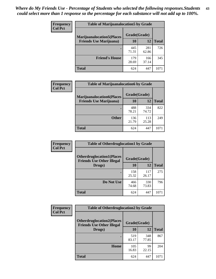| <b>Frequency</b> | <b>Table of Marijuanalocation5 by Grade</b> |              |              |              |  |
|------------------|---------------------------------------------|--------------|--------------|--------------|--|
| <b>Col Pct</b>   | <b>Marijuanalocation5</b> (Places           | Grade(Grade) |              |              |  |
|                  | <b>Friends Use Marijuana</b> )              | 10           | 12           | <b>Total</b> |  |
|                  |                                             | 445<br>71.31 | 281<br>62.86 | 726          |  |
|                  | <b>Friend's House</b>                       | 179<br>28.69 | 166<br>37.14 | 345          |  |
|                  | Total                                       | 624          | 447          | 1071         |  |

| <b>Frequency</b> | <b>Table of Marijuanalocation6 by Grade</b>                        |                    |              |              |
|------------------|--------------------------------------------------------------------|--------------------|--------------|--------------|
| <b>Col Pct</b>   | <b>Marijuanalocation6(Places</b><br><b>Friends Use Marijuana</b> ) | Grade(Grade)<br>10 | 12           | <b>Total</b> |
|                  |                                                                    | 488<br>78.21       | 334<br>74.72 | 822          |
|                  | <b>Other</b>                                                       | 136<br>21.79       | 113<br>25.28 | 249          |
|                  | <b>Total</b>                                                       | 624                | 447          | 1071         |

| <b>Frequency</b> | <b>Table of Otherdruglocation1 by Grade</b>                          |              |              |              |
|------------------|----------------------------------------------------------------------|--------------|--------------|--------------|
| <b>Col Pct</b>   | <b>Otherdruglocation1(Places</b><br><b>Friends Use Other Illegal</b> | Grade(Grade) |              |              |
|                  | Drugs)                                                               | 10           | 12           | <b>Total</b> |
|                  |                                                                      | 158<br>25.32 | 117<br>26.17 | 275          |
|                  | Do Not Use                                                           | 466<br>74.68 | 330<br>73.83 | 796          |
|                  | <b>Total</b>                                                         | 624          | 447          | 1071         |

| <b>Frequency</b>                                                                       | <b>Table of Otherdruglocation2 by Grade</b> |              |              |              |
|----------------------------------------------------------------------------------------|---------------------------------------------|--------------|--------------|--------------|
| <b>Col Pct</b><br><b>Otherdruglocation2(Places</b><br><b>Friends Use Other Illegal</b> |                                             | Grade(Grade) |              |              |
|                                                                                        | Drugs)                                      | 10           | 12           | <b>Total</b> |
|                                                                                        |                                             | 519<br>83.17 | 348<br>77.85 | 867          |
|                                                                                        | Home                                        | 105<br>16.83 | 99<br>22.15  | 204          |
|                                                                                        | <b>Total</b>                                | 624          | 447          | 1071         |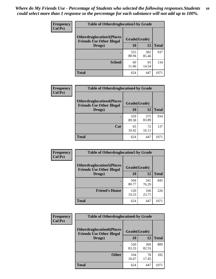| <b>Frequency</b> | <b>Table of Otherdruglocation 3 by Grade</b>                         |              |              |              |
|------------------|----------------------------------------------------------------------|--------------|--------------|--------------|
| <b>Col Pct</b>   | <b>Otherdruglocation3(Places</b><br><b>Friends Use Other Illegal</b> | Grade(Grade) |              |              |
|                  | Drugs)                                                               | 10           | 12           | <b>Total</b> |
|                  |                                                                      | 555<br>88.94 | 382<br>85.46 | 937          |
|                  | <b>School</b>                                                        | 69<br>11.06  | 65<br>14.54  | 134          |
|                  | <b>Total</b>                                                         | 624          | 447          | 1071         |

 $\overline{\phantom{a}}$ 

| Frequency      | <b>Table of Otherdruglocation4 by Grade</b>                          |              |              |              |
|----------------|----------------------------------------------------------------------|--------------|--------------|--------------|
| <b>Col Pct</b> | <b>Otherdruglocation4(Places</b><br><b>Friends Use Other Illegal</b> | Grade(Grade) |              |              |
|                | Drugs)                                                               | 10           | 12           | <b>Total</b> |
|                |                                                                      | 559<br>89.58 | 375<br>83.89 | 934          |
|                | Car                                                                  | 65<br>10.42  | 72<br>16.11  | 137          |
|                | <b>Total</b>                                                         | 624          | 447          | 1071         |

| Frequency      | <b>Table of Otherdruglocation5 by Grade</b>                          |              |              |              |
|----------------|----------------------------------------------------------------------|--------------|--------------|--------------|
| <b>Col Pct</b> | <b>Otherdruglocation5(Places</b><br><b>Friends Use Other Illegal</b> | Grade(Grade) |              |              |
|                | Drugs)                                                               | 10           | 12           | <b>Total</b> |
|                |                                                                      | 504<br>80.77 | 341<br>76.29 | 845          |
|                | <b>Friend's House</b>                                                | 120<br>19.23 | 106<br>23.71 | 226          |
|                | <b>Total</b>                                                         | 624          | 447          | 1071         |

| <b>Frequency</b> | <b>Table of Otherdruglocation6 by Grade</b>                          |              |              |              |
|------------------|----------------------------------------------------------------------|--------------|--------------|--------------|
| <b>Col Pct</b>   | <b>Otherdruglocation6(Places</b><br><b>Friends Use Other Illegal</b> | Grade(Grade) |              |              |
|                  | Drugs)                                                               | 10           | 12           | <b>Total</b> |
|                  |                                                                      | 520<br>83.33 | 369<br>82.55 | 889          |
|                  | <b>Other</b>                                                         | 104<br>16.67 | 78<br>17.45  | 182          |
|                  | <b>Total</b>                                                         | 624          | 447          | 1071         |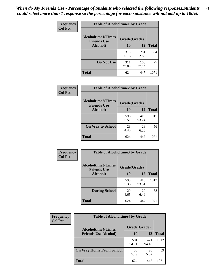| Frequency      | <b>Table of Alcoholtime1 by Grade</b>           |              |              |              |
|----------------|-------------------------------------------------|--------------|--------------|--------------|
| <b>Col Pct</b> | <b>Alcoholtime1(Times</b><br><b>Friends Use</b> | Grade(Grade) |              |              |
|                | Alcohol)                                        | 10           | 12           | <b>Total</b> |
|                |                                                 | 313<br>50.16 | 281<br>62.86 | 594          |
|                | Do Not Use                                      | 311<br>49.84 | 166<br>37.14 | 477          |
|                | <b>Total</b>                                    | 624          | 447          | 1071         |

| Frequency      | <b>Table of Alcoholtime2 by Grade</b>                           |              |              |              |
|----------------|-----------------------------------------------------------------|--------------|--------------|--------------|
| <b>Col Pct</b> | <b>Alcoholtime2(Times</b><br>Grade(Grade)<br><b>Friends Use</b> |              |              |              |
|                | Alcohol)                                                        | 10           | 12           | <b>Total</b> |
|                |                                                                 | 596<br>95.51 | 419<br>93.74 | 1015         |
|                | <b>On Way to School</b>                                         | 28<br>4.49   | 28<br>6.26   | 56           |
|                | <b>Total</b>                                                    | 624          | 447          | 1071         |

| Frequency<br><b>Col Pct</b> | <b>Table of Alcoholtime3 by Grade</b>           |              |              |              |
|-----------------------------|-------------------------------------------------|--------------|--------------|--------------|
|                             | <b>Alcoholtime3(Times</b><br><b>Friends Use</b> | Grade(Grade) |              |              |
|                             | Alcohol)                                        | 10           | 12           | <b>Total</b> |
|                             |                                                 | 595<br>95.35 | 418<br>93.51 | 1013         |
|                             | <b>During School</b>                            | 29<br>4.65   | 29<br>6.49   | 58           |
|                             | <b>Total</b>                                    | 624          | 447          | 1071         |

| <b>Frequency</b><br><b>Col Pct</b> | <b>Table of Alcoholtime4 by Grade</b> |              |              |              |
|------------------------------------|---------------------------------------|--------------|--------------|--------------|
|                                    | <b>Alcoholtime4(Times</b>             | Grade(Grade) |              |              |
|                                    | <b>Friends Use Alcohol)</b>           | 10           | 12           | <b>Total</b> |
|                                    |                                       | 591<br>94.71 | 421<br>94.18 | 1012         |
|                                    | <b>On Way Home From School</b>        | 33<br>5.29   | 26<br>5.82   | 59           |
|                                    | <b>Total</b>                          | 624          | 447          | 1071         |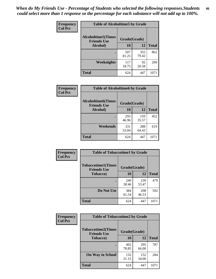*When do My Friends Use - Percentage of Students who selected the following responses.Students could select more than 1 response so the percentage for each substance will not add up to 100%.* **46**

| Frequency      | <b>Table of Alcoholtime5 by Grade</b>           |              |              |              |
|----------------|-------------------------------------------------|--------------|--------------|--------------|
| <b>Col Pct</b> | <b>Alcoholtime5(Times</b><br><b>Friends Use</b> | Grade(Grade) |              |              |
|                | Alcohol)                                        | 10           | 12           | <b>Total</b> |
|                |                                                 | 507<br>81.25 | 355<br>79.42 | 862          |
|                | Weeknights                                      | 117<br>18.75 | 92<br>20.58  | 209          |
|                | <b>Total</b>                                    | 624          | 447          | 1071         |

| Frequency      | <b>Table of Alcoholtime6 by Grade</b>           |              |              |              |
|----------------|-------------------------------------------------|--------------|--------------|--------------|
| <b>Col Pct</b> | <b>Alcoholtime6(Times</b><br><b>Friends Use</b> | Grade(Grade) |              |              |
|                | Alcohol)                                        | 10           | 12           | <b>Total</b> |
|                |                                                 | 293<br>46.96 | 159<br>35.57 | 452          |
|                | Weekends                                        | 331<br>53.04 | 288<br>64.43 | 619          |
|                | <b>Total</b>                                    | 624          | 447          | 1071         |

| Frequency      | <b>Table of Tobaccotime1 by Grade</b>           |              |              |              |
|----------------|-------------------------------------------------|--------------|--------------|--------------|
| <b>Col Pct</b> | <b>Tobaccotime1(Times</b><br><b>Friends Use</b> | Grade(Grade) |              |              |
|                | <b>Tobacco</b> )                                | 10           | 12           | <b>Total</b> |
|                | ٠                                               | 240<br>38.46 | 239<br>53.47 | 479          |
|                | Do Not Use                                      | 384<br>61.54 | 208<br>46.53 | 592          |
|                | <b>Total</b>                                    | 624          | 447          | 1071         |

| <b>Frequency</b> | <b>Table of Tobaccotime2 by Grade</b>           |              |              |              |
|------------------|-------------------------------------------------|--------------|--------------|--------------|
| <b>Col Pct</b>   | <b>Tobaccotime2(Times</b><br><b>Friends Use</b> | Grade(Grade) |              |              |
|                  | <b>Tobacco</b> )                                | 10           | 12           | <b>Total</b> |
|                  |                                                 | 492<br>78.85 | 295<br>66.00 | 787          |
|                  | <b>On Way to School</b>                         | 132<br>21.15 | 152<br>34.00 | 284          |
|                  | Total                                           | 624          | 447          | 1071         |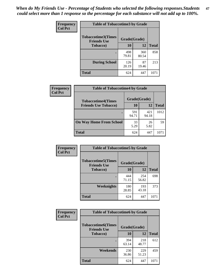| Frequency      | <b>Table of Tobaccotime3 by Grade</b>           |              |              |              |
|----------------|-------------------------------------------------|--------------|--------------|--------------|
| <b>Col Pct</b> | <b>Tobaccotime3(Times</b><br><b>Friends Use</b> | Grade(Grade) |              |              |
|                | <b>Tobacco</b> )                                | 10           | 12           | <b>Total</b> |
|                | ٠                                               | 498<br>79.81 | 360<br>80.54 | 858          |
|                | <b>During School</b>                            | 126<br>20.19 | 87<br>19.46  | 213          |
|                | <b>Total</b>                                    | 624          | 447          | 1071         |

| <b>Frequency</b> | <b>Table of Tobaccotime4 by Grade</b> |              |              |              |
|------------------|---------------------------------------|--------------|--------------|--------------|
| <b>Col Pct</b>   | <b>Tobaccotime4(Times</b>             | Grade(Grade) |              |              |
|                  | <b>Friends Use Tobacco)</b>           | 10           | 12           | <b>Total</b> |
|                  |                                       | 591<br>94.71 | 421<br>94.18 | 1012         |
|                  | <b>On Way Home From School</b>        | 33<br>5.29   | 26<br>5.82   | 59           |
|                  | <b>Total</b>                          | 624          | 447          | 1071         |

| Frequency      | <b>Table of Tobaccotime5 by Grade</b>            |              |              |              |
|----------------|--------------------------------------------------|--------------|--------------|--------------|
| <b>Col Pct</b> | <b>Tobaccotime5</b> (Times<br><b>Friends Use</b> | Grade(Grade) |              |              |
|                | <b>Tobacco</b> )                                 | 10           | 12           | <b>Total</b> |
|                |                                                  | 444<br>71.15 | 254<br>56.82 | 698          |
|                | Weeknights                                       | 180<br>28.85 | 193<br>43.18 | 373          |
|                | <b>Total</b>                                     | 624          | 447          | 1071         |

| Frequency<br><b>Col Pct</b> | <b>Table of Tobaccotime6 by Grade</b>           |              |              |              |
|-----------------------------|-------------------------------------------------|--------------|--------------|--------------|
|                             | <b>Tobaccotime6(Times</b><br><b>Friends Use</b> | Grade(Grade) |              |              |
|                             | <b>Tobacco</b> )                                | 10           | 12           | <b>Total</b> |
|                             | ٠                                               | 394<br>63.14 | 218<br>48.77 | 612          |
|                             | Weekends                                        | 230<br>36.86 | 229<br>51.23 | 459          |
|                             | <b>Total</b>                                    | 624          | 447          | 1071         |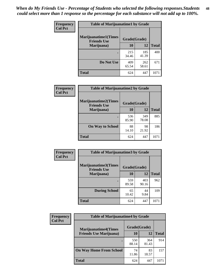| Frequency      | <b>Table of Marijuanatime1 by Grade</b>           |              |              |              |
|----------------|---------------------------------------------------|--------------|--------------|--------------|
| <b>Col Pct</b> | <b>Marijuanatime1(Times</b><br><b>Friends Use</b> | Grade(Grade) |              |              |
|                | Marijuana)                                        | 10           | 12           | <b>Total</b> |
|                |                                                   | 215<br>34.46 | 185<br>41.39 | 400          |
|                | Do Not Use                                        | 409<br>65.54 | 262<br>58.61 | 671          |
|                | <b>Total</b>                                      | 624          | 447          | 1071         |

| Frequency      | <b>Table of Marijuanatime2 by Grade</b>    |              |              |              |
|----------------|--------------------------------------------|--------------|--------------|--------------|
| <b>Col Pct</b> | Marijuanatime2(Times<br><b>Friends Use</b> | Grade(Grade) |              |              |
|                | Marijuana)                                 | 10           | 12           | <b>Total</b> |
|                | ٠                                          | 536<br>85.90 | 349<br>78.08 | 885          |
|                | <b>On Way to School</b>                    | 88<br>14.10  | 98<br>21.92  | 186          |
|                | <b>Total</b>                               | 624          | 447          | 1071         |

| Frequency<br><b>Col Pct</b> | <b>Table of Marijuanatime3 by Grade</b>    |              |              |              |
|-----------------------------|--------------------------------------------|--------------|--------------|--------------|
|                             | Marijuanatime3(Times<br><b>Friends Use</b> | Grade(Grade) |              |              |
|                             | Marijuana)                                 | 10           | 12           | <b>Total</b> |
|                             |                                            | 559<br>89.58 | 403<br>90.16 | 962          |
|                             | <b>During School</b>                       | 65<br>10.42  | 44<br>9.84   | 109          |
|                             | <b>Total</b>                               | 624          | 447          | 1071         |

| <b>Frequency</b> | <b>Table of Marijuanatime4 by Grade</b> |              |              |              |
|------------------|-----------------------------------------|--------------|--------------|--------------|
| <b>Col Pct</b>   | <b>Marijuanatime4</b> (Times            | Grade(Grade) |              |              |
|                  | <b>Friends Use Marijuana</b> )          | 10           | 12           | <b>Total</b> |
|                  |                                         | 550<br>88.14 | 364<br>81.43 | 914          |
|                  | <b>On Way Home From School</b>          | 74<br>11.86  | 83<br>18.57  | 157          |
|                  | <b>Total</b>                            | 624          | 447          | 1071         |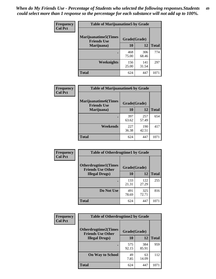| Frequency      | <b>Table of Marijuanatime5 by Grade</b>            |              |              |              |
|----------------|----------------------------------------------------|--------------|--------------|--------------|
| <b>Col Pct</b> | <b>Marijuanatime5</b> (Times<br><b>Friends Use</b> | Grade(Grade) |              |              |
|                | Marijuana)                                         | 10           | 12           | <b>Total</b> |
|                |                                                    | 468<br>75.00 | 306<br>68.46 | 774          |
|                | Weeknights                                         | 156<br>25.00 | 141<br>31.54 | 297          |
|                | <b>Total</b>                                       | 624          | 447          | 1071         |

| Frequency      | <b>Table of Marijuanatime6 by Grade</b>            |              |              |              |
|----------------|----------------------------------------------------|--------------|--------------|--------------|
| <b>Col Pct</b> | <b>Marijuanatime6</b> (Times<br><b>Friends Use</b> | Grade(Grade) |              |              |
|                | Marijuana)                                         | 10           | 12           | <b>Total</b> |
|                |                                                    | 397<br>63.62 | 257<br>57.49 | 654          |
|                | Weekends                                           | 227<br>36.38 | 190<br>42.51 | 417          |
|                | <b>Total</b>                                       | 624          | 447          | 1071         |

| <b>Frequency</b> | <b>Table of Otherdrugtime1 by Grade</b>                  |              |              |              |
|------------------|----------------------------------------------------------|--------------|--------------|--------------|
| <b>Col Pct</b>   | <b>Otherdrugtime1</b> (Times<br><b>Friends Use Other</b> | Grade(Grade) |              |              |
|                  | <b>Illegal Drugs</b> )                                   | 10           | 12           | <b>Total</b> |
|                  |                                                          | 133<br>21.31 | 122<br>27.29 | 255          |
|                  | Do Not Use                                               | 491<br>78.69 | 325<br>72.71 | 816          |
|                  | <b>Total</b>                                             | 624          | 447          | 1071         |

| Frequency      | <b>Table of Otherdrugtime2 by Grade</b>                 |              |              |              |  |  |
|----------------|---------------------------------------------------------|--------------|--------------|--------------|--|--|
| <b>Col Pct</b> | <b>Otherdrugtime2(Times</b><br><b>Friends Use Other</b> | Grade(Grade) |              |              |  |  |
|                | <b>Illegal Drugs</b> )                                  | 10           | 12           | <b>Total</b> |  |  |
|                |                                                         | 575<br>92.15 | 384<br>85.91 | 959          |  |  |
|                | <b>On Way to School</b>                                 | 49<br>7.85   | 63<br>14.09  | 112          |  |  |
|                | Total                                                   | 624          | 447          | 1071         |  |  |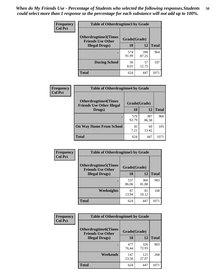| <b>Frequency</b> | <b>Table of Otherdrugtime3 by Grade</b>                          |              |              |              |  |  |
|------------------|------------------------------------------------------------------|--------------|--------------|--------------|--|--|
| <b>Col Pct</b>   | Otherdrugtime3(Times<br>Grade(Grade)<br><b>Friends Use Other</b> |              |              |              |  |  |
|                  | <b>Illegal Drugs)</b>                                            | 10           | 12           | <b>Total</b> |  |  |
|                  |                                                                  | 574<br>91.99 | 390<br>87.25 | 964          |  |  |
|                  | <b>During School</b>                                             | 50<br>8.01   | 57<br>12.75  | 107          |  |  |
|                  | Total                                                            | 624          | 447          | 1071         |  |  |

| Frequency      | <b>Table of Otherdrugtime4 by Grade</b>                         |              |              |              |  |  |
|----------------|-----------------------------------------------------------------|--------------|--------------|--------------|--|--|
| <b>Col Pct</b> | <b>Otherdrugtime4(Times</b><br><b>Friends Use Other Illegal</b> | Grade(Grade) |              |              |  |  |
|                | Drugs)                                                          | 10           | 12           | <b>Total</b> |  |  |
|                | ٠                                                               | 579<br>92.79 | 387<br>86.58 | 966          |  |  |
|                | <b>On Way Home From School</b>                                  | 45<br>7.21   | 60<br>13.42  | 105          |  |  |
|                | <b>Total</b>                                                    | 624          | 447          | 1071         |  |  |

| <b>Frequency</b><br><b>Col Pct</b> | <b>Table of Otherdrugtime5 by Grade</b>                  |              |              |              |  |  |
|------------------------------------|----------------------------------------------------------|--------------|--------------|--------------|--|--|
|                                    | <b>Otherdrugtime5</b> (Times<br><b>Friends Use Other</b> | Grade(Grade) |              |              |  |  |
|                                    | <b>Illegal Drugs</b> )                                   | 10           | 12           | <b>Total</b> |  |  |
|                                    |                                                          | 537<br>86.06 | 366<br>81.88 | 903          |  |  |
|                                    | Weeknights                                               | 87<br>13.94  | 81<br>18.12  | 168          |  |  |
|                                    | Total                                                    | 624          | 447          | 1071         |  |  |

| Frequency      | <b>Table of Otherdrugtime6 by Grade</b>                 |              |              |              |  |  |
|----------------|---------------------------------------------------------|--------------|--------------|--------------|--|--|
| <b>Col Pct</b> | <b>Otherdrugtime6(Times</b><br><b>Friends Use Other</b> | Grade(Grade) |              |              |  |  |
|                | <b>Illegal Drugs</b> )                                  | 10           | 12           | <b>Total</b> |  |  |
|                |                                                         | 477<br>76.44 | 326<br>72.93 | 803          |  |  |
|                | Weekends                                                | 147<br>23.56 | 121<br>27.07 | 268          |  |  |
|                | <b>Total</b>                                            | 624          | 447          | 1071         |  |  |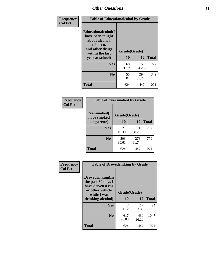| Frequency      | <b>Table of Educationalcohol by Grade</b>                                                                  |              |              |              |  |  |
|----------------|------------------------------------------------------------------------------------------------------------|--------------|--------------|--------------|--|--|
| <b>Col Pct</b> | Educationalcohol(I<br>have been taught<br>about alcohol,<br>tobacco,<br>and other drugs<br>within the last | Grade(Grade) |              |              |  |  |
|                | year at school)                                                                                            | 10           | 12           | <b>Total</b> |  |  |
|                | Yes                                                                                                        | 569<br>91.19 | 153<br>34.23 | 722          |  |  |
|                | N <sub>0</sub>                                                                                             | 55<br>8.81   | 294<br>65.77 | 349          |  |  |
|                | <b>Total</b>                                                                                               | 624          | 447          | 1071         |  |  |

| Frequency      | <b>Table of Eversmoked by Grade</b> |              |              |              |  |  |
|----------------|-------------------------------------|--------------|--------------|--------------|--|--|
| <b>Col Pct</b> | Eversmoked(I<br>have smoked         | Grade(Grade) |              |              |  |  |
|                | a cigarette)                        | 10           | 12           | <b>Total</b> |  |  |
|                | <b>Yes</b>                          | 121<br>19.39 | 171<br>38.26 | 292          |  |  |
|                | N <sub>0</sub>                      | 503<br>80.61 | 276<br>61.74 | 779          |  |  |
|                | <b>Total</b>                        | 624          | 447          | 1071         |  |  |

| Frequency      | <b>Table of Drovedrinking by Grade</b>                                                                              |                    |              |      |
|----------------|---------------------------------------------------------------------------------------------------------------------|--------------------|--------------|------|
| <b>Col Pct</b> | Drovedrinking(In<br>the past 30 days I<br>have driven a car<br>or other vehicle<br>while I was<br>drinking alcohol) | Grade(Grade)<br>10 | <b>Total</b> |      |
|                | <b>Yes</b>                                                                                                          | 1.12               | 17<br>3.80   | 24   |
|                | N <sub>0</sub>                                                                                                      | 617<br>98.88       | 430<br>96.20 | 1047 |
|                | <b>Total</b>                                                                                                        | 624                | 447          | 1071 |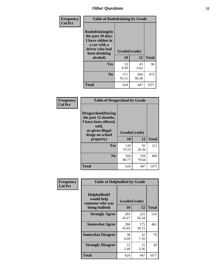| Frequency<br><b>Col Pct</b> | <b>Table of Rodedrinking by Grade</b>                                                                      |              |              |              |  |  |
|-----------------------------|------------------------------------------------------------------------------------------------------------|--------------|--------------|--------------|--|--|
|                             | Rodedrinking(In<br>the past 30 days<br>I have ridden in<br>a car with a<br>driver who had<br>been drinking | Grade(Grade) |              |              |  |  |
|                             | alcohol)                                                                                                   | 10           | 12           | <b>Total</b> |  |  |
|                             | <b>Yes</b>                                                                                                 | 53<br>8.49   | 43<br>9.62   | 96           |  |  |
|                             | N <sub>0</sub>                                                                                             | 571<br>91.51 | 404<br>90.38 | 975          |  |  |
|                             | <b>Total</b>                                                                                               | 624          | 447          | 1071         |  |  |

#### **Frequency Col Pct**

| <b>Table of Drugsschool by Grade</b>                                                                                      |              |              |              |  |  |  |
|---------------------------------------------------------------------------------------------------------------------------|--------------|--------------|--------------|--|--|--|
| <b>Drugsschool</b> (During<br>the past 12 months,<br>I have been offered,<br>sold,<br>or given illegal<br>drugs on school | Grade(Grade) |              |              |  |  |  |
| property)                                                                                                                 | 10           | 12           | <b>Total</b> |  |  |  |
| Yes                                                                                                                       | 120<br>19.23 | 91<br>20.36  | 211          |  |  |  |
| N <sub>0</sub>                                                                                                            | 504<br>80.77 | 356<br>79.64 | 860          |  |  |  |
| <b>Total</b>                                                                                                              | 624          | 447          | 1071         |  |  |  |

| Frequency      | <b>Table of Helpbullied by Grade</b>                 |                    |              |              |  |  |  |
|----------------|------------------------------------------------------|--------------------|--------------|--------------|--|--|--|
| <b>Col Pct</b> | $Helpb$ ullied $(I$<br>would help<br>someone who was | Grade(Grade)<br>12 |              |              |  |  |  |
|                | being bullied)                                       | 10                 |              | <b>Total</b> |  |  |  |
|                | <b>Strongly Agree</b>                                | 285<br>45.67       | 225<br>50.34 | 510          |  |  |  |
|                | <b>Somewhat Agree</b>                                | 286<br>45.83       | 175<br>39.15 | 461          |  |  |  |
|                | <b>Somewhat Disagree</b>                             | 38<br>6.09         | 32<br>7.16   | 70           |  |  |  |
|                | <b>Strongly Disagree</b>                             | 15<br>2.40         | 15<br>3.36   | 30           |  |  |  |
|                | <b>Total</b>                                         | 624                | 447          | 1071         |  |  |  |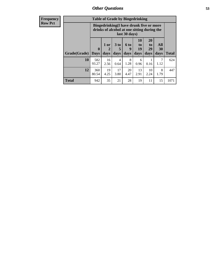| <b>Frequency</b> | <b>Table of Grade by Bingedrinking</b> |                                                                                                         |                   |                              |                              |                        |                               |                   |              |
|------------------|----------------------------------------|---------------------------------------------------------------------------------------------------------|-------------------|------------------------------|------------------------------|------------------------|-------------------------------|-------------------|--------------|
| <b>Row Pct</b>   |                                        | Bingedrinking(I have drunk five or more<br>drinks of alcohol at one sitting during the<br>last 30 days) |                   |                              |                              |                        |                               |                   |              |
|                  | Grade(Grade)                           | $\boldsymbol{0}$<br>Days                                                                                | 1 or<br>2<br>days | 3 <sub>to</sub><br>5<br>days | 6 <sub>to</sub><br>9<br>days | 10<br>to<br>19<br>days | <b>20</b><br>to<br>29<br>days | All<br>30<br>days | <b>Total</b> |
|                  | 10                                     | 582<br>93.27                                                                                            | 16<br>2.56        | 4<br>0.64                    | 8<br>1.28                    | 6<br>0.96              | 0.16                          | 7<br>1.12         | 624          |
|                  | 12                                     | 360<br>80.54                                                                                            | 19<br>4.25        | 17<br>3.80                   | 20<br>4.47                   | 13<br>2.91             | 10<br>2.24                    | 8<br>1.79         | 447          |
|                  | <b>Total</b>                           | 942                                                                                                     | 35                | 21                           | 28                           | 19                     | 11                            | 15                | 1071         |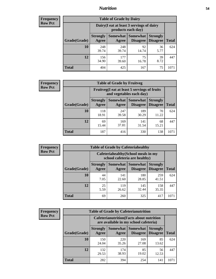## *Nutrition* **54**

| <b>Frequency</b><br>Row Pct |
|-----------------------------|
|                             |

| <b>Table of Grade by Dairy</b> |                          |                                                                 |                             |                                    |              |
|--------------------------------|--------------------------|-----------------------------------------------------------------|-----------------------------|------------------------------------|--------------|
|                                |                          | Dairy (I eat at least 3 servings of dairy<br>products each day) |                             |                                    |              |
| Grade(Grade)                   | <b>Strongly</b><br>Agree | Somewhat  <br>Agree                                             | <b>Somewhat</b><br>Disagree | <b>Strongly</b><br><b>Disagree</b> | <b>Total</b> |
| 10                             | 248<br>39.74             | 248<br>39.74                                                    | 92<br>14.74                 | 36<br>5.77                         | 624          |
| 12                             | 156<br>34.90             | 177<br>39.60                                                    | 75<br>16.78                 | 39<br>8.72                         | 447          |
| <b>Total</b>                   | 404                      | 425                                                             | 167                         | 75                                 | 1071         |

| <b>Frequency</b> |  |
|------------------|--|
| <b>Row Pct</b>   |  |

| <b>Table of Grade by Fruitveg</b> |                                                                          |              |                               |                                    |              |
|-----------------------------------|--------------------------------------------------------------------------|--------------|-------------------------------|------------------------------------|--------------|
|                                   | Fruitveg(I eat at least 5 servings of fruits<br>and vegetables each day) |              |                               |                                    |              |
| Grade(Grade)                      | <b>Strongly</b><br>Agree                                                 | Agree        | Somewhat Somewhat<br>Disagree | <b>Strongly</b><br><b>Disagree</b> | <b>Total</b> |
| 10                                | 118<br>18.91                                                             | 247<br>39.58 | 189<br>30.29                  | 70<br>11.22                        | 624          |
| 12                                | 69<br>15.44                                                              | 169<br>37.81 | 141<br>31.54                  | 68<br>15.21                        | 447          |
| <b>Total</b>                      | 187                                                                      | 416          | 330                           | 138                                | 1071         |

| <b>Frequency</b> | <b>Table of Grade by Cafeteriahealthy</b> |                          |                                                                       |                             |                                    |              |
|------------------|-------------------------------------------|--------------------------|-----------------------------------------------------------------------|-----------------------------|------------------------------------|--------------|
| <b>Row Pct</b>   |                                           |                          | Cafeteriahealthy (School meals in my<br>school cafeteria are healthy) |                             |                                    |              |
|                  | Grade(Grade)                              | <b>Strongly</b><br>Agree | Somewhat  <br>Agree                                                   | Somewhat<br><b>Disagree</b> | <b>Strongly</b><br><b>Disagree</b> | <b>Total</b> |
|                  | 10                                        | 44<br>7.05               | 141<br>22.60                                                          | 180<br>28.85                | 259<br>41.51                       | 624          |
|                  | 12                                        | 25<br>5.59               | 119<br>26.62                                                          | 145<br>32.44                | 158<br>35.35                       | 447          |
|                  | Total                                     | 69                       | 260                                                                   | 325                         | 417                                | 1071         |

| <b>Frequency</b> |
|------------------|
| <b>Row Pct</b>   |

| <b>Table of Grade by Cafeterianutrition</b> |                          |                                                                                           |                                    |                                    |              |  |
|---------------------------------------------|--------------------------|-------------------------------------------------------------------------------------------|------------------------------------|------------------------------------|--------------|--|
|                                             |                          | <b>Cafeterianutrition</b> (Facts about nutrition<br>are available in my school cafeteria) |                                    |                                    |              |  |
| Grade(Grade)                                | <b>Strongly</b><br>Agree | <b>Somewhat</b><br>Agree                                                                  | <b>Somewhat</b><br><b>Disagree</b> | <b>Strongly</b><br><b>Disagree</b> | <b>Total</b> |  |
| 10                                          | 150<br>24.04             | 220<br>35.26                                                                              | 169<br>27.08                       | 85<br>13.62                        | 624          |  |
| 12                                          | 132<br>29.53             | 174<br>38.93                                                                              | 85<br>19.02                        | 56<br>12.53                        | 447          |  |
| <b>Total</b>                                | 282                      | 394                                                                                       | 254                                | 141                                | 1071         |  |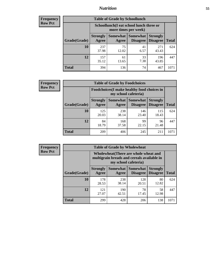## *Nutrition* **55**

| Frequency |
|-----------|
| Row Pct   |

| <b>Table of Grade by Schoollunch</b> |                                                                                                                                                  |                                                                 |            |              |      |  |
|--------------------------------------|--------------------------------------------------------------------------------------------------------------------------------------------------|-----------------------------------------------------------------|------------|--------------|------|--|
|                                      |                                                                                                                                                  | Schoollunch(I eat school lunch three or<br>more times per week) |            |              |      |  |
| Grade(Grade)                         | <b>Somewhat</b><br><b>Somewhat</b><br><b>Strongly</b><br><b>Strongly</b><br><b>Disagree</b><br><b>Disagree</b><br><b>Total</b><br>Agree<br>Agree |                                                                 |            |              |      |  |
| 10                                   | 237<br>37.98                                                                                                                                     | 75<br>12.02                                                     | 41<br>6.57 | 271<br>43.43 | 624  |  |
| 12                                   | 157<br>35.12                                                                                                                                     | 61<br>13.65                                                     | 33<br>7.38 | 196<br>43.85 | 447  |  |
| <b>Total</b>                         | 394                                                                                                                                              | 136                                                             | 74         | 467          | 1071 |  |

| <b>Frequency</b> |  |
|------------------|--|
| <b>Row Pct</b>   |  |

| <b>Table of Grade by Foodchoices</b> |              |                          |                                                                                                        |              |              |               |  |  |
|--------------------------------------|--------------|--------------------------|--------------------------------------------------------------------------------------------------------|--------------|--------------|---------------|--|--|
|                                      |              |                          | Foodchoices (I make healthy food choices in<br>my school cafeteria)                                    |              |              |               |  |  |
|                                      | Grade(Grade) | <b>Strongly</b><br>Agree | Somewhat<br><b>Somewhat</b><br><b>Strongly</b><br><b>Disagree</b><br>Disagree<br><b>Total</b><br>Agree |              |              |               |  |  |
|                                      | 10           | 125<br>20.03             | 238<br>38.14                                                                                           | 146<br>23.40 | 115<br>18.43 | 624           |  |  |
|                                      | 12           | 84<br>18.79              | 168<br>37.58                                                                                           | 99<br>22.15  | 96<br>21.48  | 447           |  |  |
|                                      | <b>Total</b> | 209                      | 406                                                                                                    | 245          | 211          | $107^{\circ}$ |  |  |

| <b>Frequency</b> |
|------------------|
| <b>Row Pct</b>   |

п

| <b>Table of Grade by Wholewheat</b> |                                                                                                             |                          |                                    |                                    |              |  |
|-------------------------------------|-------------------------------------------------------------------------------------------------------------|--------------------------|------------------------------------|------------------------------------|--------------|--|
|                                     | Wholewheat (There are whole wheat and<br>multigrain breads and cereals available in<br>my school cafeteria) |                          |                                    |                                    |              |  |
| Grade(Grade)                        | <b>Strongly</b><br>Agree                                                                                    | <b>Somewhat</b><br>Agree | <b>Somewhat</b><br><b>Disagree</b> | <b>Strongly</b><br><b>Disagree</b> | <b>Total</b> |  |
| 10                                  | 178<br>28.53                                                                                                | 238<br>38.14             | 128<br>20.51                       | 80<br>12.82                        | 624          |  |
| 12                                  | 121<br>27.07                                                                                                | 190<br>42.51             | 78<br>17.45                        | 58<br>12.98                        | 447          |  |
| <b>Total</b>                        | 299                                                                                                         | 428                      | 206                                | 138                                | 1071         |  |

Ħ,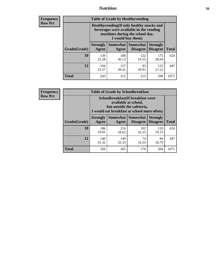## *Nutrition* **56**

**Frequency Row Pct**

| <b>Table of Grade by Healthyvending</b> |                                                                                                                                               |                          |                                    |                                    |              |  |
|-----------------------------------------|-----------------------------------------------------------------------------------------------------------------------------------------------|--------------------------|------------------------------------|------------------------------------|--------------|--|
|                                         | Healthyvending (If only healthy snacks and<br>beverages were available in the vending<br>machines during the school day,<br>I would buy them) |                          |                                    |                                    |              |  |
| Grade(Grade)                            | <b>Strongly</b><br>Agree                                                                                                                      | <b>Somewhat</b><br>Agree | <b>Somewhat</b><br><b>Disagree</b> | <b>Strongly</b><br><b>Disagree</b> | <b>Total</b> |  |
| 10                                      | 139<br>22.28                                                                                                                                  | 188<br>30.13             | 122<br>19.55                       | 175<br>28.04                       | 624          |  |
| 12                                      | 104<br>23.27                                                                                                                                  | 127<br>28.41             | 93<br>20.81                        | 123<br>27.52                       | 447          |  |
| <b>Total</b>                            | 243                                                                                                                                           | 315                      | 215                                | 298                                | 1071         |  |

**Frequency Row Pct**

| <b>Table of Grade by Schoolbreakfast</b> |                                                                                                                                        |                     |                                    |                                    |              |  |
|------------------------------------------|----------------------------------------------------------------------------------------------------------------------------------------|---------------------|------------------------------------|------------------------------------|--------------|--|
|                                          | Schoolbreakfast(If breakfast were<br>available at school,<br>but outside the cafeteria,<br>I would eat breakfast at school more often) |                     |                                    |                                    |              |  |
| Grade(Grade)                             | <b>Strongly</b><br>Agree                                                                                                               | Somewhat  <br>Agree | <b>Somewhat</b><br><b>Disagree</b> | <b>Strongly</b><br><b>Disagree</b> | <b>Total</b> |  |
| 10                                       | 186<br>29.81                                                                                                                           | 216<br>34.62        | 102<br>16.35                       | 120<br>19.23                       | 624          |  |
| 12                                       | 140<br>31.32                                                                                                                           | 149<br>33.33        | 74<br>16.55                        | 84<br>18.79                        | 447          |  |
| <b>Total</b>                             | 326                                                                                                                                    | 365                 | 176                                | 204                                | 1071         |  |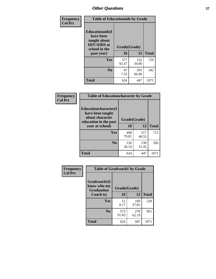| Frequency<br><b>Col Pct</b> | <b>Table of Educationaids by Grade</b>                                                                    |                    |              |              |
|-----------------------------|-----------------------------------------------------------------------------------------------------------|--------------------|--------------|--------------|
|                             | <b>Educationaids</b> (I<br>have been<br>taught about<br><b>HIV/AIDS</b> at<br>school in the<br>past year) | Grade(Grade)<br>10 | 12           | <b>Total</b> |
|                             | Yes                                                                                                       | 577<br>92.47       | 152<br>34.00 | 729          |
|                             | N <sub>0</sub>                                                                                            | 47<br>7.53         | 295<br>66.00 | 342          |
|                             | <b>Total</b>                                                                                              | 624                | 447          | 1071         |

| Frequency      | <b>Table of Educationcharacter by Grade</b>                 |              |              |              |  |
|----------------|-------------------------------------------------------------|--------------|--------------|--------------|--|
| <b>Col Pct</b> | Educationcharacter(I<br>have been taught<br>about character |              |              |              |  |
|                | education in the past                                       | Grade(Grade) |              |              |  |
|                | year at school)                                             | 10           | 12           | <b>Total</b> |  |
|                | Yes                                                         | 498<br>79.81 | 217<br>48.55 | 715          |  |
|                | N <sub>0</sub>                                              | 126<br>20.19 | 230<br>51.45 | 356          |  |
|                | <b>Total</b>                                                | 624          | 447          | 1071         |  |

| Frequency      | <b>Table of Gradcoach1 by Grade</b> |                    |              |              |
|----------------|-------------------------------------|--------------------|--------------|--------------|
| <b>Col Pct</b> | Gradcoach1(I<br>know who my         |                    |              |              |
|                | <b>Graduation</b><br>Coach is)      | Grade(Grade)<br>10 | 12           | <b>Total</b> |
|                | Yes                                 | 51<br>8.17         | 169<br>37.81 | 220          |
|                | N <sub>0</sub>                      | 573<br>91.83       | 278<br>62.19 | 851          |
|                | <b>Total</b>                        | 624                | 447          | 1071         |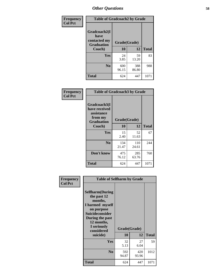| Frequency      | <b>Table of Gradcoach2 by Grade</b> |              |              |              |
|----------------|-------------------------------------|--------------|--------------|--------------|
| <b>Col Pct</b> | Gradcoach2(I<br>have                |              |              |              |
|                | contacted my<br><b>Graduation</b>   | Grade(Grade) |              |              |
|                | Coach)                              | 10           | 12           | <b>Total</b> |
|                | Yes                                 | 24<br>3.85   | 59<br>13.20  | 83           |
|                | N <sub>0</sub>                      | 600<br>96.15 | 388<br>86.80 | 988          |
|                | <b>Total</b>                        | 624          | 447          | 1071         |

| Frequency<br><b>Col Pct</b> | <b>Table of Gradcoach3 by Grade</b>                                         |              |              |              |
|-----------------------------|-----------------------------------------------------------------------------|--------------|--------------|--------------|
|                             | Gradcoach3(I<br>have received<br>assistance<br>from my<br><b>Graduation</b> | Grade(Grade) |              |              |
|                             | Coach)                                                                      | 10           | 12           | <b>Total</b> |
|                             | Yes                                                                         | 15<br>2.40   | 52<br>11.63  | 67           |
|                             | N <sub>0</sub>                                                              | 134<br>21.47 | 110<br>24.61 | 244          |
|                             | Don't know                                                                  | 475<br>76.12 | 285<br>63.76 | 760          |
|                             | <b>Total</b>                                                                | 624          | 447          | 1071         |

| Frequency      | <b>Table of Selfharm by Grade</b>                                                                                                                                                      |                    |              |              |
|----------------|----------------------------------------------------------------------------------------------------------------------------------------------------------------------------------------|--------------------|--------------|--------------|
| <b>Col Pct</b> | <b>Selfharm</b> (During<br>the past 12<br>months,<br>I harmed myself<br>on purpose<br><b>Suicideconsider</b><br>During the past<br>12 months,<br>I seriously<br>considered<br>suicide) | Grade(Grade)<br>10 | 12           | <b>Total</b> |
|                | Yes                                                                                                                                                                                    | 32<br>5.13         | 27<br>6.04   | 59           |
|                | N <sub>0</sub>                                                                                                                                                                         | 592<br>94.87       | 420<br>93.96 | 1012         |
|                | <b>Total</b>                                                                                                                                                                           | 624                | 447          | 1071         |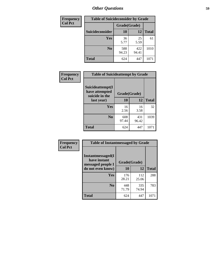| <b>Frequency</b> | <b>Table of Suicideconsider by Grade</b> |              |              |              |
|------------------|------------------------------------------|--------------|--------------|--------------|
| <b>Col Pct</b>   |                                          | Grade(Grade) |              |              |
|                  | <b>Suicideconsider</b>                   | <b>10</b>    | 12           | <b>Total</b> |
|                  | Yes                                      | 36<br>5.77   | 25<br>5.59   | 61           |
|                  | N <sub>0</sub>                           | 588<br>94.23 | 422<br>94.41 | 1010         |
|                  | Total                                    | 624          | 447          | 1071         |

| Frequency      | <b>Table of Suicideattempt by Grade</b>              |              |              |              |
|----------------|------------------------------------------------------|--------------|--------------|--------------|
| <b>Col Pct</b> | Suicideattempt(I<br>have attempted<br>suicide in the | Grade(Grade) |              |              |
|                | last year)                                           | 10           | 12           | <b>Total</b> |
|                | Yes                                                  | 16<br>2.56   | 16<br>3.58   | 32           |
|                | N <sub>0</sub>                                       | 608<br>97.44 | 431<br>96.42 | 1039         |
|                | <b>Total</b>                                         | 624          | 447          | 1071         |

| Frequency      | <b>Table of Instantmessaged by Grade</b>               |              |              |              |
|----------------|--------------------------------------------------------|--------------|--------------|--------------|
| <b>Col Pct</b> | Instantmessaged(I<br>have instant<br>messaged people I | Grade(Grade) |              |              |
|                | do not even know)                                      | 10           | 12           | <b>Total</b> |
|                | Yes                                                    | 176<br>28.21 | 112<br>25.06 | 288          |
|                | N <sub>0</sub>                                         | 448<br>71.79 | 335<br>74.94 | 783          |
|                | <b>Total</b>                                           | 624          | 447          | 1071         |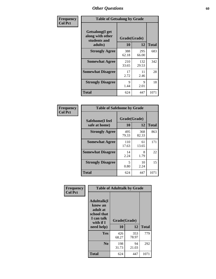| Frequency      | <b>Table of Getsalong by Grade</b>                          |              |              |              |  |  |  |
|----------------|-------------------------------------------------------------|--------------|--------------|--------------|--|--|--|
| <b>Col Pct</b> | <b>Getsalong</b> (I get<br>along with other<br>students and | Grade(Grade) |              |              |  |  |  |
|                | adults)                                                     | 10           | 12           | <b>Total</b> |  |  |  |
|                | <b>Strongly Agree</b>                                       | 388<br>62.18 | 295<br>66.00 | 683          |  |  |  |
|                | <b>Somewhat Agree</b>                                       | 210<br>33.65 | 132<br>29.53 | 342          |  |  |  |
|                | <b>Somewhat Disagree</b>                                    | 17<br>2.72   | 11<br>2.46   | 28           |  |  |  |
|                | <b>Strongly Disagree</b>                                    | 9<br>1.44    | 9<br>2.01    | 18           |  |  |  |
|                | <b>Total</b>                                                | 624          | 447          | 1071         |  |  |  |

| Frequency      | <b>Table of Safehome by Grade</b> |                    |              |              |  |  |  |
|----------------|-----------------------------------|--------------------|--------------|--------------|--|--|--|
| <b>Col Pct</b> | Safehome(I feel<br>safe at home)  | Grade(Grade)<br>10 | 12           | <b>Total</b> |  |  |  |
|                | <b>Strongly Agree</b>             | 495<br>79.33       | 368<br>82.33 | 863          |  |  |  |
|                | <b>Somewhat Agree</b>             | 110<br>17.63       | 61<br>13.65  | 171          |  |  |  |
|                | <b>Somewhat Disagree</b>          | 14<br>2.24         | 8<br>1.79    | 22           |  |  |  |
|                | <b>Strongly Disagree</b>          | 5<br>0.80          | 10<br>2.24   | 15           |  |  |  |
|                | <b>Total</b>                      | 624                | 447          | 1071         |  |  |  |

| Frequency<br><b>Col Pct</b> | <b>Table of Adulttalk by Grade</b>                                                                 |                    |              |              |  |  |  |
|-----------------------------|----------------------------------------------------------------------------------------------------|--------------------|--------------|--------------|--|--|--|
|                             | <b>Adulttalk</b> (I<br>know an<br>adult at<br>school that<br>I can talk<br>with if I<br>need help) | Grade(Grade)<br>10 | 12           | <b>Total</b> |  |  |  |
|                             | Yes                                                                                                | 426<br>68.27       | 353<br>78.97 | 779          |  |  |  |
|                             | N <sub>0</sub>                                                                                     | 198<br>31.73       | 94<br>21.03  | 292          |  |  |  |
|                             | <b>Total</b>                                                                                       | 624                | 447          | 1071         |  |  |  |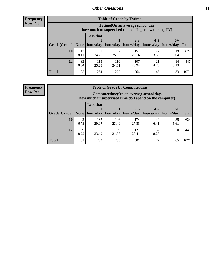**Frequency Row Pct**

r

| <b>Table of Grade by Tytime</b> |              |                                                                                        |              |              |            |            |              |  |  |  |
|---------------------------------|--------------|----------------------------------------------------------------------------------------|--------------|--------------|------------|------------|--------------|--|--|--|
|                                 |              | Tvtime(On an average school day,<br>how much unsupervised time do I spend watching TV) |              |              |            |            |              |  |  |  |
|                                 |              | <b>Less that</b>                                                                       |              | $2 - 3$      | $4 - 5$    | $6+$       |              |  |  |  |
| Grade(Grade)                    | None $ $     | hour/day                                                                               | hour/day     | hours/day    | hours/day  | hours/day  | <b>Total</b> |  |  |  |
| 10                              | 113<br>18.11 | 151<br>24.20                                                                           | 162<br>25.96 | 157<br>25.16 | 22<br>3.53 | 19<br>3.04 | 624          |  |  |  |
| 12                              | 82<br>18.34  | 113<br>25.28                                                                           | 110<br>24.61 | 107<br>23.94 | 21<br>4.70 | 14<br>3.13 | 447          |  |  |  |
| <b>Total</b>                    | 195          | 264                                                                                    | 272          | 264          | 43         | 33         | 1071         |  |  |  |

**Frequency Row Pct**

| <b>Table of Grade by Computertime</b> |            |                                                                                                   |              |                      |                      |                   |              |  |  |  |  |
|---------------------------------------|------------|---------------------------------------------------------------------------------------------------|--------------|----------------------|----------------------|-------------------|--------------|--|--|--|--|
|                                       |            | Computertime (On an average school day,<br>how much unsupervised time do I spend on the computer) |              |                      |                      |                   |              |  |  |  |  |
| Grade(Grade)                          | None       | <b>Less that</b><br>hour/day                                                                      | hour/day     | $2 - 3$<br>hours/day | $4 - 5$<br>hours/day | $6+$<br>hours/day | <b>Total</b> |  |  |  |  |
| 10                                    | 42<br>6.73 | 187<br>29.97                                                                                      | 146<br>23.40 | 174<br>27.88         | 40<br>6.41           | 35<br>5.61        | 624          |  |  |  |  |
| 12                                    | 39<br>8.72 | 105<br>109<br>127<br>37<br>30<br>23.49<br>8.28<br>24.38<br>28.41<br>6.71                          |              |                      |                      |                   |              |  |  |  |  |
| <b>Total</b>                          | 81         | 292                                                                                               | 255          | 301                  | 77                   | 65                | 1071         |  |  |  |  |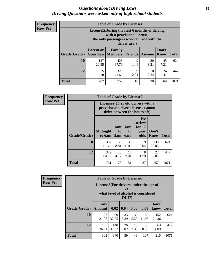#### *Questions about Driving Laws* **62** *Driving Questions were asked only of high school students.*

| <b>Frequency</b> |
|------------------|
| <b>Row Pct</b>   |

| <b>Table of Grade by License1</b> |                                                                      |                                                                                                                                           |                |            |                      |              |  |  |  |
|-----------------------------------|----------------------------------------------------------------------|-------------------------------------------------------------------------------------------------------------------------------------------|----------------|------------|----------------------|--------------|--|--|--|
|                                   |                                                                      | License1(During the first 6 months of driving<br>with a provisional license,<br>the only passengers who can ride with the<br>driver are:) |                |            |                      |              |  |  |  |
| Grade(Grade)                      | <b>Parent or</b><br><b>Guardian</b>                                  | Family<br><b>Members</b>                                                                                                                  | <b>Friends</b> | Anyone     | Don't<br><b>Know</b> | <b>Total</b> |  |  |  |
| 10                                | 127<br>20.35                                                         | 423<br>67.79                                                                                                                              | 9<br>1.44      | 20<br>3.21 | 45<br>7.21           | 624          |  |  |  |
| 12                                | 75<br>10<br>329<br>24<br>9<br>2.24<br>2.01<br>5.37<br>16.78<br>73.60 |                                                                                                                                           |                |            |                      |              |  |  |  |
| Total                             | 202                                                                  | 752                                                                                                                                       | 18             | 30         | 69                   | 107          |  |  |  |

| <b>Frequency</b> |              | <b>Table of Grade by License2</b> |                                                                                                          |                              |                                                      |                      |              |  |  |
|------------------|--------------|-----------------------------------|----------------------------------------------------------------------------------------------------------|------------------------------|------------------------------------------------------|----------------------|--------------|--|--|
| <b>Row Pct</b>   |              |                                   | License2(17 yr old drivers with a<br>provisional driver's license cannot<br>drive between the hours of:) |                              |                                                      |                      |              |  |  |
|                  | Grade(Grade) | <b>Midnight</b><br>to 6am         | 1am<br>to<br>5am                                                                                         | 1am<br>t <sub>0</sub><br>6am | N <sub>0</sub><br>curfew<br>for $17$<br>year<br>olds | Don't<br><b>Know</b> | <b>Total</b> |  |  |
|                  | 10           | 382<br>61.22                      | 55<br>8.81                                                                                               | 38<br>6.09                   | 19<br>3.04                                           | 130<br>20.83         | 624          |  |  |
|                  | 12           | 379<br>84.79                      | 20<br>4.47                                                                                               | 13<br>2.91                   | 8<br>1.79                                            | 27<br>6.04           | 447          |  |  |
|                  | <b>Total</b> | 761                               | 75                                                                                                       | 51                           | 27                                                   | 157                  | 1071         |  |  |

| Frequency      |              | <b>Table of Grade by License3</b>                                                               |                     |            |            |             |               |              |  |  |
|----------------|--------------|-------------------------------------------------------------------------------------------------|---------------------|------------|------------|-------------|---------------|--------------|--|--|
| <b>Row Pct</b> |              | License3(For drivers under the age of<br>21,<br>what level of alcohol is considered<br>$DUI$ ?) |                     |            |            |             |               |              |  |  |
|                | Grade(Grade) | Any<br><b>Amount</b>                                                                            | 0.02                | 0.04       | 0.06       | 0.08        | Don't<br>know | <b>Total</b> |  |  |
|                | 10           | 137<br>21.96                                                                                    | <b>200</b><br>32.05 | 33<br>5.29 | 33<br>5.29 | 69<br>11.06 | 152<br>24.36  | 624          |  |  |
|                | 12           | 165<br>36.91                                                                                    | 140<br>31.32        | 26<br>5.82 | 15<br>3.36 | 38<br>8.50  | 63<br>14.09   | 447          |  |  |
|                | <b>Total</b> | 302                                                                                             | 340                 | 59         | 48         | 107         | 215           | 1071         |  |  |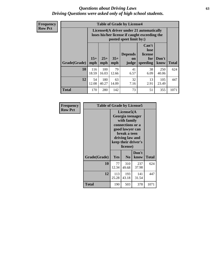#### *Questions about Driving Laws* **63** *Driving Questions were asked only of high school students.*

**Frequency Row Pct**

| <b>Table of Grade by License4</b> |              |                                                                                                                                                                                                                                                                                |             |            |            |              |      |  |  |  |
|-----------------------------------|--------------|--------------------------------------------------------------------------------------------------------------------------------------------------------------------------------------------------------------------------------------------------------------------------------|-------------|------------|------------|--------------|------|--|--|--|
|                                   |              | License4(A driver under 21 automatically<br>loses his/her license if caught exceeding the<br>posted speet limit by:)<br>Can't<br>lose<br><b>Depends</b><br>license<br>$15+$<br>$25+$<br>$35+$<br>Don't<br>for<br>on<br><b>Total</b><br>mph<br>mph<br>judge<br>speeding<br>know |             |            |            |              |      |  |  |  |
| Grade(Grade)                      | mph          |                                                                                                                                                                                                                                                                                |             |            |            |              |      |  |  |  |
| 10                                | 116<br>18.59 | 100<br>16.03                                                                                                                                                                                                                                                                   | 79<br>12.66 | 41<br>6.57 | 38<br>6.09 | 250<br>40.06 | 624  |  |  |  |
| 12                                | 54<br>12.08  | 32<br>180<br>63<br>13<br>105<br>2.91<br>40.27<br>14.09<br>7.16<br>23.49                                                                                                                                                                                                        |             |            |            |              |      |  |  |  |
| <b>Total</b>                      | 170          | 280                                                                                                                                                                                                                                                                            | 142         | 73         | 51         | 355          | 1071 |  |  |  |

| Frequency      | <b>Table of Grade by License5</b> |                                                                                                                                                             |                |               |       |
|----------------|-----------------------------------|-------------------------------------------------------------------------------------------------------------------------------------------------------------|----------------|---------------|-------|
| <b>Row Pct</b> |                                   | License5(A)<br>Georgia teenager<br>with family<br>connections or a<br>good lawyer can<br>break a teen<br>driving law and<br>keep their driver's<br>license) |                |               |       |
|                | Grade(Grade)                      | <b>Yes</b>                                                                                                                                                  | N <sub>0</sub> | Don't<br>know | Total |
|                | <b>10</b>                         | 77<br>12.34                                                                                                                                                 | 310<br>49.68   | 237<br>37.98  | 624   |
|                | 12                                | 113<br>25.28                                                                                                                                                | 193<br>43.18   | 141<br>31.54  | 447   |
|                | <b>Total</b>                      | 190                                                                                                                                                         | 503            | 378           | 1071  |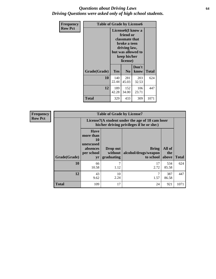#### *Questions about Driving Laws* **64** *Driving Questions were asked only of high school students.*

| <b>Frequency</b> | <b>Table of Grade by License6</b> |              |                                                                                                                                                 |               |       |
|------------------|-----------------------------------|--------------|-------------------------------------------------------------------------------------------------------------------------------------------------|---------------|-------|
| <b>Row Pct</b>   |                                   |              | License <sub>6</sub> (I know a<br>friend or<br>classmate that<br>broke a teen<br>driving law,<br>but was allowed to<br>keep his/her<br>license) |               |       |
|                  | Grade(Grade)                      | Yes          | N <sub>0</sub>                                                                                                                                  | Don't<br>know | Total |
|                  | 10                                | 140<br>22.44 | 281<br>45.03                                                                                                                                    | 203<br>32.53  | 624   |
|                  | 12                                | 189<br>42.28 | 447                                                                                                                                             |               |       |
|                  | Total                             | 329          | 433                                                                                                                                             | 309           | 1071  |

| <b>Frequency</b> | <b>Table of Grade by License7</b> |                                                                                               |                                     |                                                   |                        |              |  |
|------------------|-----------------------------------|-----------------------------------------------------------------------------------------------|-------------------------------------|---------------------------------------------------|------------------------|--------------|--|
| <b>Row Pct</b>   |                                   | License7(A student under the age of 18 cam loser<br>his/her driving privileges if he or she:) |                                     |                                                   |                        |              |  |
|                  | Grade(Grade)                      | <b>Have</b><br>more than<br>10<br>unexcused<br>absences<br>per school<br>yr                   | Drop out<br>without  <br>graduating | <b>Bring</b><br>alcohol/drugs/weapon<br>to school | All of<br>the<br>above | <b>Total</b> |  |
|                  | <b>10</b>                         | 66<br>10.58                                                                                   | 7<br>1.12                           | 17<br>2.72                                        | 534<br>85.58           | 624          |  |
|                  | 12                                | 43<br>9.62                                                                                    | 10<br>2.24                          | $\mathcal{I}$<br>1.57                             | 387<br>86.58           | 447          |  |
|                  | <b>Total</b>                      | 109                                                                                           | 17                                  | 24                                                | 921                    | 1071         |  |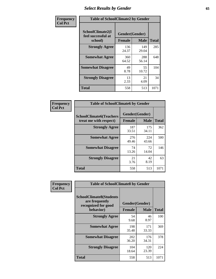# *Select Results by Gender* **65**

| Frequency      | <b>Table of SchoolClimate2 by Gender</b> |                |              |              |
|----------------|------------------------------------------|----------------|--------------|--------------|
| <b>Col Pct</b> | SchoolClimate2(I<br>feel successful at   | Gender(Gender) |              |              |
|                | school)                                  | <b>Female</b>  | <b>Male</b>  | <b>Total</b> |
|                | <b>Strongly Agree</b>                    | 136<br>24.37   | 149<br>29.04 | 285          |
|                | <b>Somewhat Agree</b>                    | 360<br>64.52   | 288<br>56.14 | 648          |
|                | <b>Somewhat Disagree</b>                 | 49<br>8.78     | 55<br>10.72  | 104          |
|                | <b>Strongly Disagree</b>                 | 13<br>2.33     | 21<br>4.09   | 34           |
|                | <b>Total</b>                             | 558            | 513          | 1071         |

| <b>Frequency</b> | <b>Table of SchoolClimate6 by Gender</b>                 |                          |              |              |  |
|------------------|----------------------------------------------------------|--------------------------|--------------|--------------|--|
| <b>Col Pct</b>   | <b>SchoolClimate6(Teachers</b><br>treat me with respect) | Gender(Gender)<br>Female | <b>Male</b>  | <b>Total</b> |  |
|                  | <b>Strongly Agree</b>                                    | 187<br>33.51             | 175<br>34.11 | 362          |  |
|                  | <b>Somewhat Agree</b>                                    | 276<br>49.46             | 224<br>43.66 | 500          |  |
|                  | <b>Somewhat Disagree</b>                                 | 74<br>13.26              | 72<br>14.04  | 146          |  |
|                  | <b>Strongly Disagree</b>                                 | 21<br>3.76               | 42<br>8.19   | 63           |  |
|                  | <b>Total</b>                                             | 558                      | 513          | 1071         |  |

| Frequency      | <b>Table of SchoolClimate8 by Gender</b>                                             |                                 |              |              |
|----------------|--------------------------------------------------------------------------------------|---------------------------------|--------------|--------------|
| <b>Col Pct</b> | <b>SchoolClimate8(Students</b><br>are frequently<br>recognized for good<br>behavior) | Gender(Gender)<br><b>Female</b> | <b>Male</b>  | <b>Total</b> |
|                | <b>Strongly Agree</b>                                                                | 54<br>9.68                      | 46<br>8.97   | 100          |
|                | <b>Somewhat Agree</b>                                                                | 198<br>35.48                    | 171<br>33.33 | 369          |
|                | <b>Somewhat Disagree</b>                                                             | 202<br>36.20                    | 176<br>34.31 | 378          |
|                | <b>Strongly Disagree</b>                                                             | 104<br>18.64                    | 120<br>23.39 | 224          |
|                | Total                                                                                | 558                             | 513          | 1071         |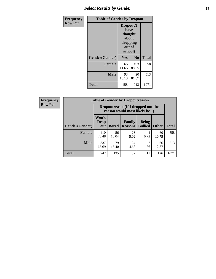# *Select Results by Gender* **66**

| <b>Frequency</b> | <b>Table of Gender by Dropout</b> |                                                                               |              |              |
|------------------|-----------------------------------|-------------------------------------------------------------------------------|--------------|--------------|
| <b>Row Pct</b>   |                                   | Dropout(I<br>have<br>thought<br><b>about</b><br>dropping<br>out of<br>school) |              |              |
|                  | Gender(Gender)                    | Yes                                                                           | No           | <b>Total</b> |
|                  | <b>Female</b>                     | 65<br>11.65                                                                   | 493<br>88.35 | 558          |
|                  | <b>Male</b>                       | 93<br>18.13                                                                   | 420<br>81.87 | 513          |
|                  | <b>Total</b>                      | 158                                                                           | 913          | 1071         |

| <b>Frequency</b> | <b>Table of Gender by Dropoutreason</b> |                                                                    |              |                                 |                                |              |              |
|------------------|-----------------------------------------|--------------------------------------------------------------------|--------------|---------------------------------|--------------------------------|--------------|--------------|
| <b>Row Pct</b>   |                                         | Dropoutreason(If I dropped out the<br>reason would most likely be) |              |                                 |                                |              |              |
|                  | <b>Gender(Gender)</b>                   | Won't<br><b>Drop</b><br>out                                        | <b>Bored</b> | <b>Family</b><br><b>Reasons</b> | <b>Being</b><br><b>Bullied</b> | <b>Other</b> | <b>Total</b> |
|                  | Female                                  | 410<br>73.48                                                       | 56<br>10.04  | 28<br>5.02                      | 4<br>0.72                      | 60<br>10.75  | 558          |
|                  | <b>Male</b>                             | 337<br>65.69                                                       | 79<br>15.40  | 24<br>4.68                      | 1.36                           | 66<br>12.87  | 513          |
|                  | <b>Total</b>                            | 747                                                                | 135          | 52                              | 11                             | 126          | 1071         |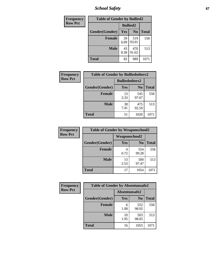*School Safety* **67**

| Frequency      |                | <b>Table of Gender by Bullied2</b> |                |              |
|----------------|----------------|------------------------------------|----------------|--------------|
| <b>Row Pct</b> |                | <b>Bullied2</b>                    |                |              |
|                | Gender(Gender) | Yes                                | N <sub>0</sub> | <b>Total</b> |
|                | <b>Female</b>  | 39<br>6.99                         | 519<br>93.01   | 558          |
|                | <b>Male</b>    | 43<br>8.38                         | 470<br>91.62   | 513          |
|                | <b>Total</b>   | 82                                 | 989            | 1071         |

| Frequency      | <b>Table of Gender by Bulliedothers2</b> |                       |                |              |
|----------------|------------------------------------------|-----------------------|----------------|--------------|
| <b>Row Pct</b> |                                          | <b>Bulliedothers2</b> |                |              |
|                | Gender(Gender)                           | Yes                   | N <sub>0</sub> | <b>Total</b> |
|                | <b>Female</b>                            | 13<br>2.33            | 545<br>97.67   | 558          |
|                | <b>Male</b>                              | 38<br>7.41            | 475<br>92.59   | 513          |
|                | <b>Total</b>                             | 51                    | 1020           | 107          |

| Frequency      | <b>Table of Gender by Weaponschool2</b> |                      |                |              |
|----------------|-----------------------------------------|----------------------|----------------|--------------|
| <b>Row Pct</b> |                                         | <b>Weaponschool2</b> |                |              |
|                | Gender(Gender)                          | Yes                  | N <sub>0</sub> | <b>Total</b> |
|                | <b>Female</b>                           | 0.72                 | 554<br>99.28   | 558          |
|                | <b>Male</b>                             | 13<br>2.53           | 500<br>97.47   | 513          |
|                | <b>Total</b>                            | 17                   | 1054           | 1071         |

| Frequency      | <b>Table of Gender by Absentunsafe2</b> |               |                |              |
|----------------|-----------------------------------------|---------------|----------------|--------------|
| <b>Row Pct</b> |                                         | Absentunsafe2 |                |              |
|                | Gender(Gender)                          | Yes           | N <sub>0</sub> | <b>Total</b> |
|                | <b>Female</b>                           | 6<br>1.08     | 552<br>98.92   | 558          |
|                | <b>Male</b>                             | 10<br>1.95    | 503<br>98.05   | 513          |
|                | <b>Total</b>                            | 16            | 1055           | 1071         |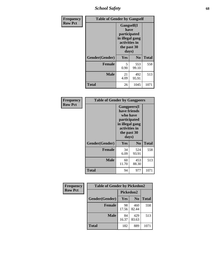*School Safety* **68**

| Frequency      | <b>Table of Gender by Gangself</b> |                                                                                                        |                |              |
|----------------|------------------------------------|--------------------------------------------------------------------------------------------------------|----------------|--------------|
| <b>Row Pct</b> |                                    | <b>Gangself</b> (I<br>have<br>participated<br>in illegal gang<br>activities in<br>the past 30<br>days) |                |              |
|                | Gender(Gender)                     | Yes                                                                                                    | N <sub>0</sub> | <b>Total</b> |
|                | <b>Female</b>                      | 5<br>0.90                                                                                              | 553<br>99.10   | 558          |
|                | <b>Male</b>                        | 21<br>4.09                                                                                             | 492<br>95.91   | 513          |
|                | <b>Total</b>                       | 26                                                                                                     | 1045           | 1071         |

| Frequency      | <b>Table of Gender by Gangpeers</b> |                                                                                                                             |                |              |
|----------------|-------------------------------------|-----------------------------------------------------------------------------------------------------------------------------|----------------|--------------|
| <b>Row Pct</b> |                                     | <b>Gangpeers</b> (I<br>have friends<br>who have<br>participated<br>in illegal gang<br>activities in<br>the past 30<br>days) |                |              |
|                | Gender(Gender)                      | Yes                                                                                                                         | N <sub>0</sub> | <b>Total</b> |
|                | <b>Female</b>                       | 34<br>6.09                                                                                                                  | 524<br>93.91   | 558          |
|                | <b>Male</b>                         | 60<br>11.70                                                                                                                 | 453<br>88.30   | 513          |
|                | Total                               | 94                                                                                                                          | 977            | 1071         |

| Frequency      | <b>Table of Gender by Pickedon2</b> |             |                |              |
|----------------|-------------------------------------|-------------|----------------|--------------|
| <b>Row Pct</b> |                                     | Pickedon2   |                |              |
|                | Gender(Gender)                      | Yes         | N <sub>0</sub> | <b>Total</b> |
|                | <b>Female</b>                       | 98<br>17.56 | 460<br>82.44   | 558          |
|                | <b>Male</b>                         | 84<br>16.37 | 429<br>83.63   | 513          |
|                | <b>Total</b>                        | 182         | 889            | 1071         |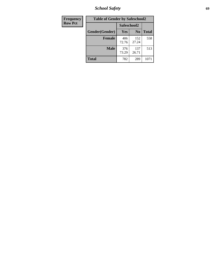*School Safety* **69**

| Frequency      | <b>Table of Gender by Safeschool2</b> |              |                |              |
|----------------|---------------------------------------|--------------|----------------|--------------|
| <b>Row Pct</b> |                                       | Safeschool2  |                |              |
|                | Gender(Gender)                        | <b>Yes</b>   | N <sub>0</sub> | <b>Total</b> |
|                | <b>Female</b>                         | 406<br>72.76 | 152<br>27.24   | 558          |
|                | <b>Male</b>                           | 376<br>73.29 | 137<br>26.71   | 513          |
|                | <b>Total</b>                          | 782          | 289            | 1071         |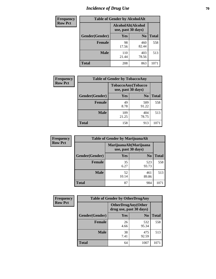# *Incidence of Drug Use* **70**

| <b>Frequency</b> | <b>Table of Gender by AlcoholAlt</b> |                                          |                |              |  |
|------------------|--------------------------------------|------------------------------------------|----------------|--------------|--|
| <b>Row Pct</b>   |                                      | AlcoholAlt(Alcohol<br>use, past 30 days) |                |              |  |
|                  | Gender(Gender)                       | <b>Yes</b>                               | N <sub>0</sub> | <b>Total</b> |  |
|                  | <b>Female</b>                        | 98<br>17.56                              | 460<br>82.44   | 558          |  |
|                  | <b>Male</b>                          | 110<br>21.44                             | 403<br>78.56   | 513          |  |
|                  | <b>Total</b>                         | 208                                      | 863            | 1071         |  |

| Frequency      | <b>Table of Gender by TobaccoAny</b> |                    |                    |              |
|----------------|--------------------------------------|--------------------|--------------------|--------------|
| <b>Row Pct</b> |                                      | use, past 30 days) | TobaccoAny(Tobacco |              |
|                | Gender(Gender)                       | Yes                | N <sub>0</sub>     | <b>Total</b> |
|                | <b>Female</b>                        | 49<br>8.78         | 509<br>91.22       | 558          |
|                | <b>Male</b>                          | 109<br>21.25       | 404<br>78.75       | 513          |
|                | <b>Total</b>                         | 158                | 913                | 1071         |

| <b>Frequency</b> | <b>Table of Gender by MarijuanaAlt</b>       |             |                |              |
|------------------|----------------------------------------------|-------------|----------------|--------------|
| <b>Row Pct</b>   | MarijuanaAlt(Marijuana<br>use, past 30 days) |             |                |              |
|                  | Gender(Gender)                               | <b>Yes</b>  | N <sub>0</sub> | <b>Total</b> |
|                  | <b>Female</b>                                | 35<br>6.27  | 523<br>93.73   | 558          |
|                  | <b>Male</b>                                  | 52<br>10.14 | 461<br>89.86   | 513          |
|                  | <b>Total</b>                                 | 87          | 984            | 1071         |

| <b>Frequency</b> | <b>Table of Gender by OtherDrugAny</b> |                         |                    |              |
|------------------|----------------------------------------|-------------------------|--------------------|--------------|
| <b>Row Pct</b>   |                                        | drug use, past 30 days) | OtherDrugAny(Other |              |
|                  | Gender(Gender)                         | <b>Yes</b>              | N <sub>0</sub>     | <b>Total</b> |
|                  | <b>Female</b>                          | 26<br>4.66              | 532<br>95.34       | 558          |
|                  | <b>Male</b>                            | 38<br>7.41              | 475<br>92.59       | 513          |
|                  | <b>Total</b>                           | 64                      | 1007               | 1071         |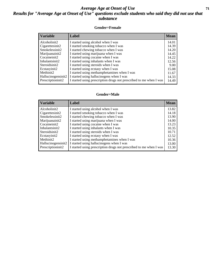#### *Average Age at Onset of Use* **71** *Results for "Average Age at Onset of Use" questions exclude students who said they did not use that substance*

#### **Gender=Female**

| <b>Variable</b>                 | Label                                                              | <b>Mean</b> |
|---------------------------------|--------------------------------------------------------------------|-------------|
| Alcoholinit2                    | I started using alcohol when I was                                 | 14.01       |
| Cigarettesinit2                 | I started smoking tobacco when I was                               | 14.39       |
| Smokelessinit2                  | I started chewing tobacco when I was                               | 14.20       |
| Marijuanainit2                  | I started using marijuana when I was                               | 14.45       |
| Cocaineinit2                    | I started using cocaine when I was                                 | 14.22       |
| Inhalantsinit2                  | I started using inhalants when I was                               | 12.56       |
| Steroidsinit2                   | I started using steroids when I was                                | 9.00        |
| Ecstasyinit2                    | I started using ecstasy when I was                                 | 15.08       |
| Methinit2                       | I started using methamphetamines when I was                        | 11.67       |
| Hallucinogensinit2              | I started using hallucinogens when I was                           | 14.33       |
| Prescription in it <sub>2</sub> | I started using prescription drugs not prescribed to me when I was | 14.49       |

#### **Gender=Male**

| <b>Variable</b>                 | Label                                                              | <b>Mean</b> |
|---------------------------------|--------------------------------------------------------------------|-------------|
| Alcoholinit2                    | I started using alcohol when I was                                 | 13.82       |
| Cigarettesinit2                 | I started smoking tobacco when I was                               | 14.18       |
| Smokelessinit2                  | I started chewing tobacco when I was                               | 13.90       |
| Marijuanainit2                  | I started using marijuana when I was                               | 14.00       |
| Cocaineinit2                    | I started using cocaine when I was                                 | 13.23       |
| Inhalantsinit2                  | I started using inhalants when I was                               | 10.35       |
| Steroidsinit2                   | I started using steroids when I was                                | 10.71       |
| Ecstasyinit2                    | I started using ecstasy when I was                                 | 12.52       |
| Methinit2                       | I started using methamphetamines when I was                        | 10.36       |
| Hallucinogensinit2              | I started using hallucinogens when I was                           | 13.00       |
| Prescription in it <sub>2</sub> | I started using prescription drugs not prescribed to me when I was | 13.30       |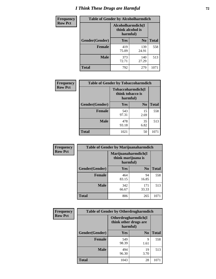# *I Think These Drugs are Harmful* **72**

| Frequency      | <b>Table of Gender by Alcoholharmdich</b> |                                                   |                |              |
|----------------|-------------------------------------------|---------------------------------------------------|----------------|--------------|
| <b>Row Pct</b> |                                           | Alcoholharmdich(I<br>think alcohol is<br>harmful) |                |              |
|                | Gender(Gender)                            | <b>Yes</b>                                        | N <sub>0</sub> | <b>Total</b> |
|                | <b>Female</b>                             | 419<br>75.09                                      | 139<br>24.91   | 558          |
|                | <b>Male</b>                               | 373<br>72.71                                      | 140<br>27.29   | 513          |
|                | <b>Total</b>                              | 792                                               | 279            | 1071         |

| Frequency      | <b>Table of Gender by Tobaccoharmdich</b> |                  |                               |              |  |
|----------------|-------------------------------------------|------------------|-------------------------------|--------------|--|
| <b>Row Pct</b> |                                           | think tobacco is | Tobaccoharmdich(I<br>harmful) |              |  |
|                | Gender(Gender)                            | <b>Yes</b>       | N <sub>0</sub>                | <b>Total</b> |  |
|                | <b>Female</b>                             | 543<br>97.31     | 15<br>2.69                    | 558          |  |
|                | <b>Male</b>                               | 478<br>93.18     | 35<br>6.82                    | 513          |  |
|                | <b>Total</b>                              | 1021             | 50                            | 1071         |  |

| Frequency      | <b>Table of Gender by Marijuanaharmdich</b> |                                                       |                |              |  |
|----------------|---------------------------------------------|-------------------------------------------------------|----------------|--------------|--|
| <b>Row Pct</b> |                                             | Marijuanaharmdich(I<br>think marijuana is<br>harmful) |                |              |  |
|                | Gender(Gender)                              | <b>Yes</b>                                            | N <sub>0</sub> | <b>Total</b> |  |
|                | <b>Female</b>                               | 464<br>83.15                                          | 94<br>16.85    | 558          |  |
|                | <b>Male</b>                                 | 342<br>66.67                                          | 171<br>33.33   | 513          |  |
|                | <b>Total</b>                                | 806                                                   | 265            | 1071         |  |

| Frequency      | <b>Table of Gender by Otherdrugharmdich</b> |                                                          |                |              |  |
|----------------|---------------------------------------------|----------------------------------------------------------|----------------|--------------|--|
| <b>Row Pct</b> |                                             | Otherdrugharmdich(I<br>think other drugs are<br>harmful) |                |              |  |
|                | Gender(Gender)                              | <b>Yes</b>                                               | N <sub>0</sub> | <b>Total</b> |  |
|                | <b>Female</b>                               | 549<br>98.39                                             | 9<br>1.61      | 558          |  |
|                | <b>Male</b>                                 | 494<br>96.30                                             | 19<br>3.70     | 513          |  |
|                | <b>Total</b>                                | 1043                                                     | 28             | 1071         |  |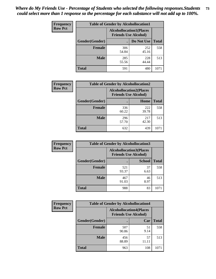| <b>Frequency</b> | <b>Table of Gender by Alcohollocation1</b> |                                                               |              |              |
|------------------|--------------------------------------------|---------------------------------------------------------------|--------------|--------------|
| <b>Row Pct</b>   |                                            | <b>Alcohollocation1(Places</b><br><b>Friends Use Alcohol)</b> |              |              |
|                  | Gender(Gender)                             |                                                               | Do Not Use   | <b>Total</b> |
|                  | <b>Female</b>                              | 306<br>54.84                                                  | 252<br>45.16 | 558          |
|                  | <b>Male</b>                                | 285<br>55.56                                                  | 228<br>44.44 | 513          |
|                  | <b>Total</b>                               | 591                                                           | 480          | 1071         |

| <b>Frequency</b> | <b>Table of Gender by Alcohollocation2</b> |              |                                                               |              |
|------------------|--------------------------------------------|--------------|---------------------------------------------------------------|--------------|
| <b>Row Pct</b>   |                                            |              | <b>Alcohollocation2(Places</b><br><b>Friends Use Alcohol)</b> |              |
|                  | Gender(Gender)                             |              | Home                                                          | <b>Total</b> |
|                  | <b>Female</b>                              | 336<br>60.22 | 222<br>39.78                                                  | 558          |
|                  | <b>Male</b>                                | 296<br>57.70 | 217<br>42.30                                                  | 513          |
|                  | <b>Total</b>                               | 632          | 439                                                           | 1071         |

| Frequency      | <b>Table of Gender by Alcohollocation3</b> |                                                               |               |              |
|----------------|--------------------------------------------|---------------------------------------------------------------|---------------|--------------|
| <b>Row Pct</b> |                                            | <b>Alcohollocation3(Places</b><br><b>Friends Use Alcohol)</b> |               |              |
|                | Gender(Gender)                             |                                                               | <b>School</b> | <b>Total</b> |
|                | <b>Female</b>                              | 521<br>93.37                                                  | 37<br>6.63    | 558          |
|                | <b>Male</b>                                | 467<br>91.03                                                  | 46<br>8.97    | 513          |
|                | <b>Total</b>                               | 988                                                           | 83            | 1071         |

| Frequency      | <b>Table of Gender by Alcohollocation4</b> |                                                               |             |              |
|----------------|--------------------------------------------|---------------------------------------------------------------|-------------|--------------|
| <b>Row Pct</b> |                                            | <b>Alcohollocation4(Places</b><br><b>Friends Use Alcohol)</b> |             |              |
|                | Gender(Gender)                             |                                                               | Car         | <b>Total</b> |
|                | <b>Female</b>                              | 507<br>90.86                                                  | 51<br>9.14  | 558          |
|                | <b>Male</b>                                | 456<br>88.89                                                  | 57<br>11.11 | 513          |
|                | <b>Total</b>                               | 963                                                           | 108         | 1071         |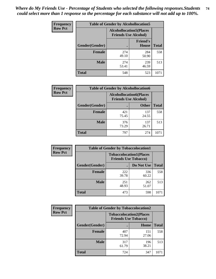| <b>Frequency</b> | <b>Table of Gender by Alcohollocation5</b> |                                                                |                                 |              |
|------------------|--------------------------------------------|----------------------------------------------------------------|---------------------------------|--------------|
| <b>Row Pct</b>   |                                            | <b>Alcohollocation5</b> (Places<br><b>Friends Use Alcohol)</b> |                                 |              |
|                  | Gender(Gender)                             | $\bullet$                                                      | <b>Friend's</b><br><b>House</b> | <b>Total</b> |
|                  | <b>Female</b>                              | 274<br>49.10                                                   | 284<br>50.90                    | 558          |
|                  | <b>Male</b>                                | 274<br>53.41                                                   | 239<br>46.59                    | 513          |
|                  | <b>Total</b>                               | 548                                                            | 523                             | 1071         |

| Frequency      | <b>Table of Gender by Alcohollocation6</b> |                                                               |              |              |
|----------------|--------------------------------------------|---------------------------------------------------------------|--------------|--------------|
| <b>Row Pct</b> |                                            | <b>Alcohollocation6(Places</b><br><b>Friends Use Alcohol)</b> |              |              |
|                | <b>Gender</b> (Gender)                     |                                                               | <b>Other</b> | <b>Total</b> |
|                | <b>Female</b>                              | 421<br>75.45                                                  | 137<br>24.55 | 558          |
|                | <b>Male</b>                                | 376<br>73.29                                                  | 137<br>26.71 | 513          |
|                | <b>Total</b>                               | 797                                                           | 274          | 1071         |

| Frequency      | <b>Table of Gender by Tobaccolocation1</b> |                                                               |              |              |  |
|----------------|--------------------------------------------|---------------------------------------------------------------|--------------|--------------|--|
| <b>Row Pct</b> |                                            | <b>Tobaccolocation1(Places</b><br><b>Friends Use Tobacco)</b> |              |              |  |
|                | Gender(Gender)                             |                                                               | Do Not Use   | <b>Total</b> |  |
|                | Female                                     | 222<br>39.78                                                  | 336<br>60.22 | 558          |  |
|                | <b>Male</b>                                | 251<br>48.93                                                  | 262<br>51.07 | 513          |  |
|                | <b>Total</b>                               | 473                                                           | 598          | 1071         |  |

| <b>Frequency</b> | <b>Table of Gender by Tobaccolocation2</b> |                                                               |              |              |  |
|------------------|--------------------------------------------|---------------------------------------------------------------|--------------|--------------|--|
| <b>Row Pct</b>   |                                            | <b>Tobaccolocation2(Places</b><br><b>Friends Use Tobacco)</b> |              |              |  |
|                  | Gender(Gender)                             |                                                               | Home         | <b>Total</b> |  |
|                  | Female                                     | 407<br>72.94                                                  | 151<br>27.06 | 558          |  |
|                  | <b>Male</b>                                | 317<br>61.79                                                  | 196<br>38.21 | 513          |  |
|                  | <b>Total</b>                               | 724                                                           | 347          | 1071         |  |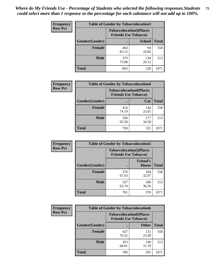| <b>Frequency</b> | <b>Table of Gender by Tobaccolocation3</b> |                                                               |               |              |  |
|------------------|--------------------------------------------|---------------------------------------------------------------|---------------|--------------|--|
| <b>Row Pct</b>   |                                            | <b>Tobaccolocation3(Places</b><br><b>Friends Use Tobacco)</b> |               |              |  |
|                  | Gender(Gender)                             |                                                               | <b>School</b> | <b>Total</b> |  |
|                  | <b>Female</b>                              | 464<br>83.15                                                  | 94<br>16.85   | 558          |  |
|                  | <b>Male</b>                                | 379<br>73.88                                                  | 134<br>26.12  | 513          |  |
|                  | Total                                      | 843                                                           | 228           | 1071         |  |

| <b>Frequency</b> | <b>Table of Gender by Tobaccolocation4</b> |                                                               |              |              |
|------------------|--------------------------------------------|---------------------------------------------------------------|--------------|--------------|
| <b>Row Pct</b>   |                                            | <b>Tobaccolocation4(Places</b><br><b>Friends Use Tobacco)</b> |              |              |
|                  | Gender(Gender)                             |                                                               | Car          | <b>Total</b> |
|                  | <b>Female</b>                              | 414<br>74.19                                                  | 144<br>25.81 | 558          |
|                  | <b>Male</b>                                | 336<br>65.50                                                  | 177<br>34.50 | 513          |
|                  | <b>Total</b>                               | 750                                                           | 321          | 1071         |

| <b>Frequency</b> | <b>Table of Gender by Tobaccolocation5</b> |                                                               |                                 |              |
|------------------|--------------------------------------------|---------------------------------------------------------------|---------------------------------|--------------|
| <b>Row Pct</b>   |                                            | <b>Tobaccolocation5(Places</b><br><b>Friends Use Tobacco)</b> |                                 |              |
|                  | <b>Gender</b> (Gender)                     |                                                               | <b>Friend's</b><br><b>House</b> | <b>Total</b> |
|                  | <b>Female</b>                              | 374<br>67.03                                                  | 184<br>32.97                    | 558          |
|                  | <b>Male</b>                                | 327<br>63.74                                                  | 186<br>36.26                    | 513          |
|                  | <b>Total</b>                               | 701                                                           | 370                             | 1071         |

| <b>Frequency</b> |                | <b>Table of Gender by Tobaccolocation6</b>                    |              |              |  |
|------------------|----------------|---------------------------------------------------------------|--------------|--------------|--|
| <b>Row Pct</b>   |                | <b>Tobaccolocation6(Places</b><br><b>Friends Use Tobacco)</b> |              |              |  |
|                  | Gender(Gender) |                                                               | <b>Other</b> | <b>Total</b> |  |
|                  | Female         | 427<br>76.52                                                  | 131<br>23.48 | 558          |  |
|                  | <b>Male</b>    | 353<br>68.81                                                  | 160<br>31.19 | 513          |  |
|                  | <b>Total</b>   | 780                                                           | 291          | 1071         |  |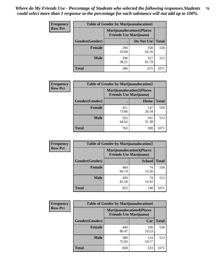| <b>Frequency</b> | <b>Table of Gender by Marijuanalocation1</b> |                                                                    |              |              |  |
|------------------|----------------------------------------------|--------------------------------------------------------------------|--------------|--------------|--|
| <b>Row Pct</b>   |                                              | <b>Marijuanalocation1(Places</b><br><b>Friends Use Marijuana</b> ) |              |              |  |
|                  | Gender(Gender)                               |                                                                    | Do Not Use   | <b>Total</b> |  |
|                  | <b>Female</b>                                | <b>200</b><br>35.84                                                | 358<br>64.16 | 558          |  |
|                  | <b>Male</b>                                  | 196<br>38.21                                                       | 317<br>61.79 | 513          |  |
|                  | <b>Total</b>                                 | 396                                                                | 675          | 1071         |  |

| <b>Frequency</b> | <b>Table of Gender by Marijuanalocation2</b> |                                                                    |              |              |  |
|------------------|----------------------------------------------|--------------------------------------------------------------------|--------------|--------------|--|
| <b>Row Pct</b>   |                                              | <b>Marijuanalocation2(Places</b><br><b>Friends Use Marijuana</b> ) |              |              |  |
|                  | Gender(Gender)                               |                                                                    | Home         | <b>Total</b> |  |
|                  | <b>Female</b>                                | 411<br>73.66                                                       | 147<br>26.34 | 558          |  |
|                  | <b>Male</b>                                  | 352<br>68.62                                                       | 161<br>31.38 | 513          |  |
|                  | Total                                        | 763                                                                | 308          | 1071         |  |

| <b>Frequency</b> | <b>Table of Gender by Marijuanalocation3</b> |                                                                     |               |              |
|------------------|----------------------------------------------|---------------------------------------------------------------------|---------------|--------------|
| <b>Row Pct</b>   |                                              | <b>Marijuanalocation3(Places)</b><br><b>Friends Use Marijuana</b> ) |               |              |
|                  | Gender(Gender)                               |                                                                     | <b>School</b> | <b>Total</b> |
|                  | Female                                       | 484<br>86.74                                                        | 74<br>13.26   | 558          |
|                  | <b>Male</b>                                  | 439<br>85.58                                                        | 74<br>14.42   | 513          |
|                  | <b>Total</b>                                 | 923                                                                 | 148           | 1071         |

| <b>Frequency</b> | <b>Table of Gender by Marijuanalocation4</b> |                                |                                  |              |
|------------------|----------------------------------------------|--------------------------------|----------------------------------|--------------|
| <b>Row Pct</b>   |                                              | <b>Friends Use Marijuana</b> ) | <b>Marijuanalocation4(Places</b> |              |
|                  | Gender(Gender)                               |                                | Car                              | <b>Total</b> |
|                  | <b>Female</b>                                | 449<br>80.47                   | 109<br>19.53                     | 558          |
|                  | <b>Male</b>                                  | 389<br>75.83                   | 124<br>24.17                     | 513          |
|                  | <b>Total</b>                                 | 838                            | 233                              | 1071         |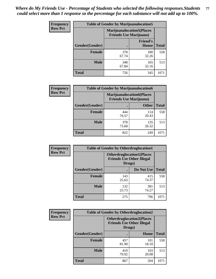| <b>Frequency</b> | <b>Table of Gender by Marijuanalocation5</b> |                                                                    |                          |              |
|------------------|----------------------------------------------|--------------------------------------------------------------------|--------------------------|--------------|
| <b>Row Pct</b>   |                                              | <b>Marijuanalocation5(Places</b><br><b>Friends Use Marijuana</b> ) |                          |              |
|                  | Gender(Gender)                               |                                                                    | <b>Friend's</b><br>House | <b>Total</b> |
|                  | <b>Female</b>                                | 378<br>67.74                                                       | 180<br>32.26             | 558          |
|                  | <b>Male</b>                                  | 348<br>67.84                                                       | 165<br>32.16             | 513          |
|                  | <b>Total</b>                                 | 726                                                                | 345                      | 1071         |

| <b>Frequency</b> | <b>Table of Gender by Marijuanalocation6</b> |                                |                                  |              |
|------------------|----------------------------------------------|--------------------------------|----------------------------------|--------------|
| <b>Row Pct</b>   |                                              | <b>Friends Use Marijuana</b> ) | <b>Marijuanalocation6(Places</b> |              |
|                  | <b>Gender</b> (Gender)                       |                                | <b>Other</b>                     | <b>Total</b> |
|                  | <b>Female</b>                                | 444<br>79.57                   | 114<br>20.43                     | 558          |
|                  | <b>Male</b>                                  | 378<br>73.68                   | 135<br>26.32                     | 513          |
|                  | Total                                        | 822                            | 249                              | 1071         |

| <b>Frequency</b> | <b>Table of Gender by Otherdruglocation1</b> |                                                                                |              |              |
|------------------|----------------------------------------------|--------------------------------------------------------------------------------|--------------|--------------|
| <b>Row Pct</b>   |                                              | <b>Otherdruglocation1(Places</b><br><b>Friends Use Other Illegal</b><br>Drugs) |              |              |
|                  | Gender(Gender)                               |                                                                                | Do Not Use   | <b>Total</b> |
|                  | <b>Female</b>                                | 143<br>25.63                                                                   | 415<br>74.37 | 558          |
|                  | <b>Male</b>                                  | 132<br>25.73                                                                   | 381<br>74.27 | 513          |
|                  | <b>Total</b>                                 | 275                                                                            | 796          | 1071         |

| <b>Frequency</b> | <b>Table of Gender by Otherdruglocation2</b>                                   |              |              |              |
|------------------|--------------------------------------------------------------------------------|--------------|--------------|--------------|
| <b>Row Pct</b>   | <b>Otherdruglocation2(Places</b><br><b>Friends Use Other Illegal</b><br>Drugs) |              |              |              |
|                  | Gender(Gender)                                                                 |              | Home         | <b>Total</b> |
|                  | <b>Female</b>                                                                  | 457<br>81.90 | 101<br>18.10 | 558          |
|                  | <b>Male</b>                                                                    | 410<br>79.92 | 103<br>20.08 | 513          |
|                  | <b>Total</b>                                                                   | 867          | 204          | 1071         |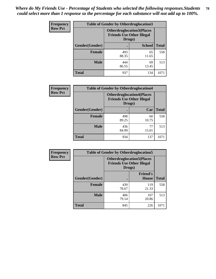| <b>Frequency</b> | <b>Table of Gender by Otherdruglocation3</b> |                                                                                |               |              |
|------------------|----------------------------------------------|--------------------------------------------------------------------------------|---------------|--------------|
| <b>Row Pct</b>   |                                              | <b>Otherdruglocation3(Places</b><br><b>Friends Use Other Illegal</b><br>Drugs) |               |              |
|                  | Gender(Gender)                               |                                                                                | <b>School</b> | <b>Total</b> |
|                  | Female                                       | 493<br>88.35                                                                   | 65<br>11.65   | 558          |
|                  | <b>Male</b>                                  | 444<br>86.55                                                                   | 69<br>13.45   | 513          |
|                  | <b>Total</b>                                 | 937                                                                            | 134           | 1071         |

| Frequency      | <b>Table of Gender by Otherdruglocation4</b> |                                            |                                  |              |
|----------------|----------------------------------------------|--------------------------------------------|----------------------------------|--------------|
| <b>Row Pct</b> |                                              | <b>Friends Use Other Illegal</b><br>Drugs) | <b>Otherdruglocation4(Places</b> |              |
|                | <b>Gender</b> (Gender)                       |                                            | Car                              | <b>Total</b> |
|                | <b>Female</b>                                | 498<br>89.25                               | 60<br>10.75                      | 558          |
|                | <b>Male</b>                                  | 436<br>84.99                               | 77<br>15.01                      | 513          |
|                | <b>Total</b>                                 | 934                                        | 137                              | 1071         |

| Frequency      | <b>Table of Gender by Otherdruglocation5</b>                                   |              |                                 |              |
|----------------|--------------------------------------------------------------------------------|--------------|---------------------------------|--------------|
| <b>Row Pct</b> | <b>Otherdruglocation5(Places</b><br><b>Friends Use Other Illegal</b><br>Drugs) |              |                                 |              |
|                | Gender(Gender)                                                                 |              | <b>Friend's</b><br><b>House</b> | <b>Total</b> |
|                | <b>Female</b>                                                                  | 439<br>78.67 | 119<br>21.33                    | 558          |
|                | <b>Male</b>                                                                    | 406<br>79.14 | 107<br>20.86                    | 513          |
|                | <b>Total</b>                                                                   | 845          | 226                             | 1071         |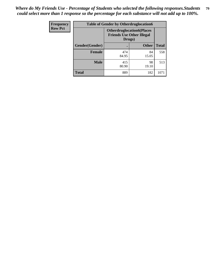| Frequency      | <b>Table of Gender by Otherdruglocation6</b> |                                                                                |              |              |
|----------------|----------------------------------------------|--------------------------------------------------------------------------------|--------------|--------------|
| <b>Row Pct</b> |                                              | <b>Otherdruglocation6(Places</b><br><b>Friends Use Other Illegal</b><br>Drugs) |              |              |
|                | Gender(Gender)                               |                                                                                | <b>Other</b> | <b>Total</b> |
|                | <b>Female</b>                                | 474<br>84.95                                                                   | 84<br>15.05  | 558          |
|                | <b>Male</b>                                  | 415<br>80.90                                                                   | 98<br>19.10  | 513          |
|                | <b>Total</b>                                 | 889                                                                            | 182          | 1071         |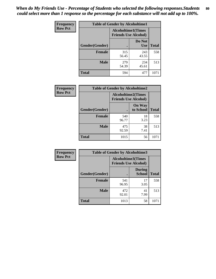| <b>Frequency</b> | <b>Table of Gender by Alcoholtime1</b> |                                                          |                      |              |
|------------------|----------------------------------------|----------------------------------------------------------|----------------------|--------------|
| <b>Row Pct</b>   |                                        | <b>Alcoholtime1(Times</b><br><b>Friends Use Alcohol)</b> |                      |              |
|                  | Gender(Gender)                         | $\bullet$                                                | Do Not<br><b>Use</b> | <b>Total</b> |
|                  | <b>Female</b>                          | 315<br>56.45                                             | 243<br>43.55         | 558          |
|                  | <b>Male</b>                            | 279<br>54.39                                             | 234<br>45.61         | 513          |
|                  | <b>Total</b>                           | 594                                                      | 477                  | 1071         |

| Frequency      | <b>Table of Gender by Alcoholtime2</b> |              |                                                          |              |
|----------------|----------------------------------------|--------------|----------------------------------------------------------|--------------|
| <b>Row Pct</b> |                                        |              | <b>Alcoholtime2(Times</b><br><b>Friends Use Alcohol)</b> |              |
|                | Gender(Gender)                         |              | <b>On Way</b><br>to School                               | <b>Total</b> |
|                | <b>Female</b>                          | 540<br>96.77 | 18<br>3.23                                               | 558          |
|                | <b>Male</b>                            | 475<br>92.59 | 38<br>7.41                                               | 513          |
|                | <b>Total</b>                           | 1015         | 56                                                       | 1071         |

| Frequency      | <b>Table of Gender by Alcoholtime3</b> |                                                   |                                |              |
|----------------|----------------------------------------|---------------------------------------------------|--------------------------------|--------------|
| <b>Row Pct</b> |                                        | Alcoholtime3(Times<br><b>Friends Use Alcohol)</b> |                                |              |
|                | Gender(Gender)                         |                                                   | <b>During</b><br><b>School</b> | <b>Total</b> |
|                | Female                                 | 541<br>96.95                                      | 17<br>3.05                     | 558          |
|                | <b>Male</b>                            | 472<br>92.01                                      | 41<br>7.99                     | 513          |
|                | <b>Total</b>                           | 1013                                              | 58                             | 1071         |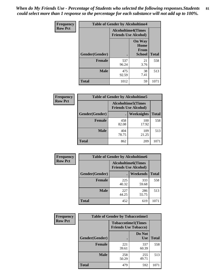*When do My Friends Use - Percentage of Students who selected the following responses.Students could select more than 1 response so the percentage for each substance will not add up to 100%.* **81**

| <b>Frequency</b> | <b>Table of Gender by Alcoholtime4</b> |                                                          |                                                |              |
|------------------|----------------------------------------|----------------------------------------------------------|------------------------------------------------|--------------|
| <b>Row Pct</b>   |                                        | <b>Alcoholtime4(Times</b><br><b>Friends Use Alcohol)</b> |                                                |              |
|                  | Gender(Gender)                         |                                                          | <b>On Way</b><br>Home<br>From<br><b>School</b> | <b>Total</b> |
|                  | <b>Female</b>                          | 537<br>96.24                                             | 21<br>3.76                                     | 558          |
|                  | <b>Male</b>                            | 475<br>92.59                                             | 38<br>7.41                                     | 513          |
|                  | <b>Total</b>                           | 1012                                                     | 59                                             | 1071         |

| <b>Frequency</b> | <b>Table of Gender by Alcoholtime5</b> |                                                           |                   |              |
|------------------|----------------------------------------|-----------------------------------------------------------|-------------------|--------------|
| <b>Row Pct</b>   |                                        | <b>Alcoholtime5</b> (Times<br><b>Friends Use Alcohol)</b> |                   |              |
|                  | Gender(Gender)                         |                                                           | <b>Weeknights</b> | <b>Total</b> |
|                  | <b>Female</b>                          | 458<br>82.08                                              | 100<br>17.92      | 558          |
|                  | <b>Male</b>                            | 404<br>78.75                                              | 109<br>21.25      | 513          |
|                  | <b>Total</b>                           | 862                                                       | 209               | 1071         |

| <b>Frequency</b> | <b>Table of Gender by Alcoholtime6</b> |                                                           |              |              |
|------------------|----------------------------------------|-----------------------------------------------------------|--------------|--------------|
| <b>Row Pct</b>   |                                        | <b>Alcoholtime6</b> (Times<br><b>Friends Use Alcohol)</b> |              |              |
|                  | Gender(Gender)                         |                                                           | Weekends     | <b>Total</b> |
|                  | <b>Female</b>                          | 225<br>40.32                                              | 333<br>59.68 | 558          |
|                  | <b>Male</b>                            | 227<br>44.25                                              | 286<br>55.75 | 513          |
|                  | <b>Total</b>                           | 452                                                       | 619          | 1071         |

| <b>Frequency</b> | <b>Table of Gender by Tobaccotime1</b> |                                                          |                      |              |
|------------------|----------------------------------------|----------------------------------------------------------|----------------------|--------------|
| <b>Row Pct</b>   |                                        | <b>Tobaccotime1(Times</b><br><b>Friends Use Tobacco)</b> |                      |              |
|                  | Gender(Gender)                         |                                                          | Do Not<br><b>Use</b> | <b>Total</b> |
|                  | <b>Female</b>                          | 221<br>39.61                                             | 337<br>60.39         | 558          |
|                  | <b>Male</b>                            | 258<br>50.29                                             | 255<br>49.71         | 513          |
|                  | <b>Total</b>                           | 479                                                      | 592                  | 1071         |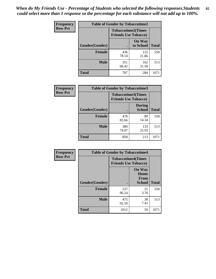*When do My Friends Use - Percentage of Students who selected the following responses.Students could select more than 1 response so the percentage for each substance will not add up to 100%.* **82**

| Frequency      | <b>Table of Gender by Tobaccotime2</b> |                                                          |                            |              |
|----------------|----------------------------------------|----------------------------------------------------------|----------------------------|--------------|
| <b>Row Pct</b> |                                        | <b>Tobaccotime2(Times</b><br><b>Friends Use Tobacco)</b> |                            |              |
|                | Gender(Gender)                         | $\bullet$                                                | <b>On Way</b><br>to School | <b>Total</b> |
|                | <b>Female</b>                          | 436<br>78.14                                             | 122<br>21.86               | 558          |
|                | <b>Male</b>                            | 351<br>68.42                                             | 162<br>31.58               | 513          |
|                | <b>Total</b>                           | 787                                                      | 284                        | 1071         |

| Frequency      | <b>Table of Gender by Tobaccotime3</b> |                                                          |                                |              |
|----------------|----------------------------------------|----------------------------------------------------------|--------------------------------|--------------|
| <b>Row Pct</b> |                                        | <b>Tobaccotime3(Times</b><br><b>Friends Use Tobacco)</b> |                                |              |
|                | Gender(Gender)                         |                                                          | <b>During</b><br><b>School</b> | <b>Total</b> |
|                | <b>Female</b>                          | 478<br>85.66                                             | 80<br>14.34                    | 558          |
|                | <b>Male</b>                            | 380<br>74.07                                             | 133<br>25.93                   | 513          |
|                | <b>Total</b>                           | 858                                                      | 213                            | 1071         |

| <b>Frequency</b> | <b>Table of Gender by Tobaccotime4</b> |                                                          |                                                       |              |
|------------------|----------------------------------------|----------------------------------------------------------|-------------------------------------------------------|--------------|
| <b>Row Pct</b>   |                                        | <b>Tobaccotime4(Times</b><br><b>Friends Use Tobacco)</b> |                                                       |              |
|                  | Gender(Gender)                         |                                                          | <b>On Way</b><br>Home<br><b>From</b><br><b>School</b> | <b>Total</b> |
|                  | <b>Female</b>                          | 537<br>96.24                                             | 21<br>3.76                                            | 558          |
|                  | <b>Male</b>                            | 475<br>92.59                                             | 38<br>7.41                                            | 513          |
|                  | <b>Total</b>                           | 1012                                                     | 59                                                    | 1071         |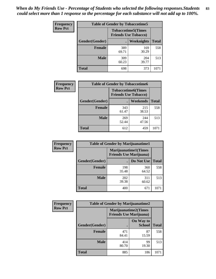| <b>Frequency</b> | <b>Table of Gender by Tobaccotime5</b> |              |                                                          |              |
|------------------|----------------------------------------|--------------|----------------------------------------------------------|--------------|
| <b>Row Pct</b>   |                                        |              | <b>Tobaccotime5(Times</b><br><b>Friends Use Tobacco)</b> |              |
|                  | Gender(Gender)                         |              | Weeknights                                               | <b>Total</b> |
|                  | Female                                 | 389<br>69.71 | 169<br>30.29                                             | 558          |
|                  | <b>Male</b>                            | 309<br>60.23 | 204<br>39.77                                             | 513          |
|                  | <b>Total</b>                           | 698          | 373                                                      | 1071         |

| <b>Frequency</b> | <b>Table of Gender by Tobaccotime6</b> |                                                          |              |              |
|------------------|----------------------------------------|----------------------------------------------------------|--------------|--------------|
| <b>Row Pct</b>   |                                        | <b>Tobaccotime6(Times</b><br><b>Friends Use Tobacco)</b> |              |              |
|                  | Gender(Gender)                         |                                                          | Weekends     | <b>Total</b> |
|                  | Female                                 | 343<br>61.47                                             | 215<br>38.53 | 558          |
|                  | <b>Male</b>                            | 269<br>52.44                                             | 244<br>47.56 | 513          |
|                  | <b>Total</b>                           | 612                                                      | 459          | 1071         |

| <b>Frequency</b> |                | <b>Table of Gender by Marijuanatime1</b> |                             |              |
|------------------|----------------|------------------------------------------|-----------------------------|--------------|
| <b>Row Pct</b>   |                | <b>Friends Use Marijuana</b> )           | <b>Marijuanatime1(Times</b> |              |
|                  | Gender(Gender) |                                          | Do Not Use                  | <b>Total</b> |
|                  | <b>Female</b>  | 198<br>35.48                             | 360<br>64.52                | 558          |
|                  | <b>Male</b>    | 202<br>39.38                             | 311<br>60.62                | 513          |
|                  | <b>Total</b>   | 400                                      | 671                         | 1071         |

| <b>Frequency</b> | <b>Table of Gender by Marijuanatime2</b> |                                                               |                            |              |  |
|------------------|------------------------------------------|---------------------------------------------------------------|----------------------------|--------------|--|
| <b>Row Pct</b>   |                                          | <b>Marijuanatime2(Times</b><br><b>Friends Use Marijuana</b> ) |                            |              |  |
|                  | Gender(Gender)                           |                                                               | On Way to<br><b>School</b> | <b>Total</b> |  |
|                  | <b>Female</b>                            | 471<br>84.41                                                  | 87<br>15.59                | 558          |  |
|                  | <b>Male</b>                              | 414<br>80.70                                                  | 99<br>19.30                | 513          |  |
|                  | <b>Total</b>                             | 885                                                           | 186                        | 1071         |  |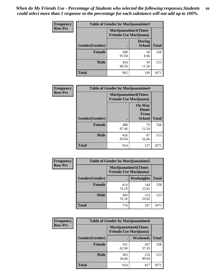| Frequency      | <b>Table of Gender by Marijuanatime3</b> |                                                        |                                |              |  |
|----------------|------------------------------------------|--------------------------------------------------------|--------------------------------|--------------|--|
| <b>Row Pct</b> |                                          | Marijuanatime3(Times<br><b>Friends Use Marijuana</b> ) |                                |              |  |
|                | Gender(Gender)                           |                                                        | <b>During</b><br><b>School</b> | <b>Total</b> |  |
|                | <b>Female</b>                            | 508<br>91.04                                           | 50<br>8.96                     | 558          |  |
|                | <b>Male</b>                              | 454<br>88.50                                           | 59<br>11.50                    | 513          |  |
|                | <b>Total</b>                             | 962                                                    | 109                            | 1071         |  |

| <b>Frequency</b> | <b>Table of Gender by Marijuanatime4</b> |              |                                                               |              |
|------------------|------------------------------------------|--------------|---------------------------------------------------------------|--------------|
| <b>Row Pct</b>   |                                          |              | <b>Marijuanatime4(Times</b><br><b>Friends Use Marijuana</b> ) |              |
|                  |                                          |              | <b>On Way</b><br>Home<br>From                                 |              |
|                  | Gender(Gender)                           |              | School                                                        | <b>Total</b> |
|                  | <b>Female</b>                            | 488<br>87.46 | 70<br>12.54                                                   | 558          |
|                  | <b>Male</b>                              | 426<br>83.04 | 87<br>16.96                                                   | 513          |
|                  | <b>Total</b>                             | 914          | 157                                                           | 1071         |

| Frequency      | <b>Table of Gender by Marijuanatime5</b> |              |                                                                |              |  |
|----------------|------------------------------------------|--------------|----------------------------------------------------------------|--------------|--|
| <b>Row Pct</b> |                                          |              | <b>Marijuanatime5</b> (Times<br><b>Friends Use Marijuana</b> ) |              |  |
|                | Gender(Gender)                           | ٠            | Weeknights                                                     | <b>Total</b> |  |
|                | <b>Female</b>                            | 414<br>74.19 | 144<br>25.81                                                   | 558          |  |
|                | <b>Male</b>                              | 360<br>70.18 | 153<br>29.82                                                   | 513          |  |
|                | <b>Total</b>                             | 774          | 297                                                            | 1071         |  |

| Frequency      | <b>Table of Gender by Marijuanatime6</b> |                                                               |                 |              |
|----------------|------------------------------------------|---------------------------------------------------------------|-----------------|--------------|
| <b>Row Pct</b> |                                          | <b>Marijuanatime6(Times</b><br><b>Friends Use Marijuana</b> ) |                 |              |
|                | Gender(Gender)                           |                                                               | <b>Weekends</b> | <b>Total</b> |
|                | <b>Female</b>                            | 351<br>62.90                                                  | 207<br>37.10    | 558          |
|                | <b>Male</b>                              | 303<br>59.06                                                  | 210<br>40.94    | 513          |
|                | <b>Total</b>                             | 654                                                           | 417             | 1071         |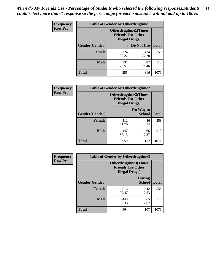*When do My Friends Use - Percentage of Students who selected the following responses.Students could select more than 1 response so the percentage for each substance will not add up to 100%.* **85**

| <b>Frequency</b> | <b>Table of Gender by Otherdrugtime1</b> |                                                                                    |              |              |  |
|------------------|------------------------------------------|------------------------------------------------------------------------------------|--------------|--------------|--|
| <b>Row Pct</b>   |                                          | <b>Otherdrugtime1</b> (Times<br><b>Friends Use Other</b><br><b>Illegal Drugs</b> ) |              |              |  |
|                  | Gender(Gender)                           |                                                                                    | Do Not Use   | <b>Total</b> |  |
|                  | <b>Female</b>                            | 124<br>22.22                                                                       | 434<br>77.78 | 558          |  |
|                  | <b>Male</b>                              | 131<br>25.54                                                                       | 382<br>74.46 | 513          |  |
|                  | <b>Total</b>                             | 255                                                                                | 816          | 1071         |  |

| Frequency      | <b>Table of Gender by Otherdrugtime2</b> |                                                                                   |                            |              |
|----------------|------------------------------------------|-----------------------------------------------------------------------------------|----------------------------|--------------|
| <b>Row Pct</b> |                                          | <b>Otherdrugtime2(Times</b><br><b>Friends Use Other</b><br><b>Illegal Drugs</b> ) |                            |              |
|                | Gender(Gender)                           |                                                                                   | On Way to<br><b>School</b> | <b>Total</b> |
|                | <b>Female</b>                            | 512<br>91.76                                                                      | 46<br>8.24                 | 558          |
|                | <b>Male</b>                              | 447<br>87.13                                                                      | 66<br>12.87                | 513          |
|                | <b>Total</b>                             | 959                                                                               | 112                        | 1071         |

| Frequency      | <b>Table of Gender by Otherdrugtime3</b> |                        |                                                         |              |  |
|----------------|------------------------------------------|------------------------|---------------------------------------------------------|--------------|--|
| <b>Row Pct</b> |                                          | <b>Illegal Drugs</b> ) | <b>Otherdrugtime3(Times</b><br><b>Friends Use Other</b> |              |  |
|                | Gender(Gender)                           |                        | <b>During</b><br><b>School</b>                          | <b>Total</b> |  |
|                | <b>Female</b>                            | 516<br>92.47           | 42<br>7.53                                              | 558          |  |
|                | <b>Male</b>                              | 448<br>87.33           | 65<br>12.67                                             | 513          |  |
|                | <b>Total</b>                             | 964                    | 107                                                     | 1071         |  |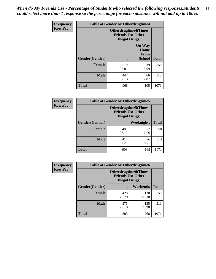*When do My Friends Use - Percentage of Students who selected the following responses.Students could select more than 1 response so the percentage for each substance will not add up to 100%.* **86**

| <b>Frequency</b> | <b>Table of Gender by Otherdrugtime4</b> |                                                                                   |                                                |              |
|------------------|------------------------------------------|-----------------------------------------------------------------------------------|------------------------------------------------|--------------|
| <b>Row Pct</b>   |                                          | <b>Otherdrugtime4(Times</b><br><b>Friends Use Other</b><br><b>Illegal Drugs</b> ) |                                                |              |
|                  | Gender(Gender)                           |                                                                                   | <b>On Way</b><br>Home<br>From<br><b>School</b> | <b>Total</b> |
|                  | Female                                   | 519<br>93.01                                                                      | 39<br>6.99                                     | 558          |
|                  | <b>Male</b>                              | 447<br>87.13                                                                      | 66<br>12.87                                    | 513          |
|                  | <b>Total</b>                             | 966                                                                               | 105                                            | 1071         |

| Frequency      | <b>Table of Gender by Otherdrugtime5</b> |                                                                                    |             |              |
|----------------|------------------------------------------|------------------------------------------------------------------------------------|-------------|--------------|
| <b>Row Pct</b> |                                          | <b>Otherdrugtime5</b> (Times<br><b>Friends Use Other</b><br><b>Illegal Drugs</b> ) |             |              |
|                | Gender(Gender)                           |                                                                                    | Weeknights  | <b>Total</b> |
|                | <b>Female</b>                            | 486<br>87.10                                                                       | 72<br>12.90 | 558          |
|                | <b>Male</b>                              | 417<br>81.29                                                                       | 96<br>18.71 | 513          |
|                | <b>Total</b>                             | 903                                                                                | 168         | 1071         |

| <b>Frequency</b> | <b>Table of Gender by Otherdrugtime6</b> |                                                                                   |              |              |
|------------------|------------------------------------------|-----------------------------------------------------------------------------------|--------------|--------------|
| <b>Row Pct</b>   |                                          | <b>Otherdrugtime6(Times</b><br><b>Friends Use Other</b><br><b>Illegal Drugs</b> ) |              |              |
|                  | Gender(Gender)                           |                                                                                   | Weekends     | <b>Total</b> |
|                  | <b>Female</b>                            | 428<br>76.70                                                                      | 130<br>23.30 | 558          |
|                  | <b>Male</b>                              | 375<br>73.10                                                                      | 138<br>26.90 | 513          |
|                  | <b>Total</b>                             | 803                                                                               | 268          | 1071         |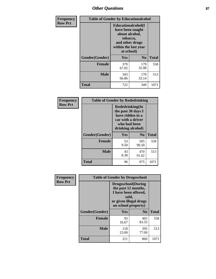# *Other Questions* **87**

| <b>Frequency</b> | <b>Table of Gender by Educationalcohol</b> |                                                                                                                                       |                |              |  |
|------------------|--------------------------------------------|---------------------------------------------------------------------------------------------------------------------------------------|----------------|--------------|--|
| <b>Row Pct</b>   |                                            | <b>Educationalcohol</b> (I<br>have been taught<br>about alcohol,<br>tobacco,<br>and other drugs<br>within the last year<br>at school) |                |              |  |
|                  | Gender(Gender)                             | <b>Yes</b>                                                                                                                            | N <sub>0</sub> | <b>Total</b> |  |
|                  | <b>Female</b>                              | 379<br>67.92                                                                                                                          | 179<br>32.08   | 558          |  |
|                  | <b>Male</b>                                | 343<br>66.86                                                                                                                          | 170<br>33.14   | 513          |  |
|                  | <b>Total</b>                               | 722                                                                                                                                   | 349            | 1071         |  |

| Frequency      | <b>Table of Gender by Rodedrinking</b> |                                                                                                                     |                |              |  |
|----------------|----------------------------------------|---------------------------------------------------------------------------------------------------------------------|----------------|--------------|--|
| <b>Row Pct</b> |                                        | Rodedrinking(In<br>the past 30 days I<br>have ridden in a<br>car with a driver<br>who had been<br>drinking alcohol) |                |              |  |
|                | Gender(Gender)                         | Yes                                                                                                                 | N <sub>0</sub> | <b>Total</b> |  |
|                | <b>Female</b>                          | 53<br>9.50                                                                                                          | 505<br>90.50   | 558          |  |
|                | <b>Male</b>                            | 43<br>8.38                                                                                                          | 470<br>91.62   | 513          |  |
|                | <b>Total</b>                           | 96                                                                                                                  | 975            | 1071         |  |

| Frequency      | <b>Table of Gender by Drugsschool</b> |                                                                                                                                     |                |              |  |
|----------------|---------------------------------------|-------------------------------------------------------------------------------------------------------------------------------------|----------------|--------------|--|
| <b>Row Pct</b> |                                       | <b>Drugsschool</b> (During<br>the past 12 months,<br>I have been offered,<br>sold,<br>or given illegal drugs<br>on school property) |                |              |  |
|                | Gender(Gender)                        | Yes                                                                                                                                 | N <sub>0</sub> | <b>Total</b> |  |
|                | <b>Female</b>                         | 93<br>16.67                                                                                                                         | 465<br>83.33   | 558          |  |
|                | <b>Male</b>                           | 118<br>23.00                                                                                                                        | 395<br>77.00   | 513          |  |
|                | <b>Total</b>                          | 211                                                                                                                                 | 860            | 1071         |  |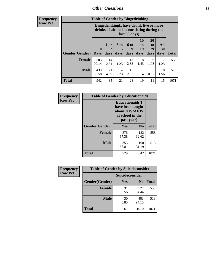## *Other Questions* **88**

**Frequency Row Pct**

| <b>Table of Gender by Bingedrinking</b> |                            |                                                                                                         |                   |                   |                        |                               |                   |              |
|-----------------------------------------|----------------------------|---------------------------------------------------------------------------------------------------------|-------------------|-------------------|------------------------|-------------------------------|-------------------|--------------|
|                                         |                            | Bingedrinking(I have drunk five or more<br>drinks of alcohol at one sitting during the<br>last 30 days) |                   |                   |                        |                               |                   |              |
| <b>Gender</b> (Gender)                  | $\mathbf 0$<br><b>Days</b> | 1 or<br>days                                                                                            | 3 to<br>5<br>days | 6 to<br>9<br>days | 10<br>to<br>19<br>days | <b>20</b><br>to<br>29<br>days | All<br>30<br>days | <b>Total</b> |
| <b>Female</b>                           | 503                        | 14                                                                                                      | 7                 | 13                | 8                      | 6                             |                   | 558          |
|                                         | 90.14                      | 2.51                                                                                                    | 1.25              | 2.33              | 1.43                   | 1.08                          | 1.25              |              |
| <b>Male</b>                             | 439<br>85.58               | 21<br>4.09                                                                                              | 14<br>2.73        | 15<br>2.92        | 11<br>2.14             | 5<br>0.97                     | 8<br>1.56         | 513          |

| Frequency      | <b>Table of Gender by Educationaids</b> |                                                                                                 |                |              |  |  |
|----------------|-----------------------------------------|-------------------------------------------------------------------------------------------------|----------------|--------------|--|--|
| <b>Row Pct</b> |                                         | <b>Educationaids</b> (I<br>have been taught<br>about HIV/AIDS<br>at school in the<br>past year) |                |              |  |  |
|                | Gender(Gender)                          | Yes                                                                                             | $\mathbf{N_0}$ | <b>Total</b> |  |  |
|                | <b>Female</b>                           | 376<br>67.38                                                                                    | 182<br>32.62   | 558          |  |  |
|                | <b>Male</b>                             | 353<br>68.81                                                                                    | 160<br>31.19   | 513          |  |  |
|                | <b>Total</b>                            | 729                                                                                             | 342            | 1071         |  |  |

| <b>Frequency</b> | <b>Table of Gender by Suicideconsider</b> |                 |                |              |  |
|------------------|-------------------------------------------|-----------------|----------------|--------------|--|
| <b>Row Pct</b>   |                                           | Suicideconsider |                |              |  |
|                  | Gender(Gender)                            | Yes             | N <sub>0</sub> | <b>Total</b> |  |
|                  | <b>Female</b>                             | 31<br>5.56      | 527<br>94.44   | 558          |  |
|                  | <b>Male</b>                               | 30<br>5.85      | 483<br>94.15   | 513          |  |
|                  | Total                                     | 61              | 1010           | 1071         |  |